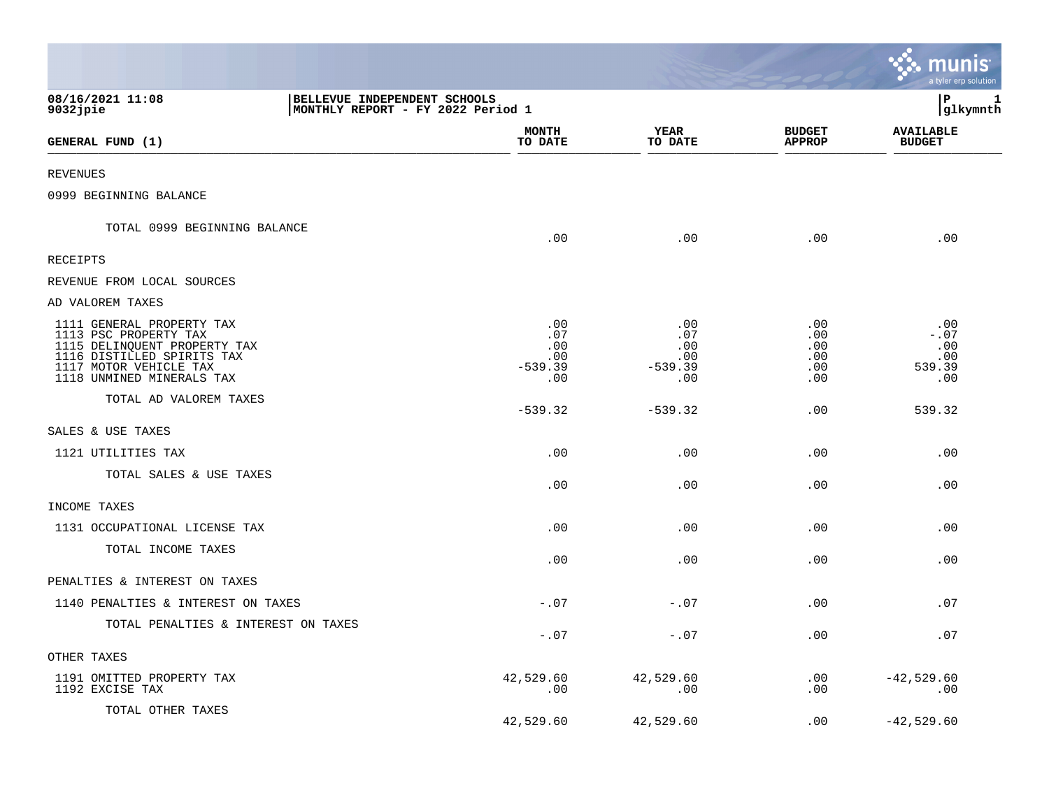|                                                                                                                                                                         |                                                                   |                                              |                                              |                                        | ः munis<br>a tyler erp solution               |
|-------------------------------------------------------------------------------------------------------------------------------------------------------------------------|-------------------------------------------------------------------|----------------------------------------------|----------------------------------------------|----------------------------------------|-----------------------------------------------|
| 08/16/2021 11:08<br>$9032$ jpie                                                                                                                                         | BELLEVUE INDEPENDENT SCHOOLS<br>MONTHLY REPORT - FY 2022 Period 1 |                                              |                                              |                                        | l P<br>1<br> glkymnth                         |
| GENERAL FUND (1)                                                                                                                                                        |                                                                   | <b>MONTH</b><br>TO DATE                      | YEAR<br>TO DATE                              | <b>BUDGET</b><br><b>APPROP</b>         | <b>AVAILABLE</b><br><b>BUDGET</b>             |
| <b>REVENUES</b>                                                                                                                                                         |                                                                   |                                              |                                              |                                        |                                               |
| 0999 BEGINNING BALANCE                                                                                                                                                  |                                                                   |                                              |                                              |                                        |                                               |
| TOTAL 0999 BEGINNING BALANCE                                                                                                                                            |                                                                   | .00                                          | .00                                          | .00                                    | .00                                           |
| RECEIPTS                                                                                                                                                                |                                                                   |                                              |                                              |                                        |                                               |
| REVENUE FROM LOCAL SOURCES                                                                                                                                              |                                                                   |                                              |                                              |                                        |                                               |
| AD VALOREM TAXES                                                                                                                                                        |                                                                   |                                              |                                              |                                        |                                               |
| 1111 GENERAL PROPERTY TAX<br>1113 PSC PROPERTY TAX<br>1115 DELINQUENT PROPERTY TAX<br>1116 DISTILLED SPIRITS TAX<br>1117 MOTOR VEHICLE TAX<br>1118 UNMINED MINERALS TAX |                                                                   | .00<br>.07<br>.00<br>.00<br>$-539.39$<br>.00 | .00<br>.07<br>.00<br>.00<br>$-539.39$<br>.00 | .00<br>.00<br>.00<br>.00<br>.00<br>.00 | .00<br>$-0.07$<br>.00<br>.00<br>539.39<br>.00 |
| TOTAL AD VALOREM TAXES                                                                                                                                                  |                                                                   | $-539.32$                                    | $-539.32$                                    | .00                                    | 539.32                                        |
| SALES & USE TAXES                                                                                                                                                       |                                                                   |                                              |                                              |                                        |                                               |
| 1121 UTILITIES TAX                                                                                                                                                      |                                                                   | .00                                          | .00                                          | .00                                    | .00                                           |
| TOTAL SALES & USE TAXES                                                                                                                                                 |                                                                   | .00                                          | .00                                          | .00                                    | .00                                           |
| INCOME TAXES                                                                                                                                                            |                                                                   |                                              |                                              |                                        |                                               |
| 1131 OCCUPATIONAL LICENSE TAX                                                                                                                                           |                                                                   | .00                                          | .00                                          | .00                                    | .00                                           |
| TOTAL INCOME TAXES                                                                                                                                                      |                                                                   | .00                                          | .00                                          | .00                                    | .00                                           |
| PENALTIES & INTEREST ON TAXES                                                                                                                                           |                                                                   |                                              |                                              |                                        |                                               |
| 1140 PENALTIES & INTEREST ON TAXES                                                                                                                                      |                                                                   | $-.07$                                       | $-.07$                                       | .00                                    | .07                                           |
| TOTAL PENALTIES & INTEREST ON TAXES                                                                                                                                     |                                                                   | $-.07$                                       | $-.07$                                       | .00                                    | .07                                           |
| OTHER TAXES                                                                                                                                                             |                                                                   |                                              |                                              |                                        |                                               |
| 1191 OMITTED PROPERTY TAX<br>1192 EXCISE TAX                                                                                                                            |                                                                   | 42,529.60<br>.00                             | 42,529.60<br>.00                             | .00<br>.00                             | $-42,529.60$<br>.00                           |
| TOTAL OTHER TAXES                                                                                                                                                       |                                                                   | 42,529.60                                    | 42,529.60                                    | .00                                    | $-42,529.60$                                  |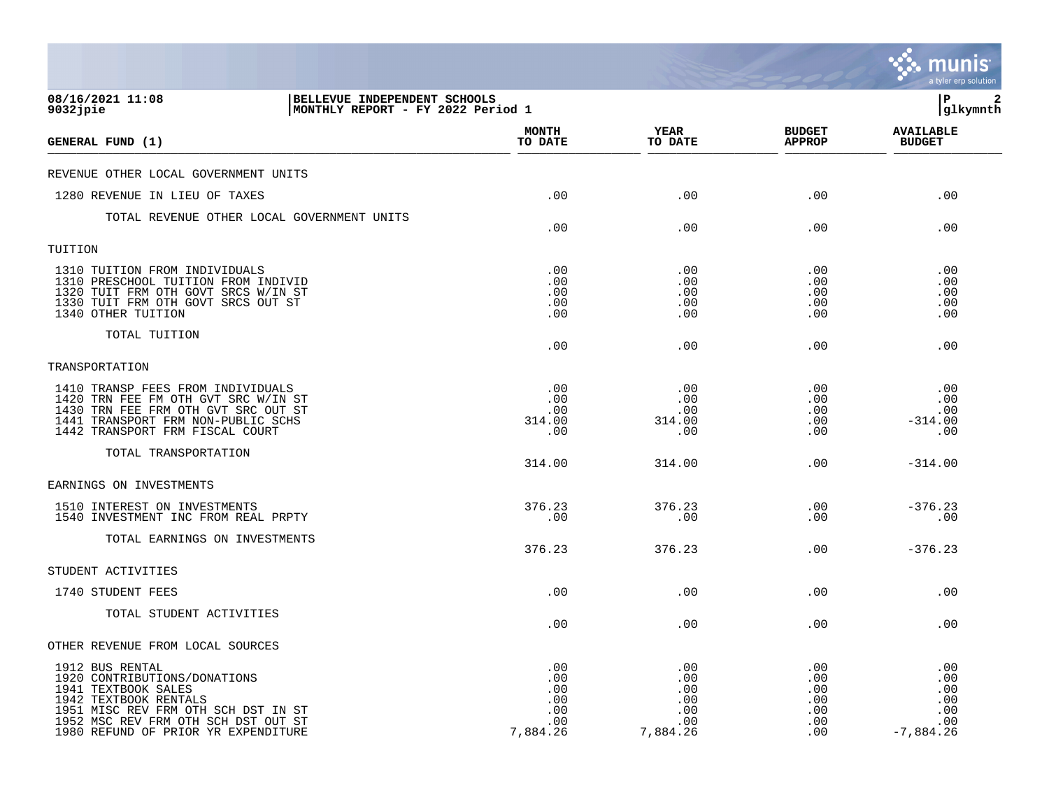|                                                                                                                                                                                                                      |                                                                   |                                                    |                                                    |                                               | a tyler erp solution                                  |
|----------------------------------------------------------------------------------------------------------------------------------------------------------------------------------------------------------------------|-------------------------------------------------------------------|----------------------------------------------------|----------------------------------------------------|-----------------------------------------------|-------------------------------------------------------|
| 08/16/2021 11:08<br>$9032$ jpie                                                                                                                                                                                      | BELLEVUE INDEPENDENT SCHOOLS<br>MONTHLY REPORT - FY 2022 Period 1 |                                                    |                                                    |                                               | P<br>2<br> glkymnth                                   |
| GENERAL FUND (1)                                                                                                                                                                                                     |                                                                   | <b>MONTH</b><br>TO DATE                            | YEAR<br>TO DATE                                    | <b>BUDGET</b><br><b>APPROP</b>                | <b>AVAILABLE</b><br><b>BUDGET</b>                     |
| REVENUE OTHER LOCAL GOVERNMENT UNITS                                                                                                                                                                                 |                                                                   |                                                    |                                                    |                                               |                                                       |
| 1280 REVENUE IN LIEU OF TAXES                                                                                                                                                                                        |                                                                   | .00                                                | .00                                                | .00                                           | .00                                                   |
| TOTAL REVENUE OTHER LOCAL GOVERNMENT UNITS                                                                                                                                                                           |                                                                   | .00                                                | .00                                                | .00                                           | .00                                                   |
| TUITION                                                                                                                                                                                                              |                                                                   |                                                    |                                                    |                                               |                                                       |
| 1310 TUITION FROM INDIVIDUALS<br>1310 PRESCHOOL TUITION FROM INDIVID<br>1320 TUIT FRM OTH GOVT SRCS W/IN ST<br>1330 TUIT FRM OTH GOVT SRCS OUT ST<br>1340 OTHER TUITION                                              |                                                                   | .00<br>.00<br>.00<br>.00<br>.00                    | .00<br>.00<br>.00<br>.00<br>.00                    | .00<br>.00<br>.00<br>.00<br>.00               | .00<br>.00<br>.00<br>.00<br>.00                       |
| TOTAL TUITION                                                                                                                                                                                                        |                                                                   | .00                                                | .00                                                | .00                                           | .00                                                   |
| TRANSPORTATION                                                                                                                                                                                                       |                                                                   |                                                    |                                                    |                                               |                                                       |
| 1410 TRANSP FEES FROM INDIVIDUALS<br>1420 TRN FEE FM OTH GVT SRC W/IN ST<br>1430 TRN FEE FRM OTH GVT SRC OUT ST<br>TRANSPORT FRM NON-PUBLIC SCHS<br>1441<br>1442 TRANSPORT FRM FISCAL COURT                          |                                                                   | .00<br>.00<br>.00<br>314.00<br>.00                 | .00<br>.00<br>.00<br>314.00<br>.00                 | .00<br>.00<br>.00<br>.00<br>.00               | .00<br>.00<br>.00<br>$-314.00$<br>.00                 |
| TOTAL TRANSPORTATION                                                                                                                                                                                                 |                                                                   | 314.00                                             | 314.00                                             | .00                                           | $-314.00$                                             |
| EARNINGS ON INVESTMENTS                                                                                                                                                                                              |                                                                   |                                                    |                                                    |                                               |                                                       |
| 1510 INTEREST ON INVESTMENTS<br>1540 INVESTMENT INC FROM REAL PRPTY                                                                                                                                                  |                                                                   | 376.23<br>.00                                      | 376.23<br>.00                                      | .00<br>.00                                    | $-376.23$<br>.00                                      |
| TOTAL EARNINGS ON INVESTMENTS                                                                                                                                                                                        |                                                                   | 376.23                                             | 376.23                                             | .00                                           | $-376.23$                                             |
| STUDENT ACTIVITIES                                                                                                                                                                                                   |                                                                   |                                                    |                                                    |                                               |                                                       |
| 1740 STUDENT FEES                                                                                                                                                                                                    |                                                                   | .00                                                | .00                                                | .00                                           | .00                                                   |
| TOTAL STUDENT ACTIVITIES                                                                                                                                                                                             |                                                                   | .00                                                | .00                                                | .00                                           | .00                                                   |
| OTHER REVENUE FROM LOCAL SOURCES                                                                                                                                                                                     |                                                                   |                                                    |                                                    |                                               |                                                       |
| 1912 BUS RENTAL<br>1920 CONTRIBUTIONS/DONATIONS<br>1941 TEXTBOOK SALES<br>1942 TEXTBOOK RENTALS<br>1951 MISC REV FRM OTH SCH DST IN ST<br>1952 MSC REV FRM OTH SCH DST OUT ST<br>1980 REFUND OF PRIOR YR EXPENDITURE |                                                                   | .00<br>.00<br>.00<br>.00<br>.00<br>.00<br>7,884.26 | .00<br>.00<br>.00<br>.00<br>.00<br>.00<br>7,884.26 | .00<br>.00<br>.00<br>.00<br>.00<br>.00<br>.00 | .00<br>.00<br>.00<br>.00<br>.00<br>.00<br>$-7,884.26$ |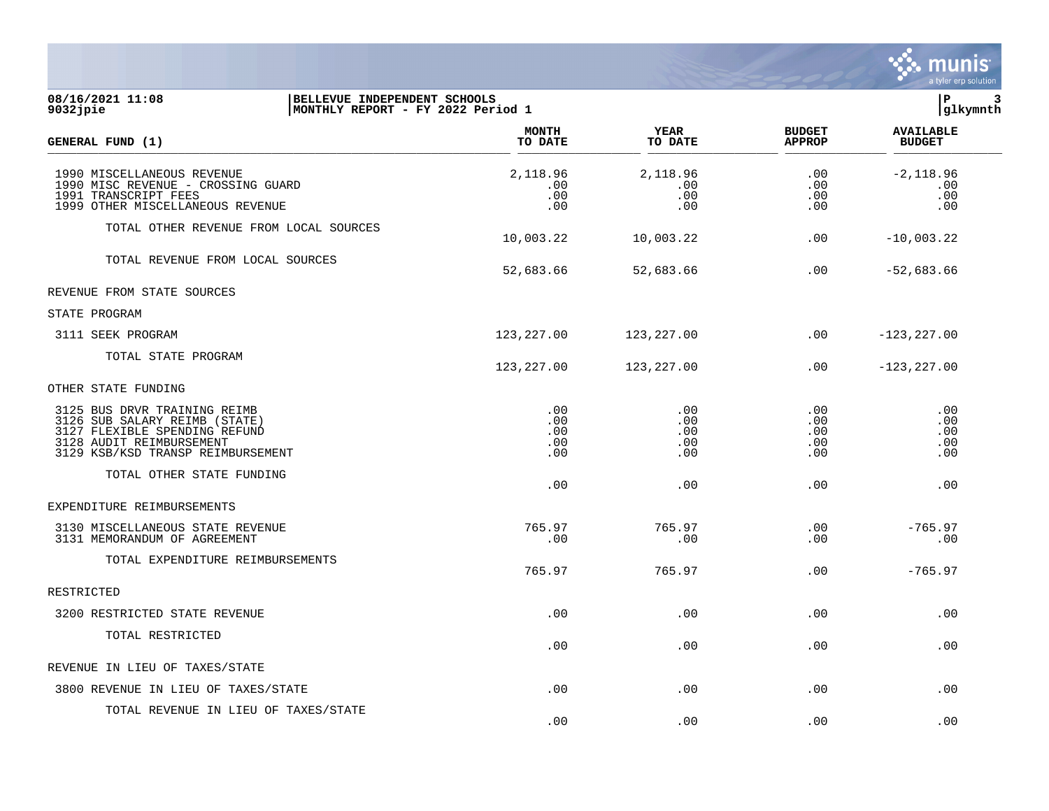

|                                                                                                                                                                 |                                 |                                 |                                 | $\frac{1}{2}$<br>a tyler erp solution |  |
|-----------------------------------------------------------------------------------------------------------------------------------------------------------------|---------------------------------|---------------------------------|---------------------------------|---------------------------------------|--|
| 08/16/2021 11:08<br>BELLEVUE INDEPENDENT SCHOOLS<br>9032jpie<br> MONTHLY REPORT - FY 2022 Period 1                                                              |                                 |                                 |                                 | l P<br> glkymnth                      |  |
| GENERAL FUND (1)                                                                                                                                                | <b>MONTH</b><br>TO DATE         | <b>YEAR</b><br>TO DATE          | <b>BUDGET</b><br><b>APPROP</b>  | <b>AVAILABLE</b><br><b>BUDGET</b>     |  |
| 1990 MISCELLANEOUS REVENUE<br>1990 MISC REVENUE - CROSSING GUARD<br>1991 TRANSCRIPT FEES<br>1999 OTHER MISCELLANEOUS REVENUE                                    | 2,118.96<br>.00<br>.00<br>.00   | 2,118.96<br>.00<br>.00<br>.00   | .00<br>.00<br>.00<br>.00        | $-2,118.96$<br>.00<br>.00<br>.00      |  |
| TOTAL OTHER REVENUE FROM LOCAL SOURCES                                                                                                                          | 10,003.22                       | 10,003.22                       | .00                             | $-10,003.22$                          |  |
| TOTAL REVENUE FROM LOCAL SOURCES                                                                                                                                | 52,683.66                       | 52,683.66                       | .00                             | $-52,683.66$                          |  |
| REVENUE FROM STATE SOURCES                                                                                                                                      |                                 |                                 |                                 |                                       |  |
| STATE PROGRAM                                                                                                                                                   |                                 |                                 |                                 |                                       |  |
| 3111 SEEK PROGRAM                                                                                                                                               | 123, 227.00                     | 123,227.00                      | .00                             | $-123, 227.00$                        |  |
| TOTAL STATE PROGRAM                                                                                                                                             | 123, 227.00                     | 123,227.00                      | .00                             | $-123, 227.00$                        |  |
| OTHER STATE FUNDING                                                                                                                                             |                                 |                                 |                                 |                                       |  |
| 3125 BUS DRVR TRAINING REIMB<br>3126 SUB SALARY REIMB (STATE)<br>3127 FLEXIBLE SPENDING REFUND<br>3128 AUDIT REIMBURSEMENT<br>3129 KSB/KSD TRANSP REIMBURSEMENT | .00<br>.00<br>.00<br>.00<br>.00 | .00<br>.00<br>.00<br>.00<br>.00 | .00<br>.00<br>.00<br>.00<br>.00 | .00<br>.00<br>.00<br>.00<br>.00       |  |
| TOTAL OTHER STATE FUNDING                                                                                                                                       | .00                             | .00                             | .00                             | .00                                   |  |
| EXPENDITURE REIMBURSEMENTS                                                                                                                                      |                                 |                                 |                                 |                                       |  |
| 3130 MISCELLANEOUS STATE REVENUE<br>3131 MEMORANDUM OF AGREEMENT                                                                                                | 765.97<br>.00                   | 765.97<br>.00                   | .00<br>.00                      | $-765.97$<br>.00                      |  |
| TOTAL EXPENDITURE REIMBURSEMENTS                                                                                                                                | 765.97                          | 765.97                          | .00                             | $-765.97$                             |  |
| RESTRICTED                                                                                                                                                      |                                 |                                 |                                 |                                       |  |
| 3200 RESTRICTED STATE REVENUE                                                                                                                                   | .00                             | .00                             | .00                             | .00                                   |  |
| TOTAL RESTRICTED                                                                                                                                                | .00                             | .00                             | .00                             | .00                                   |  |

3800 REVENUE IN LIEU OF TAXES/STATE .00 .00 .00 .00

 $.00$  .  $.00$  .  $.00$  .  $.00$  .  $.00$  .  $.00$ 

REVENUE IN LIEU OF TAXES/STATE

TOTAL REVENUE IN LIEU OF TAXES/STATE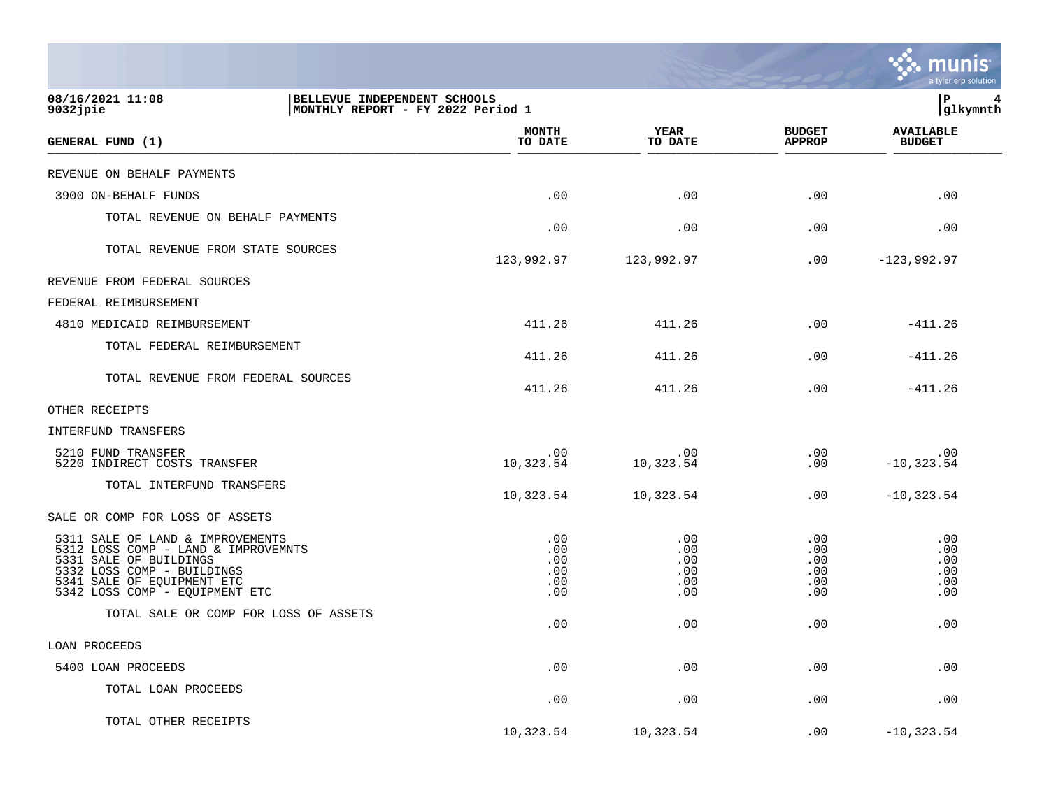|                                                                                                                                                                                                 |                                        |                                        |                                        | a tyler erp solution                   |
|-------------------------------------------------------------------------------------------------------------------------------------------------------------------------------------------------|----------------------------------------|----------------------------------------|----------------------------------------|----------------------------------------|
| 08/16/2021 11:08<br>BELLEVUE INDEPENDENT SCHOOLS<br>9032jpie                                                                                                                                    | MONTHLY REPORT - FY 2022 Period 1      |                                        |                                        | lР<br> glkymnth                        |
| GENERAL FUND (1)                                                                                                                                                                                | <b>MONTH</b><br>TO DATE                | <b>YEAR</b><br>TO DATE                 | <b>BUDGET</b><br><b>APPROP</b>         | <b>AVAILABLE</b><br><b>BUDGET</b>      |
| REVENUE ON BEHALF PAYMENTS                                                                                                                                                                      |                                        |                                        |                                        |                                        |
| 3900 ON-BEHALF FUNDS                                                                                                                                                                            | .00                                    | .00                                    | .00                                    | .00                                    |
| TOTAL REVENUE ON BEHALF PAYMENTS                                                                                                                                                                | .00                                    | .00                                    | .00                                    | .00                                    |
| TOTAL REVENUE FROM STATE SOURCES                                                                                                                                                                | 123,992.97                             | 123,992.97                             | $.00 \,$                               | $-123,992.97$                          |
| REVENUE FROM FEDERAL SOURCES                                                                                                                                                                    |                                        |                                        |                                        |                                        |
| FEDERAL REIMBURSEMENT                                                                                                                                                                           |                                        |                                        |                                        |                                        |
| 4810 MEDICAID REIMBURSEMENT                                                                                                                                                                     | 411.26                                 | 411.26                                 | .00                                    | $-411.26$                              |
| TOTAL FEDERAL REIMBURSEMENT                                                                                                                                                                     | 411.26                                 | 411.26                                 | .00                                    | $-411.26$                              |
| TOTAL REVENUE FROM FEDERAL SOURCES                                                                                                                                                              | 411.26                                 | 411.26                                 | .00                                    | $-411.26$                              |
| OTHER RECEIPTS                                                                                                                                                                                  |                                        |                                        |                                        |                                        |
| INTERFUND TRANSFERS                                                                                                                                                                             |                                        |                                        |                                        |                                        |
| 5210 FUND TRANSFER<br>5220 INDIRECT COSTS TRANSFER                                                                                                                                              | .00<br>10,323.54                       | .00<br>10,323.54                       | .00<br>.00                             | .00<br>$-10, 323.54$                   |
| TOTAL INTERFUND TRANSFERS                                                                                                                                                                       | 10,323.54                              | 10,323.54                              | $.00 \,$                               | $-10, 323.54$                          |
| SALE OR COMP FOR LOSS OF ASSETS                                                                                                                                                                 |                                        |                                        |                                        |                                        |
| 5311 SALE OF LAND & IMPROVEMENTS<br>5312 LOSS COMP - LAND & IMPROVEMNTS<br>5331 SALE OF BUILDINGS<br>5332 LOSS COMP - BUILDINGS<br>5341 SALE OF EOUIPMENT ETC<br>5342 LOSS COMP - EQUIPMENT ETC | .00<br>.00<br>.00<br>.00<br>.00<br>.00 | .00<br>.00<br>.00<br>.00<br>.00<br>.00 | .00<br>.00<br>.00<br>.00<br>.00<br>.00 | .00<br>.00<br>.00<br>.00<br>.00<br>.00 |
| TOTAL SALE OR COMP FOR LOSS OF ASSETS                                                                                                                                                           | .00                                    | .00                                    | .00                                    | .00                                    |
| LOAN PROCEEDS                                                                                                                                                                                   |                                        |                                        |                                        |                                        |
| 5400 LOAN PROCEEDS                                                                                                                                                                              | .00                                    | .00                                    | .00                                    | .00                                    |
| TOTAL LOAN PROCEEDS                                                                                                                                                                             | .00                                    | .00                                    | .00                                    | .00                                    |
| TOTAL OTHER RECEIPTS                                                                                                                                                                            | 10,323.54                              | 10,323.54                              | .00                                    | $-10, 323.54$                          |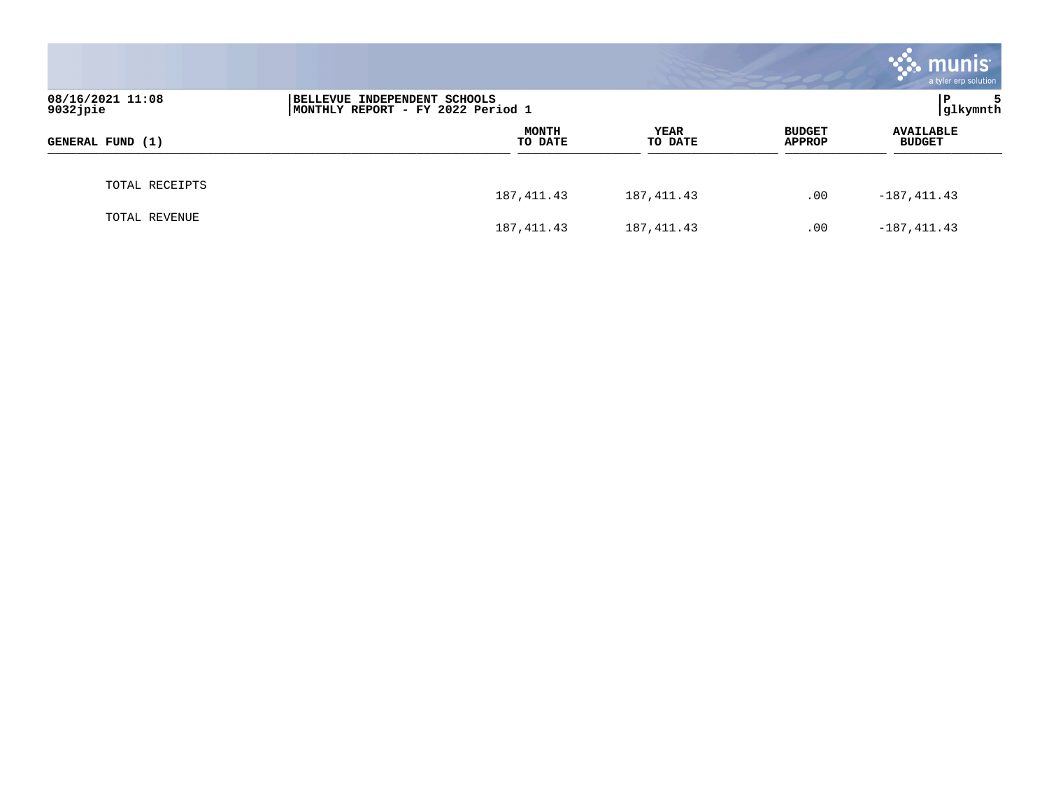|                                                                                                        |                         |                 |                                | <b>munis</b><br>a tyler erp solution |  |
|--------------------------------------------------------------------------------------------------------|-------------------------|-----------------|--------------------------------|--------------------------------------|--|
| 08/16/2021 11:08<br>INDEPENDENT SCHOOLS<br>  BELLEVUE<br>9032jpie<br>MONTHLY REPORT - FY 2022 Period 1 |                         |                 |                                | l P<br>5<br> glkymnth                |  |
| GENERAL FUND (1)                                                                                       | <b>MONTH</b><br>TO DATE | YEAR<br>TO DATE | <b>BUDGET</b><br><b>APPROP</b> | <b>AVAILABLE</b><br><b>BUDGET</b>    |  |
| TOTAL RECEIPTS                                                                                         | 187, 411.43             | 187,411.43      | .00                            | $-187, 411.43$                       |  |
| TOTAL REVENUE                                                                                          | 187, 411.43             | 187, 411.43     | .00                            | $-187, 411.43$                       |  |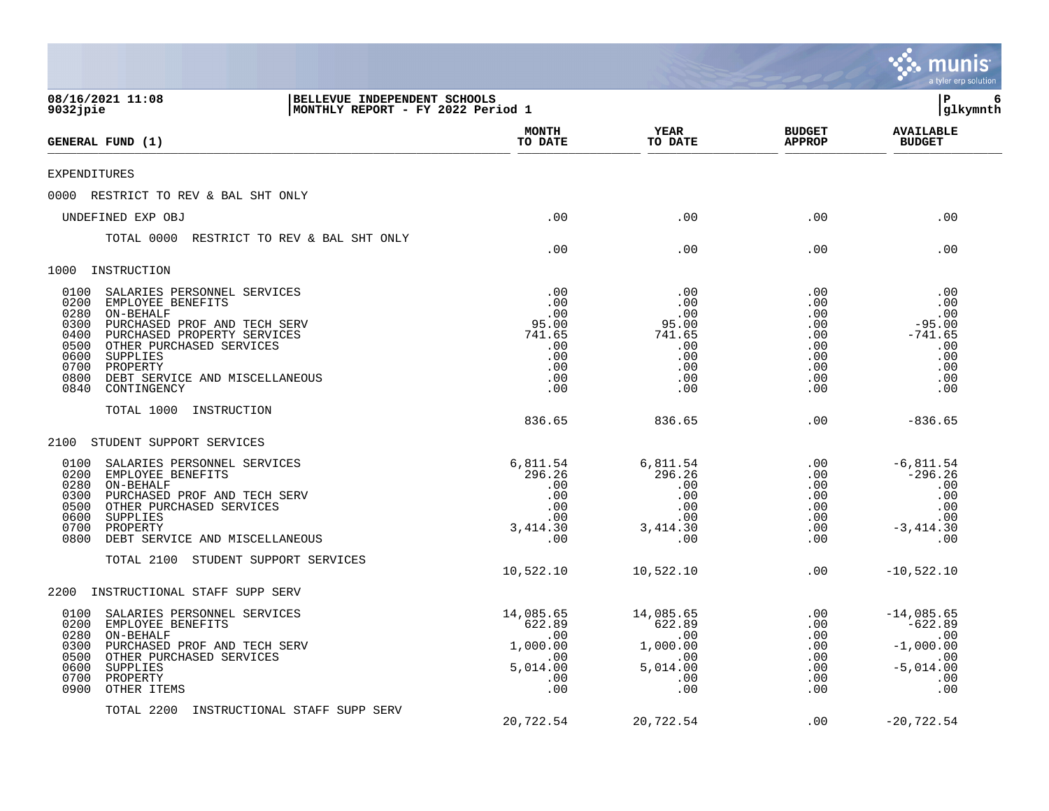|                                                                                                                                                                                                                                                                                                                   |                                                                         |                                                                         |                                                                    | munis<br>a tyler erp solution                                                       |
|-------------------------------------------------------------------------------------------------------------------------------------------------------------------------------------------------------------------------------------------------------------------------------------------------------------------|-------------------------------------------------------------------------|-------------------------------------------------------------------------|--------------------------------------------------------------------|-------------------------------------------------------------------------------------|
| BELLEVUE INDEPENDENT SCHOOLS<br>08/16/2021 11:08<br>9032jpie<br>MONTHLY REPORT - FY 2022 Period 1                                                                                                                                                                                                                 |                                                                         |                                                                         |                                                                    | l P<br>6<br> glkymnth                                                               |
| GENERAL FUND (1)                                                                                                                                                                                                                                                                                                  | <b>MONTH</b><br>TO DATE                                                 | <b>YEAR</b><br>TO DATE                                                  | <b>BUDGET</b><br><b>APPROP</b>                                     | <b>AVAILABLE</b><br><b>BUDGET</b>                                                   |
| EXPENDITURES                                                                                                                                                                                                                                                                                                      |                                                                         |                                                                         |                                                                    |                                                                                     |
| RESTRICT TO REV & BAL SHT ONLY<br>0000                                                                                                                                                                                                                                                                            |                                                                         |                                                                         |                                                                    |                                                                                     |
| UNDEFINED EXP OBJ                                                                                                                                                                                                                                                                                                 | .00                                                                     | .00                                                                     | .00                                                                | .00                                                                                 |
| TOTAL 0000<br>RESTRICT TO REV & BAL SHT ONLY                                                                                                                                                                                                                                                                      | .00                                                                     | .00                                                                     | .00                                                                | .00                                                                                 |
| 1000 INSTRUCTION                                                                                                                                                                                                                                                                                                  |                                                                         |                                                                         |                                                                    |                                                                                     |
| 0100<br>SALARIES PERSONNEL SERVICES<br>0200<br>EMPLOYEE BENEFITS<br>0280<br>ON-BEHALF<br>0300<br>PURCHASED PROF AND TECH SERV<br>0400<br>PURCHASED PROPERTY SERVICES<br>0500<br>OTHER PURCHASED SERVICES<br>0600<br>SUPPLIES<br>0700<br>PROPERTY<br>0800<br>DEBT SERVICE AND MISCELLANEOUS<br>0840<br>CONTINGENCY | .00<br>.00<br>.00<br>95.00<br>741.65<br>.00<br>.00<br>.00<br>.00<br>.00 | .00<br>.00<br>.00<br>95.00<br>741.65<br>.00<br>.00<br>.00<br>.00<br>.00 | .00<br>.00<br>.00<br>.00<br>.00<br>.00<br>.00<br>.00<br>.00<br>.00 | .00<br>.00<br>.00<br>$-95.00$<br>$-741.65$<br>.00<br>.00<br>.00<br>.00<br>.00       |
| TOTAL 1000<br>INSTRUCTION                                                                                                                                                                                                                                                                                         |                                                                         |                                                                         |                                                                    |                                                                                     |
|                                                                                                                                                                                                                                                                                                                   | 836.65                                                                  | 836.65                                                                  | .00                                                                | $-836.65$                                                                           |
| 2100<br>STUDENT SUPPORT SERVICES                                                                                                                                                                                                                                                                                  |                                                                         |                                                                         |                                                                    |                                                                                     |
| 0100<br>SALARIES PERSONNEL SERVICES<br>0200<br>EMPLOYEE BENEFITS<br>0280<br>ON-BEHALF<br>0300<br>PURCHASED PROF AND TECH SERV<br>0500<br>OTHER PURCHASED SERVICES<br>0600<br>SUPPLIES<br>0700<br>PROPERTY<br>0800<br>DEBT SERVICE AND MISCELLANEOUS                                                               | 6,811.54<br>296.26<br>.00<br>.00<br>.00<br>.00<br>3,414.30<br>.00       | 6,811.54<br>296.26<br>.00<br>.00<br>.00<br>.00<br>3, 414.30<br>.00      | .00<br>$.00 \,$<br>.00<br>.00<br>.00<br>.00<br>.00<br>.00          | $-6,811.54$<br>$-296.26$<br>.00<br>.00<br>.00<br>.00<br>$-3,414.30$<br>.00          |
| TOTAL 2100<br>STUDENT SUPPORT SERVICES                                                                                                                                                                                                                                                                            |                                                                         |                                                                         |                                                                    |                                                                                     |
|                                                                                                                                                                                                                                                                                                                   | 10,522.10                                                               | 10,522.10                                                               | .00                                                                | $-10,522.10$                                                                        |
| INSTRUCTIONAL STAFF SUPP SERV<br>2200                                                                                                                                                                                                                                                                             |                                                                         |                                                                         |                                                                    |                                                                                     |
| 0100<br>SALARIES PERSONNEL SERVICES<br>0200<br>EMPLOYEE BENEFITS<br>0280<br>ON-BEHALF<br>0300<br>PURCHASED PROF AND TECH SERV<br>0500<br>OTHER PURCHASED SERVICES<br>0600<br>SUPPLIES<br>0700<br>PROPERTY<br>0900<br>OTHER ITEMS                                                                                  | 14,085.65<br>622.89<br>.00<br>1,000.00<br>.00<br>5,014.00<br>.00<br>.00 | 14,085.65<br>622.89<br>.00<br>1,000.00<br>.00<br>5,014.00<br>.00<br>.00 | .00<br>.00<br>.00<br>.00<br>.00<br>.00<br>.00<br>.00               | $-14,085.65$<br>$-622.89$<br>.00<br>$-1,000.00$<br>.00<br>$-5,014.00$<br>.00<br>.00 |
| TOTAL 2200<br>INSTRUCTIONAL STAFF SUPP SERV                                                                                                                                                                                                                                                                       | 20,722.54                                                               | 20,722.54                                                               | .00                                                                | $-20, 722.54$                                                                       |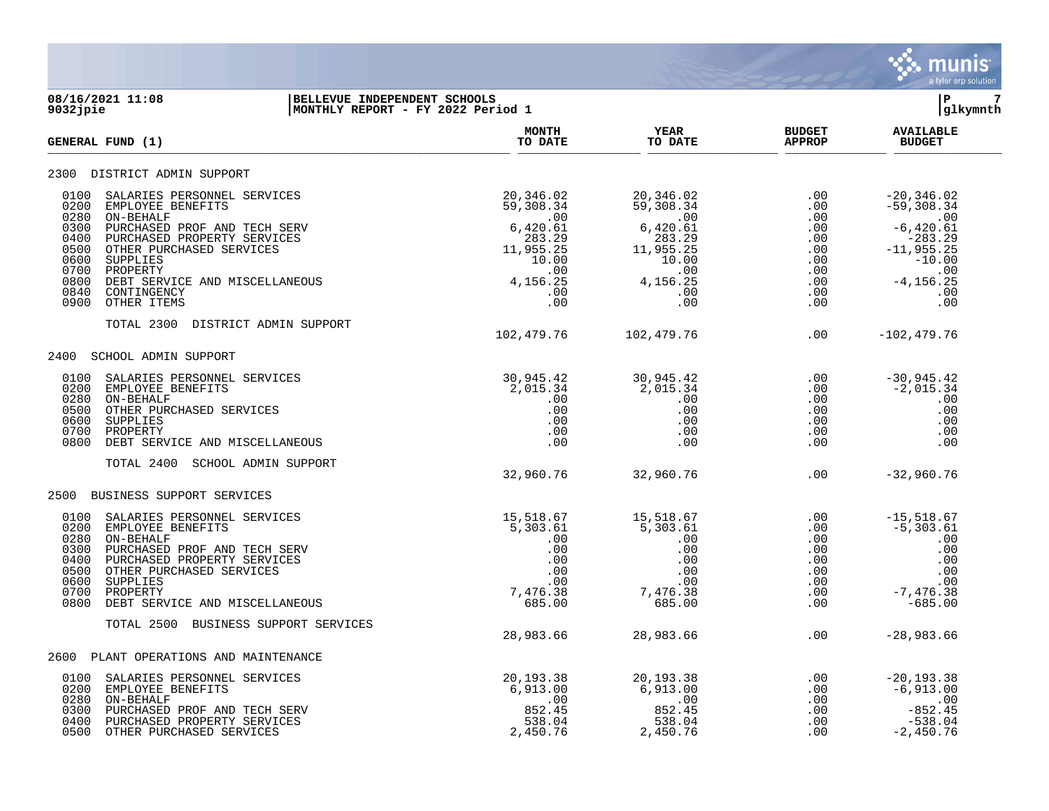

## **08/16/2021 11:08 |BELLEVUE INDEPENDENT SCHOOLS |P 7 9032jpie |MONTHLY REPORT - FY 2022 Period 1 |glkymnth**

| GENERAL FUND (1)                                                                                                                                                                                                                                                                                                                         | <b>MONTH</b><br>TO DATE                                                                                                                                                                                                                                                                                                                                | <b>YEAR</b><br>TO DATE                                                                                                                                                   | <b>BUDGET</b><br><b>APPROP</b> | <b>AVAILABLE</b><br><b>BUDGET</b>                                     |
|------------------------------------------------------------------------------------------------------------------------------------------------------------------------------------------------------------------------------------------------------------------------------------------------------------------------------------------|--------------------------------------------------------------------------------------------------------------------------------------------------------------------------------------------------------------------------------------------------------------------------------------------------------------------------------------------------------|--------------------------------------------------------------------------------------------------------------------------------------------------------------------------|--------------------------------|-----------------------------------------------------------------------|
| 2300 DISTRICT ADMIN SUPPORT                                                                                                                                                                                                                                                                                                              |                                                                                                                                                                                                                                                                                                                                                        |                                                                                                                                                                          |                                |                                                                       |
| 0100<br>SALARIES PERSONNEL SERVICES<br>0200<br>EMPLOYEE BENEFITS<br>0280<br>ON-BEHALF<br>0300<br>PURCHASED PROF AND TECH SERV<br>0400<br>PURCHASED PROPERTY SERVICES<br>0500<br>OTHER PURCHASED SERVICES<br>0600<br>SUPPLIES<br>0700<br>PROPERTY<br>0800<br>DEBT SERVICE AND MISCELLANEOUS<br>0840<br>CONTINGENCY<br>0900<br>OTHER ITEMS | $\begin{array}{cccccc} 20\,, 346\,.\, 02 \, \\ 59\,, 308\,.\, 34 \, \\ 59\,, 308\,.\, 34 \, \\ 00 \, \\ 00 \, \\ 283\,.\, 29 \, \\ 10\,, 955\,.\, 25 \, \\ 10\,.\, 00 \, \\ 00 \, \\ 4\,, 156\,.\, 25 \, \\ 00 \, \\ 00 \, \\ 00 \, \\ 00 \, \\ 00 \, \\ 00 \, \\ 00 \, \\ 00 \, \\ 00 \, \\ 00 \, \\ 00 \, \\ 00 \, \\ $                              |                                                                                                                                                                          |                                |                                                                       |
| TOTAL 2300<br>DISTRICT ADMIN SUPPORT                                                                                                                                                                                                                                                                                                     | 102,479.76                                                                                                                                                                                                                                                                                                                                             | 102,479.76                                                                                                                                                               | $.00 \,$                       | $-102, 479.76$                                                        |
| SCHOOL ADMIN SUPPORT<br>2400                                                                                                                                                                                                                                                                                                             |                                                                                                                                                                                                                                                                                                                                                        |                                                                                                                                                                          |                                |                                                                       |
| 0100<br>SALARIES PERSONNEL SERVICES<br>0200<br>EMPLOYEE BENEFITS<br>0280<br>ON-BEHALF<br>0500<br>OTHER PURCHASED SERVICES<br>0600<br>SUPPLIES<br>0700<br>PROPERTY<br>0800<br>DEBT SERVICE AND MISCELLANEOUS<br>TOTAL 2400<br>SCHOOL ADMIN SUPPORT                                                                                        |                                                                                                                                                                                                                                                                                                                                                        |                                                                                                                                                                          |                                |                                                                       |
|                                                                                                                                                                                                                                                                                                                                          | 32,960.76                                                                                                                                                                                                                                                                                                                                              | 32,960.76                                                                                                                                                                |                                | $-32,960.76$                                                          |
| 2500 BUSINESS SUPPORT SERVICES                                                                                                                                                                                                                                                                                                           |                                                                                                                                                                                                                                                                                                                                                        |                                                                                                                                                                          |                                |                                                                       |
| 0100<br>SALARIES PERSONNEL SERVICES<br>0200<br>EMPLOYEE BENEFITS<br>0280<br>ON-BEHALF<br>0300<br>PURCHASED PROF AND TECH SERV<br>0400<br>PURCHASED PROPERTY SERVICES<br>0500<br>OTHER PURCHASED SERVICES<br>0600<br>SUPPLIES<br>0700<br>PROPERTY<br>0800<br>DEBT SERVICE AND MISCELLANEOUS                                               | $\begin{array}{cccccccc} 15,51867 & & & 15,51867 & & & .00 & & & -15,51867 \\ & & 5,303.61 & & & 5,303.61 & & & .00 & & & -5,303.61 \\ & & & 00 & & & .00 & & & .00 & & & .00 & & & 00 \\ & & & & 00 & & & & 00 & & & & 00 & & & 00 \\ & & & & 00 & & & & 00 & & & & 00 & & & 00 \\ & & & & & 00 & & & & 00 & & & & 00 & & & 00 \\ & & & & & 00 & & &$ |                                                                                                                                                                          |                                |                                                                       |
| TOTAL 2500<br>BUSINESS SUPPORT SERVICES                                                                                                                                                                                                                                                                                                  | 28,983.66                                                                                                                                                                                                                                                                                                                                              | 28,983.66                                                                                                                                                                | .00                            | $-28,983.66$                                                          |
| 2600 PLANT OPERATIONS AND MAINTENANCE                                                                                                                                                                                                                                                                                                    |                                                                                                                                                                                                                                                                                                                                                        |                                                                                                                                                                          |                                |                                                                       |
| SALARIES PERSONNEL SERVICES<br>0100<br>0200<br>EMPLOYEE BENEFITS<br>ON-BEHALF<br>0280<br>0300<br>PURCHASED PROF AND TECH SERV<br>0400<br>PURCHASED PROPERTY SERVICES<br>0500<br>OTHER PURCHASED SERVICES                                                                                                                                 | 20,193.38<br>6,913.00<br>.00<br>852.45<br>538.04<br>2,450.76                                                                                                                                                                                                                                                                                           | $\begin{array}{cccc} 20\,, 193\,.\, 38 & .00\ 6\,, 913\,.\, 00 & .00\ 852\,.\, 45 & .00\ 538\,.\, 04 & .00\ 2\,, 450\,.\, 76 & .00\ \end{array}$<br>6,913.00<br>2,450.76 | .00                            | $-20, 193.38$<br>$-6,913.00$<br>$-852.45$<br>$-538.04$<br>$-2,450.76$ |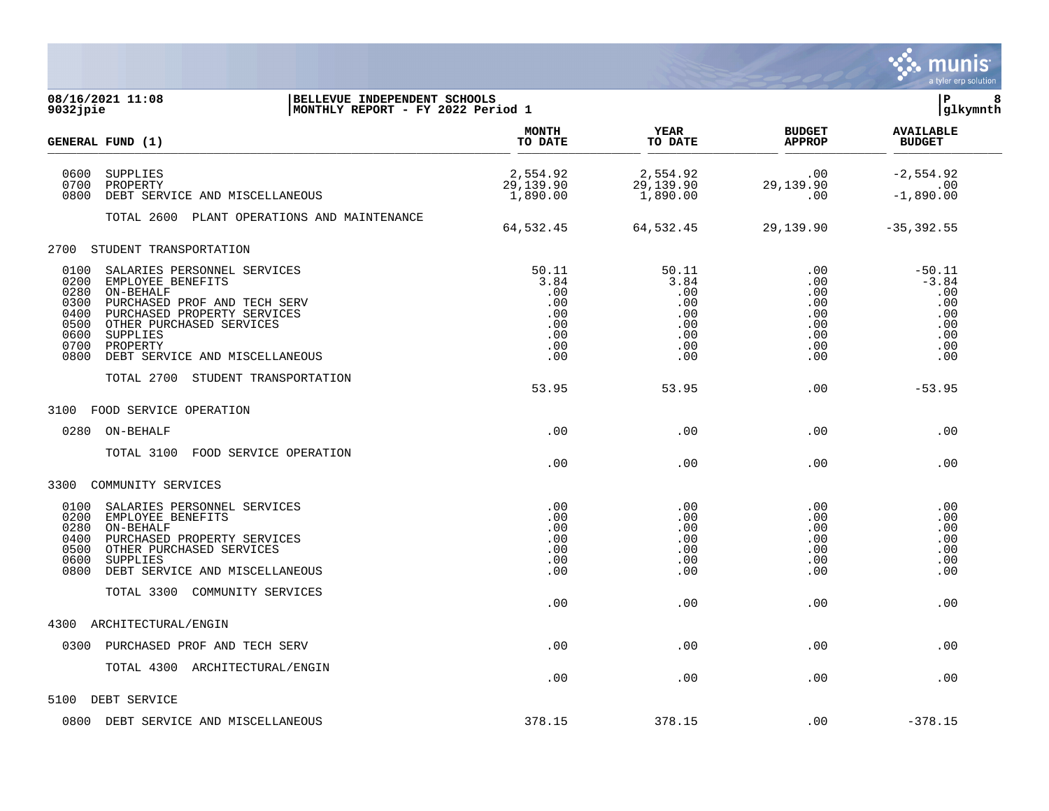|                                                                                                                                                                                                                                                                                                   |                                                                |                                                                |                                                             | a tyler erp solution                                                 |
|---------------------------------------------------------------------------------------------------------------------------------------------------------------------------------------------------------------------------------------------------------------------------------------------------|----------------------------------------------------------------|----------------------------------------------------------------|-------------------------------------------------------------|----------------------------------------------------------------------|
| 08/16/2021 11:08<br>BELLEVUE INDEPENDENT SCHOOLS<br>MONTHLY REPORT - FY 2022 Period 1<br>9032jpie                                                                                                                                                                                                 |                                                                |                                                                |                                                             | l P<br>8<br> glkymnth                                                |
| GENERAL FUND (1)                                                                                                                                                                                                                                                                                  | <b>MONTH</b><br>TO DATE                                        | <b>YEAR</b><br>TO DATE                                         | <b>BUDGET</b><br><b>APPROP</b>                              | <b>AVAILABLE</b><br><b>BUDGET</b>                                    |
| 0600<br>SUPPLIES<br>0700<br>PROPERTY<br>0800<br>DEBT SERVICE AND MISCELLANEOUS                                                                                                                                                                                                                    | 2,554.92<br>29,139.90<br>1,890.00                              | 2,554.92<br>29,139.90<br>1,890.00                              | .00<br>29,139.90<br>.00                                     | $-2,554.92$<br>.00<br>$-1,890.00$                                    |
| TOTAL 2600 PLANT OPERATIONS AND MAINTENANCE                                                                                                                                                                                                                                                       | 64,532.45                                                      | 64,532.45                                                      | 29,139.90                                                   | $-35, 392.55$                                                        |
| 2700<br>STUDENT TRANSPORTATION                                                                                                                                                                                                                                                                    |                                                                |                                                                |                                                             |                                                                      |
| 0100<br>SALARIES PERSONNEL SERVICES<br>0200<br>EMPLOYEE BENEFITS<br>0280<br>ON-BEHALF<br>0300<br>PURCHASED PROF AND TECH SERV<br>0400<br>PURCHASED PROPERTY SERVICES<br>0500<br>OTHER PURCHASED SERVICES<br>0600<br><b>SUPPLIES</b><br>0700<br>PROPERTY<br>0800<br>DEBT SERVICE AND MISCELLANEOUS | 50.11<br>3.84<br>.00<br>.00<br>.00<br>.00<br>.00<br>.00<br>.00 | 50.11<br>3.84<br>.00<br>.00<br>.00<br>.00<br>.00<br>.00<br>.00 | .00<br>.00<br>.00<br>.00<br>.00<br>.00<br>.00<br>.00<br>.00 | $-50.11$<br>$-3.84$<br>.00<br>.00<br>.00<br>.00<br>.00<br>.00<br>.00 |
| TOTAL 2700<br>STUDENT TRANSPORTATION                                                                                                                                                                                                                                                              | 53.95                                                          | 53.95                                                          | .00                                                         | $-53.95$                                                             |
| FOOD SERVICE OPERATION<br>3100                                                                                                                                                                                                                                                                    |                                                                |                                                                |                                                             |                                                                      |
| 0280<br>ON-BEHALF                                                                                                                                                                                                                                                                                 | .00                                                            | .00                                                            | .00                                                         | .00                                                                  |
| FOOD SERVICE OPERATION<br>TOTAL 3100                                                                                                                                                                                                                                                              | .00                                                            | .00                                                            | .00                                                         | .00                                                                  |
| COMMUNITY SERVICES<br>3300                                                                                                                                                                                                                                                                        |                                                                |                                                                |                                                             |                                                                      |
| 0100<br>SALARIES PERSONNEL SERVICES<br>0200<br>EMPLOYEE BENEFITS<br>0280<br>ON-BEHALF<br>0400<br>PURCHASED PROPERTY SERVICES<br>0500<br>OTHER PURCHASED SERVICES<br>0600<br>SUPPLIES<br>0800<br>DEBT SERVICE AND MISCELLANEOUS                                                                    | .00<br>.00<br>.00<br>.00<br>.00<br>.00<br>.00                  | .00<br>.00<br>.00<br>.00<br>.00<br>.00<br>.00                  | .00<br>$.00 \,$<br>.00<br>.00<br>.00<br>.00<br>.00          | .00<br>.00<br>.00<br>.00<br>.00<br>.00<br>.00                        |
| TOTAL 3300<br>COMMUNITY SERVICES                                                                                                                                                                                                                                                                  | .00                                                            | .00                                                            | .00                                                         | .00                                                                  |
| ARCHITECTURAL/ENGIN<br>4300                                                                                                                                                                                                                                                                       |                                                                |                                                                |                                                             |                                                                      |
| 0300<br>PURCHASED PROF AND TECH SERV                                                                                                                                                                                                                                                              | .00                                                            | .00                                                            | .00                                                         | .00                                                                  |
| TOTAL 4300 ARCHITECTURAL/ENGIN                                                                                                                                                                                                                                                                    | .00                                                            | .00                                                            | .00                                                         | .00                                                                  |
| 5100<br>DEBT SERVICE                                                                                                                                                                                                                                                                              |                                                                |                                                                |                                                             |                                                                      |
| DEBT SERVICE AND MISCELLANEOUS<br>0800                                                                                                                                                                                                                                                            | 378.15                                                         | 378.15                                                         | .00                                                         | $-378.15$                                                            |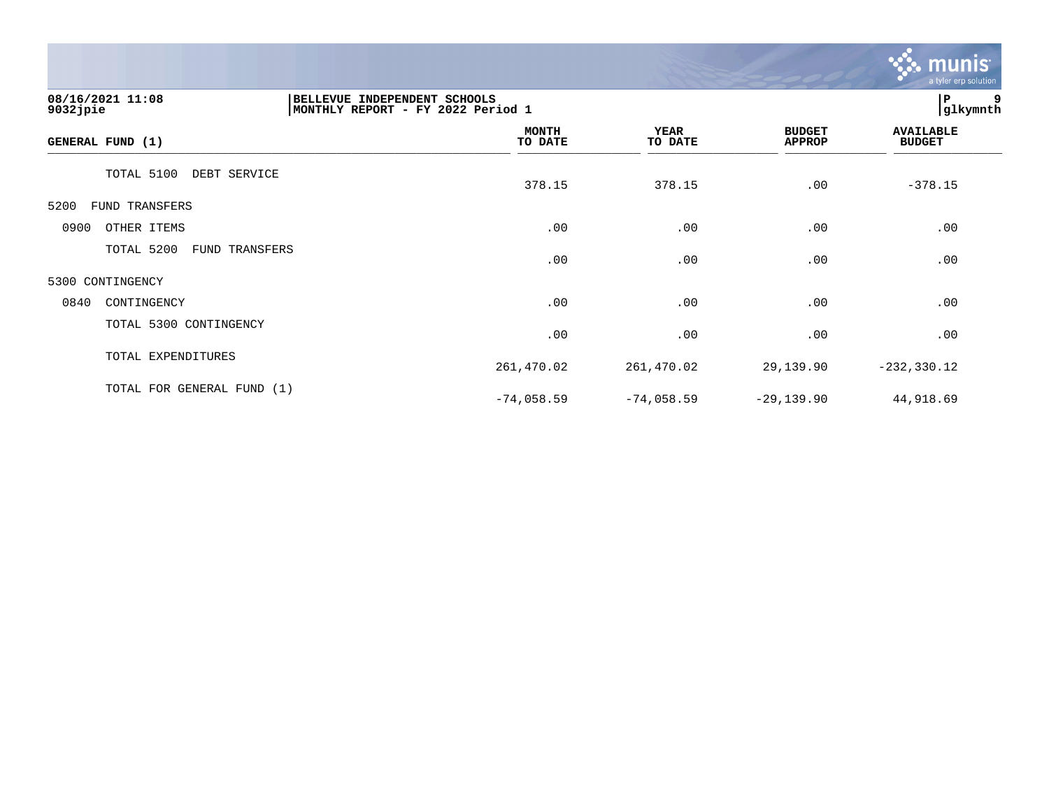

| 08/16/2021 11:08<br>$9032$ jpie | BELLEVUE INDEPENDENT SCHOOLS<br>MONTHLY REPORT - FY 2022 Period 1 |     |                        |                                | l P<br>9<br> glkymnth             |  |
|---------------------------------|-------------------------------------------------------------------|-----|------------------------|--------------------------------|-----------------------------------|--|
| GENERAL FUND (1)                | <b>MONTH</b><br>TO DATE                                           |     | <b>YEAR</b><br>TO DATE | <b>BUDGET</b><br><b>APPROP</b> | <b>AVAILABLE</b><br><b>BUDGET</b> |  |
| TOTAL 5100                      | DEBT SERVICE<br>378.15                                            |     | 378.15                 | .00                            | $-378.15$                         |  |
| 5200<br>FUND TRANSFERS          |                                                                   |     |                        |                                |                                   |  |
| 0900<br>OTHER ITEMS             |                                                                   | .00 | .00                    | .00                            | .00                               |  |
| TOTAL 5200                      | FUND TRANSFERS                                                    | .00 | .00                    | .00                            | .00                               |  |
| 5300 CONTINGENCY                |                                                                   |     |                        |                                |                                   |  |
| 0840<br>CONTINGENCY             |                                                                   | .00 | .00                    | .00                            | .00                               |  |
| TOTAL 5300 CONTINGENCY          |                                                                   | .00 | .00                    | .00                            | .00                               |  |
| TOTAL EXPENDITURES              | 261,470.02                                                        |     | 261,470.02             | 29,139.90                      | $-232, 330.12$                    |  |
| TOTAL FOR GENERAL FUND (1)      | $-74,058.59$                                                      |     | $-74,058.59$           | $-29,139.90$                   | 44,918.69                         |  |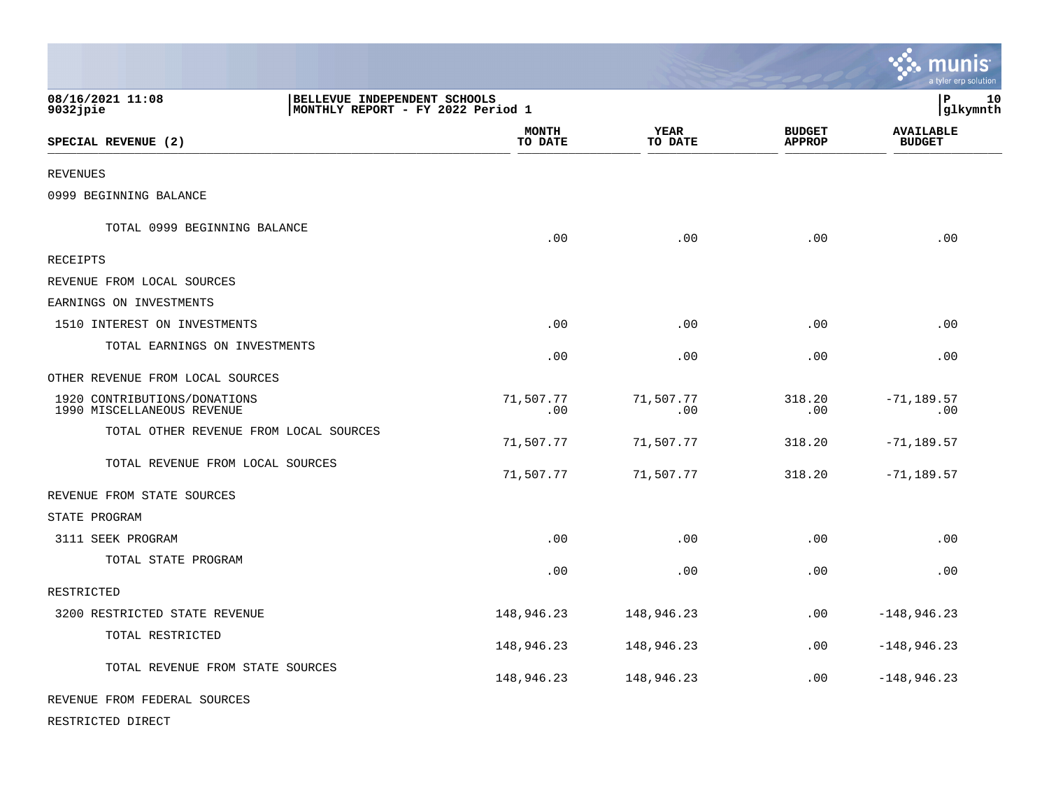|                                                            |                                                                   |                         |                        |                                | <b>A.</b> POSTAGE<br>a tyler erp solution |                |
|------------------------------------------------------------|-------------------------------------------------------------------|-------------------------|------------------------|--------------------------------|-------------------------------------------|----------------|
| 08/16/2021 11:08<br>$9032$ jpie                            | BELLEVUE INDEPENDENT SCHOOLS<br>MONTHLY REPORT - FY 2022 Period 1 |                         |                        |                                | l P                                       | 10<br>glkymnth |
| SPECIAL REVENUE (2)                                        |                                                                   | <b>MONTH</b><br>TO DATE | <b>YEAR</b><br>TO DATE | <b>BUDGET</b><br><b>APPROP</b> | <b>AVAILABLE</b><br><b>BUDGET</b>         |                |
| <b>REVENUES</b>                                            |                                                                   |                         |                        |                                |                                           |                |
| 0999 BEGINNING BALANCE                                     |                                                                   |                         |                        |                                |                                           |                |
| TOTAL 0999 BEGINNING BALANCE                               |                                                                   | .00                     | .00                    | .00                            | .00                                       |                |
| RECEIPTS                                                   |                                                                   |                         |                        |                                |                                           |                |
| REVENUE FROM LOCAL SOURCES                                 |                                                                   |                         |                        |                                |                                           |                |
| EARNINGS ON INVESTMENTS                                    |                                                                   |                         |                        |                                |                                           |                |
| 1510 INTEREST ON INVESTMENTS                               |                                                                   | .00                     | .00                    | .00                            | .00                                       |                |
| TOTAL EARNINGS ON INVESTMENTS                              |                                                                   | .00                     | .00                    | .00                            | .00                                       |                |
| OTHER REVENUE FROM LOCAL SOURCES                           |                                                                   |                         |                        |                                |                                           |                |
| 1920 CONTRIBUTIONS/DONATIONS<br>1990 MISCELLANEOUS REVENUE |                                                                   | 71,507.77<br>.00        | 71,507.77<br>.00       | 318.20<br>.00                  | $-71, 189.57$<br>.00                      |                |
| TOTAL OTHER REVENUE FROM LOCAL SOURCES                     |                                                                   | 71,507.77               | 71,507.77              | 318.20                         | $-71, 189.57$                             |                |
| TOTAL REVENUE FROM LOCAL SOURCES                           |                                                                   | 71,507.77               | 71,507.77              | 318.20                         | $-71, 189.57$                             |                |
| REVENUE FROM STATE SOURCES                                 |                                                                   |                         |                        |                                |                                           |                |
| STATE PROGRAM                                              |                                                                   |                         |                        |                                |                                           |                |
| 3111 SEEK PROGRAM                                          |                                                                   | .00                     | .00                    | .00                            | .00                                       |                |
| TOTAL STATE PROGRAM                                        |                                                                   | .00                     | .00                    | .00                            | .00                                       |                |
| RESTRICTED                                                 |                                                                   |                         |                        |                                |                                           |                |
| 3200 RESTRICTED STATE REVENUE                              |                                                                   | 148,946.23              | 148,946.23             | .00                            | $-148,946.23$                             |                |
| TOTAL RESTRICTED                                           |                                                                   | 148,946.23              | 148,946.23             | .00                            | $-148,946.23$                             |                |
| TOTAL REVENUE FROM STATE SOURCES                           |                                                                   | 148,946.23              | 148,946.23             | .00                            | $-148,946.23$                             |                |
| REVENUE FROM FEDERAL SOURCES                               |                                                                   |                         |                        |                                |                                           |                |

 $\ddot{\cdot}$  munic

RESTRICTED DIRECT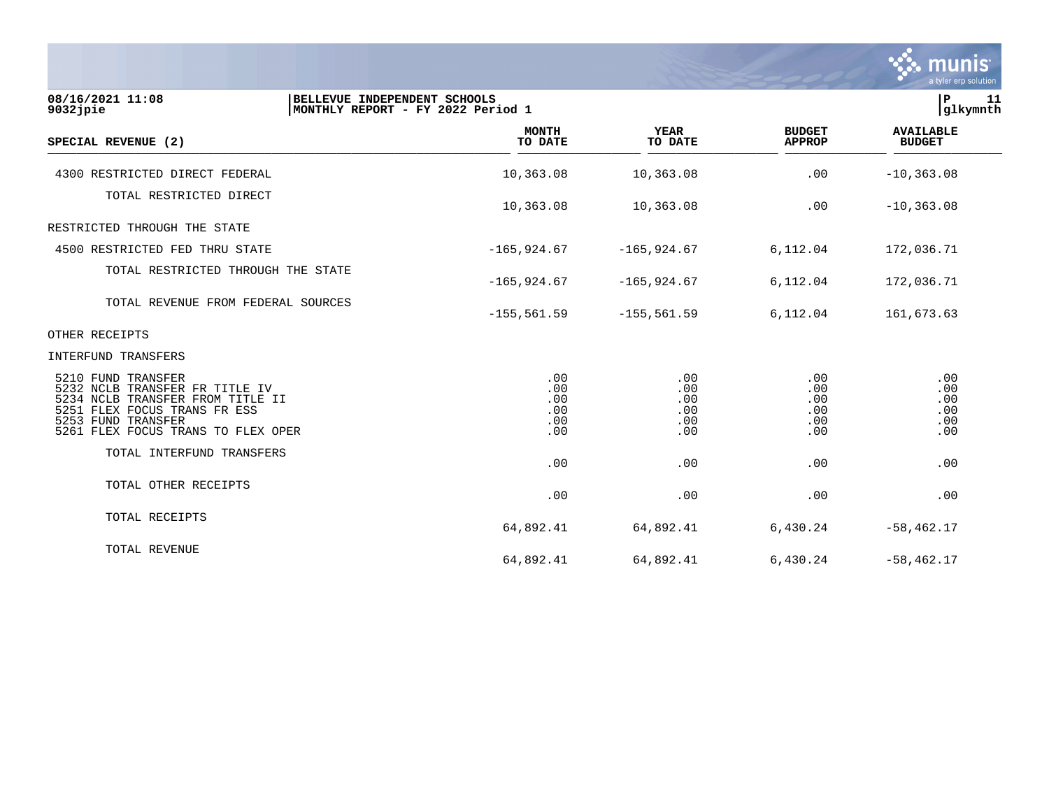

| 08/16/2021 11:08<br>9032jpie                                                                                                                                                         | BELLEVUE INDEPENDENT SCHOOLS<br>MONTHLY REPORT - FY 2022 Period 1 |                                        |                                                       |                                        |  |
|--------------------------------------------------------------------------------------------------------------------------------------------------------------------------------------|-------------------------------------------------------------------|----------------------------------------|-------------------------------------------------------|----------------------------------------|--|
| SPECIAL REVENUE (2)                                                                                                                                                                  | <b>MONTH</b><br>TO DATE                                           | <b>YEAR</b><br>TO DATE                 | <b>BUDGET</b><br><b>APPROP</b>                        | <b>AVAILABLE</b><br><b>BUDGET</b>      |  |
| 4300 RESTRICTED DIRECT FEDERAL                                                                                                                                                       | 10,363.08                                                         | 10,363.08                              | .00                                                   | $-10, 363.08$                          |  |
| TOTAL RESTRICTED DIRECT                                                                                                                                                              | 10,363.08                                                         | 10,363.08                              | .00                                                   | $-10, 363.08$                          |  |
| RESTRICTED THROUGH THE STATE                                                                                                                                                         |                                                                   |                                        |                                                       |                                        |  |
| 4500 RESTRICTED FED THRU STATE                                                                                                                                                       | $-165,924.67$                                                     | $-165,924.67$                          | 6,112.04                                              | 172,036.71                             |  |
| TOTAL RESTRICTED THROUGH THE STATE                                                                                                                                                   | $-165,924.67$                                                     | $-165,924.67$                          | 6,112.04                                              | 172,036.71                             |  |
| TOTAL REVENUE FROM FEDERAL SOURCES                                                                                                                                                   | $-155, 561.59$                                                    | $-155, 561.59$                         | 6,112.04                                              | 161,673.63                             |  |
| OTHER RECEIPTS                                                                                                                                                                       |                                                                   |                                        |                                                       |                                        |  |
| INTERFUND TRANSFERS                                                                                                                                                                  |                                                                   |                                        |                                                       |                                        |  |
| 5210 FUND TRANSFER<br>5232 NCLB TRANSFER FR TITLE IV<br>5234 NCLB TRANSFER FROM TITLE II<br>5251 FLEX FOCUS TRANS FR ESS<br>5253 FUND TRANSFER<br>5261 FLEX FOCUS TRANS TO FLEX OPER | .00<br>.00<br>.00<br>.00<br>.00<br>.00                            | .00<br>.00<br>.00<br>.00<br>.00<br>.00 | $.00 \,$<br>$.00 \,$<br>.00<br>.00<br>$.00 \,$<br>.00 | .00<br>.00<br>.00<br>.00<br>.00<br>.00 |  |
| TOTAL INTERFUND TRANSFERS                                                                                                                                                            | .00                                                               | .00                                    | .00                                                   | .00                                    |  |
| TOTAL OTHER RECEIPTS                                                                                                                                                                 | .00                                                               | .00                                    | .00                                                   | .00                                    |  |
| TOTAL RECEIPTS                                                                                                                                                                       | 64,892.41                                                         | 64,892.41                              | 6,430.24                                              | $-58, 462.17$                          |  |
| TOTAL REVENUE                                                                                                                                                                        | 64,892.41                                                         | 64,892.41                              | 6,430.24                                              | $-58,462.17$                           |  |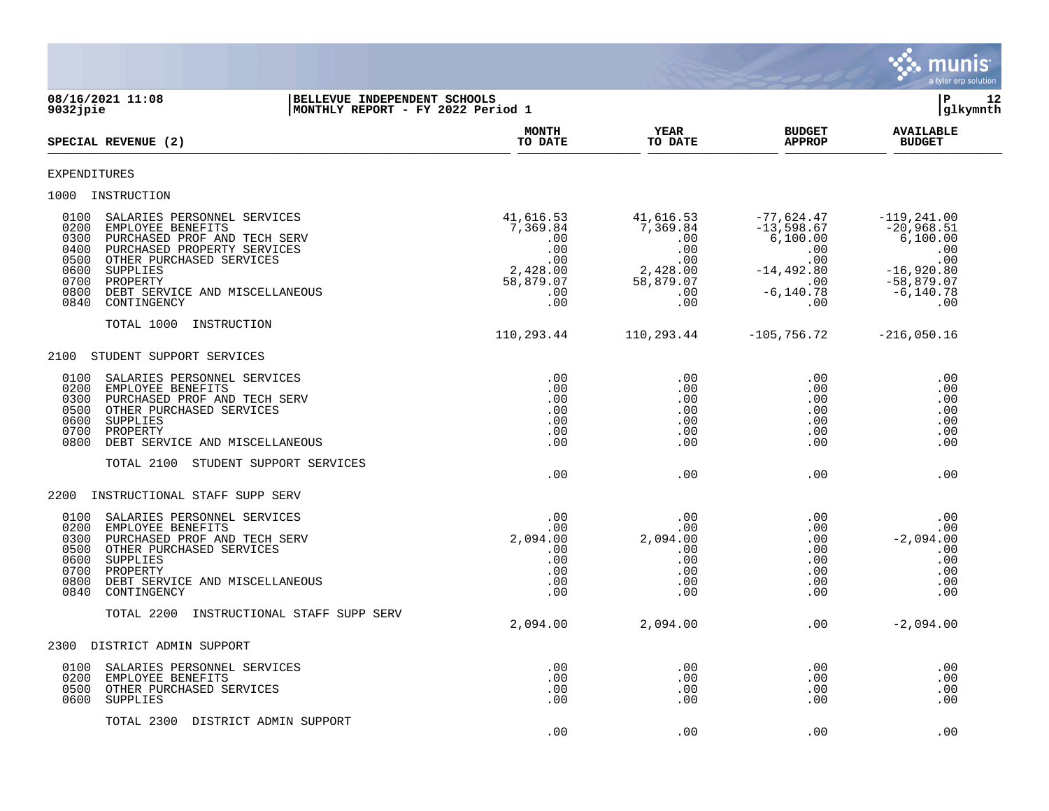

| 9032jpie                                                             | 08/16/2021 11:08<br>BELLEVUE INDEPENDENT SCHOOLS<br>MONTHLY REPORT - FY 2022 Period 1                                                                                                                                |                                                                                   |                                                                                   |                                                                                                      | P.<br>12<br> glkymnth                                                                                           |  |  |
|----------------------------------------------------------------------|----------------------------------------------------------------------------------------------------------------------------------------------------------------------------------------------------------------------|-----------------------------------------------------------------------------------|-----------------------------------------------------------------------------------|------------------------------------------------------------------------------------------------------|-----------------------------------------------------------------------------------------------------------------|--|--|
|                                                                      | SPECIAL REVENUE (2)                                                                                                                                                                                                  | <b>MONTH</b><br>TO DATE                                                           | <b>YEAR</b><br>TO DATE                                                            | <b>BUDGET</b><br><b>APPROP</b>                                                                       | <b>AVAILABLE</b><br><b>BUDGET</b>                                                                               |  |  |
| <b>EXPENDITURES</b>                                                  |                                                                                                                                                                                                                      |                                                                                   |                                                                                   |                                                                                                      |                                                                                                                 |  |  |
|                                                                      | 1000 INSTRUCTION                                                                                                                                                                                                     |                                                                                   |                                                                                   |                                                                                                      |                                                                                                                 |  |  |
| 0100<br>0200<br>0300<br>0400<br>0500<br>0600<br>0700<br>0800<br>0840 | SALARIES PERSONNEL SERVICES<br>EMPLOYEE BENEFITS<br>PURCHASED PROF AND TECH SERV<br>PURCHASED PROPERTY SERVICES<br>OTHER PURCHASED SERVICES<br>SUPPLIES<br>PROPERTY<br>DEBT SERVICE AND MISCELLANEOUS<br>CONTINGENCY | 41,616.53<br>7,369.84<br>.00<br>.00<br>.00<br>2,428.00<br>58,879.07<br>.00<br>.00 | 41,616.53<br>7,369.84<br>.00<br>.00<br>.00<br>2,428.00<br>58,879.07<br>.00<br>.00 | $-77,624.47$<br>$-13,598.67$<br>6,100.00<br>.00<br>.00<br>$-14,492.80$<br>.00<br>$-6, 140.78$<br>.00 | $-119, 241.00$<br>$-20,968.51$<br>6,100.00<br>.00<br>.00<br>$-16,920.80$<br>$-58,879.07$<br>$-6, 140.78$<br>.00 |  |  |
|                                                                      | TOTAL 1000<br>INSTRUCTION                                                                                                                                                                                            | 110,293.44                                                                        | 110,293.44                                                                        | $-105,756.72$                                                                                        | $-216,050.16$                                                                                                   |  |  |
| 2100                                                                 | STUDENT SUPPORT SERVICES                                                                                                                                                                                             |                                                                                   |                                                                                   |                                                                                                      |                                                                                                                 |  |  |
| 0100<br>0200<br>0300<br>0500<br>0600<br>0700<br>0800                 | SALARIES PERSONNEL SERVICES<br>EMPLOYEE BENEFITS<br>PURCHASED PROF AND TECH SERV<br>OTHER PURCHASED SERVICES<br>SUPPLIES<br>PROPERTY<br>DEBT SERVICE AND MISCELLANEOUS                                               | .00<br>.00<br>.00<br>.00<br>.00<br>.00<br>.00                                     | .00<br>.00<br>.00<br>.00<br>.00<br>.00<br>.00                                     | .00<br>.00<br>$.00 \,$<br>.00<br>.00<br>.00<br>.00                                                   | .00<br>.00<br>.00<br>.00<br>.00<br>.00<br>.00                                                                   |  |  |
|                                                                      | TOTAL 2100<br>STUDENT SUPPORT SERVICES                                                                                                                                                                               | .00                                                                               | .00                                                                               | .00                                                                                                  | .00                                                                                                             |  |  |
| 2200                                                                 | INSTRUCTIONAL STAFF SUPP SERV                                                                                                                                                                                        |                                                                                   |                                                                                   |                                                                                                      |                                                                                                                 |  |  |
| 0100<br>0200<br>0300<br>0500<br>0600<br>0700<br>0800<br>0840         | SALARIES PERSONNEL SERVICES<br>EMPLOYEE BENEFITS<br>PURCHASED PROF AND TECH SERV<br>OTHER PURCHASED SERVICES<br>SUPPLIES<br>PROPERTY<br>DEBT SERVICE AND MISCELLANEOUS<br>CONTINGENCY                                | .00<br>.00<br>2,094.00<br>.00<br>.00<br>.00<br>.00<br>.00                         | .00<br>.00<br>2,094.00<br>.00<br>.00<br>.00<br>.00<br>.00                         | .00<br>.00<br>.00<br>.00<br>.00<br>.00<br>.00<br>.00                                                 | .00<br>.00<br>$-2,094.00$<br>.00<br>.00<br>.00<br>.00<br>.00                                                    |  |  |
|                                                                      | TOTAL 2200<br>INSTRUCTIONAL STAFF SUPP SERV                                                                                                                                                                          | 2,094.00                                                                          | 2,094.00                                                                          | .00                                                                                                  | $-2,094.00$                                                                                                     |  |  |
| 2300                                                                 | DISTRICT ADMIN SUPPORT                                                                                                                                                                                               |                                                                                   |                                                                                   |                                                                                                      |                                                                                                                 |  |  |
| 0100<br>0200<br>0500<br>0600                                         | SALARIES PERSONNEL SERVICES<br>EMPLOYEE BENEFITS<br>OTHER PURCHASED SERVICES<br>SUPPLIES                                                                                                                             | .00<br>.00<br>.00<br>.00                                                          | .00<br>.00<br>.00<br>.00                                                          | .00<br>$.00 \,$<br>.00<br>.00                                                                        | .00<br>.00<br>.00<br>.00                                                                                        |  |  |
|                                                                      | TOTAL 2300<br>DISTRICT ADMIN SUPPORT                                                                                                                                                                                 | .00                                                                               | .00                                                                               | .00                                                                                                  | .00                                                                                                             |  |  |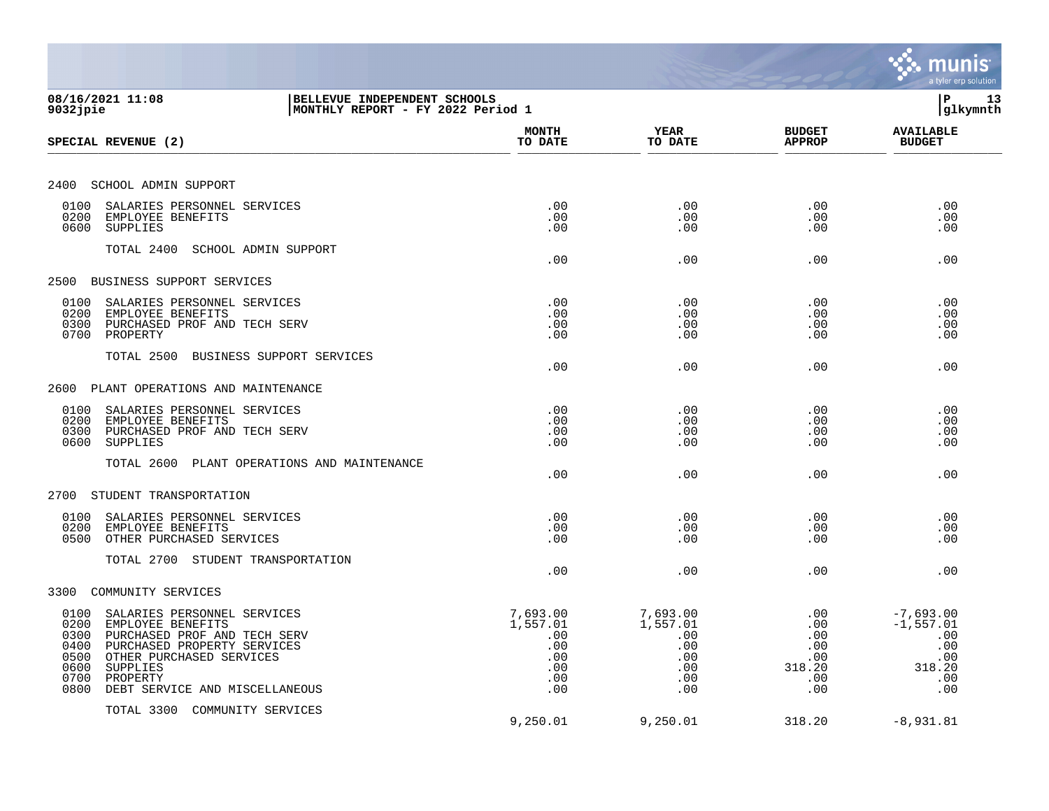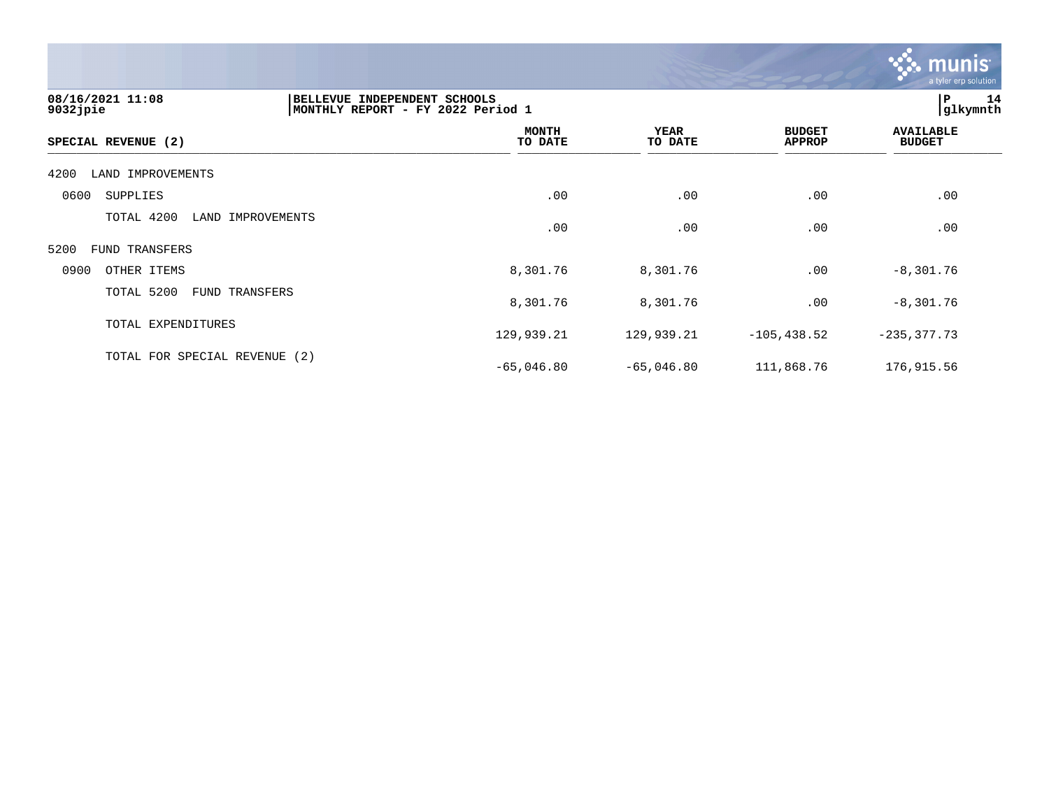

| 08/16/2021 11:08<br>$9032$ jpie | BELLEVUE INDEPENDENT SCHOOLS<br>MONTHLY REPORT - FY 2022 Period 1 |                        |                                | P <br>14<br>glkymnth              |
|---------------------------------|-------------------------------------------------------------------|------------------------|--------------------------------|-----------------------------------|
| SPECIAL REVENUE (2)             | <b>MONTH</b><br>TO DATE                                           | <b>YEAR</b><br>TO DATE | <b>BUDGET</b><br><b>APPROP</b> | <b>AVAILABLE</b><br><b>BUDGET</b> |
| LAND IMPROVEMENTS<br>4200       |                                                                   |                        |                                |                                   |
| 0600<br>SUPPLIES                | .00                                                               | .00                    | .00                            | .00                               |
| TOTAL 4200<br>LAND IMPROVEMENTS | .00                                                               | .00                    | .00                            | .00                               |
| 5200<br>FUND TRANSFERS          |                                                                   |                        |                                |                                   |
| 0900<br>OTHER ITEMS             | 8,301.76                                                          | 8,301.76               | .00                            | $-8,301.76$                       |
| TOTAL 5200<br>FUND TRANSFERS    | 8,301.76                                                          | 8,301.76               | .00                            | $-8,301.76$                       |
| TOTAL EXPENDITURES              | 129,939.21                                                        | 129,939.21             | $-105, 438.52$                 | $-235, 377.73$                    |
| TOTAL FOR SPECIAL REVENUE (2)   | $-65,046.80$                                                      | $-65,046.80$           | 111,868.76                     | 176,915.56                        |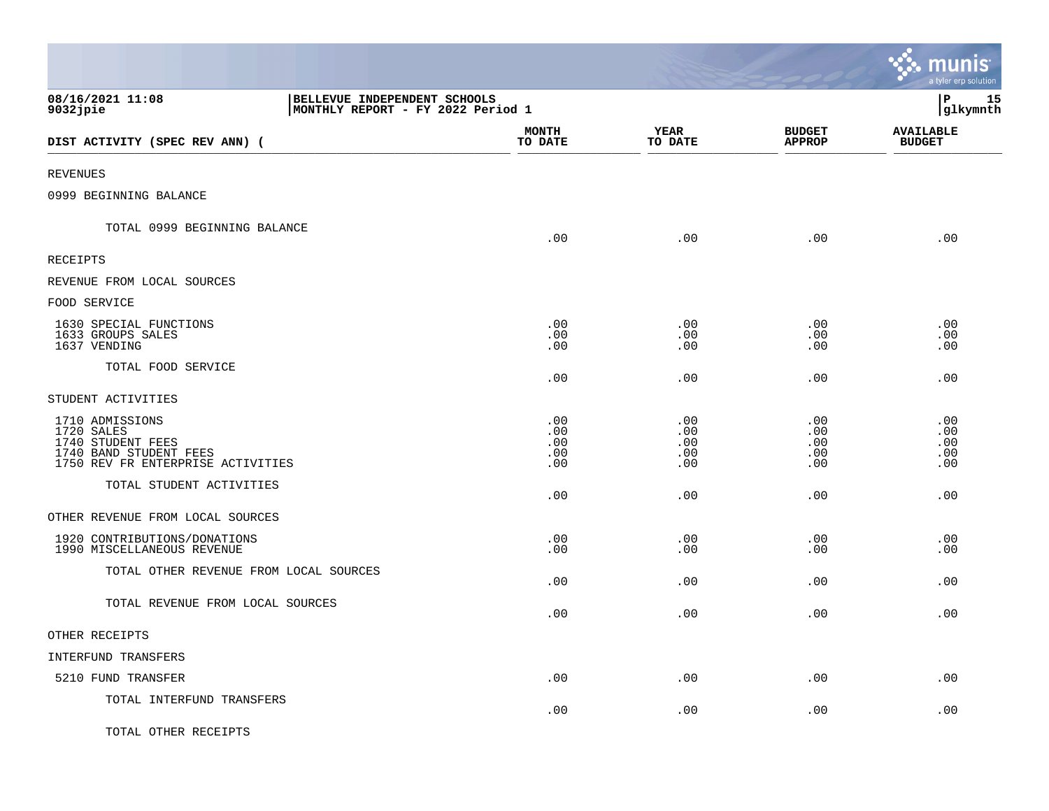|                                                                                                                   |                                                                   |                                 |                                 |                                 | <b>२० munis</b><br>a tyler erp solution |
|-------------------------------------------------------------------------------------------------------------------|-------------------------------------------------------------------|---------------------------------|---------------------------------|---------------------------------|-----------------------------------------|
| 08/16/2021 11:08<br>$9032$ jpie                                                                                   | BELLEVUE INDEPENDENT SCHOOLS<br>MONTHLY REPORT - FY 2022 Period 1 |                                 |                                 |                                 | l P<br>15<br> glkymnth                  |
| DIST ACTIVITY (SPEC REV ANN) (                                                                                    |                                                                   | <b>MONTH</b><br>TO DATE         | YEAR<br>TO DATE                 | <b>BUDGET</b><br><b>APPROP</b>  | <b>AVAILABLE</b><br><b>BUDGET</b>       |
| REVENUES                                                                                                          |                                                                   |                                 |                                 |                                 |                                         |
| 0999 BEGINNING BALANCE                                                                                            |                                                                   |                                 |                                 |                                 |                                         |
| TOTAL 0999 BEGINNING BALANCE                                                                                      |                                                                   | .00                             | .00                             | .00                             | .00                                     |
| RECEIPTS                                                                                                          |                                                                   |                                 |                                 |                                 |                                         |
| REVENUE FROM LOCAL SOURCES                                                                                        |                                                                   |                                 |                                 |                                 |                                         |
| FOOD SERVICE                                                                                                      |                                                                   |                                 |                                 |                                 |                                         |
| 1630 SPECIAL FUNCTIONS<br>1633 GROUPS SALES<br>1637 VENDING                                                       |                                                                   | .00<br>.00<br>.00               | .00<br>.00<br>.00               | .00<br>.00<br>.00               | .00<br>.00<br>.00                       |
| TOTAL FOOD SERVICE                                                                                                |                                                                   | .00                             | .00                             | .00                             | .00                                     |
| STUDENT ACTIVITIES                                                                                                |                                                                   |                                 |                                 |                                 |                                         |
| 1710 ADMISSIONS<br>1720 SALES<br>1740 STUDENT FEES<br>1740 BAND STUDENT FEES<br>1750 REV FR ENTERPRISE ACTIVITIES |                                                                   | .00<br>.00<br>.00<br>.00<br>.00 | .00<br>.00<br>.00<br>.00<br>.00 | .00<br>.00<br>.00<br>.00<br>.00 | .00<br>.00<br>.00<br>.00<br>.00         |
| TOTAL STUDENT ACTIVITIES                                                                                          |                                                                   | .00                             | .00                             | .00                             | .00                                     |
| OTHER REVENUE FROM LOCAL SOURCES                                                                                  |                                                                   |                                 |                                 |                                 |                                         |
| 1920 CONTRIBUTIONS/DONATIONS<br>1990 MISCELLANEOUS REVENUE                                                        |                                                                   | .00<br>.00                      | .00<br>.00                      | .00<br>.00                      | .00<br>.00                              |
| TOTAL OTHER REVENUE FROM LOCAL SOURCES                                                                            |                                                                   | .00                             | .00                             | .00                             | .00                                     |
| TOTAL REVENUE FROM LOCAL SOURCES                                                                                  |                                                                   | .00                             | .00                             | .00                             | .00                                     |
| OTHER RECEIPTS                                                                                                    |                                                                   |                                 |                                 |                                 |                                         |
| INTERFUND TRANSFERS                                                                                               |                                                                   |                                 |                                 |                                 |                                         |
| 5210 FUND TRANSFER                                                                                                |                                                                   | .00                             | .00                             | .00                             | .00                                     |
| TOTAL INTERFUND TRANSFERS                                                                                         |                                                                   | .00                             | .00                             | .00                             | .00                                     |
| TOTAL OTHER RECEIPTS                                                                                              |                                                                   |                                 |                                 |                                 |                                         |

 $\mathcal{L}$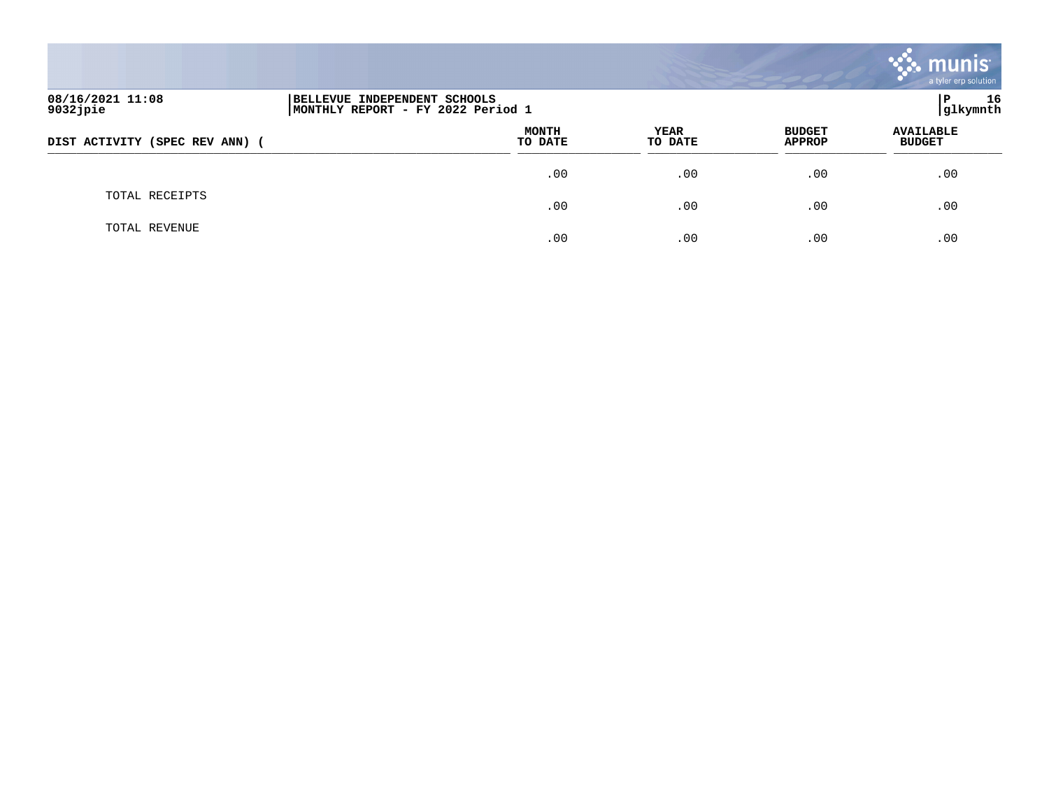|                                |                                                                   |                         |                 |                                | <b>munis</b><br>a tyler erp solution |
|--------------------------------|-------------------------------------------------------------------|-------------------------|-----------------|--------------------------------|--------------------------------------|
| 08/16/2021 11:08<br>9032jpie   | BELLEVUE INDEPENDENT SCHOOLS<br>MONTHLY REPORT - FY 2022 Period 1 |                         |                 |                                | 16<br>P<br>glkymnth                  |
| DIST ACTIVITY (SPEC REV ANN) ( |                                                                   | <b>MONTH</b><br>TO DATE | YEAR<br>TO DATE | <b>BUDGET</b><br><b>APPROP</b> | <b>AVAILABLE</b><br><b>BUDGET</b>    |
|                                |                                                                   | .00                     | .00             | .00                            | .00                                  |
| TOTAL RECEIPTS                 |                                                                   | .00                     | .00             | .00                            | .00                                  |
| TOTAL REVENUE                  |                                                                   | .00                     | .00             | .00                            | .00                                  |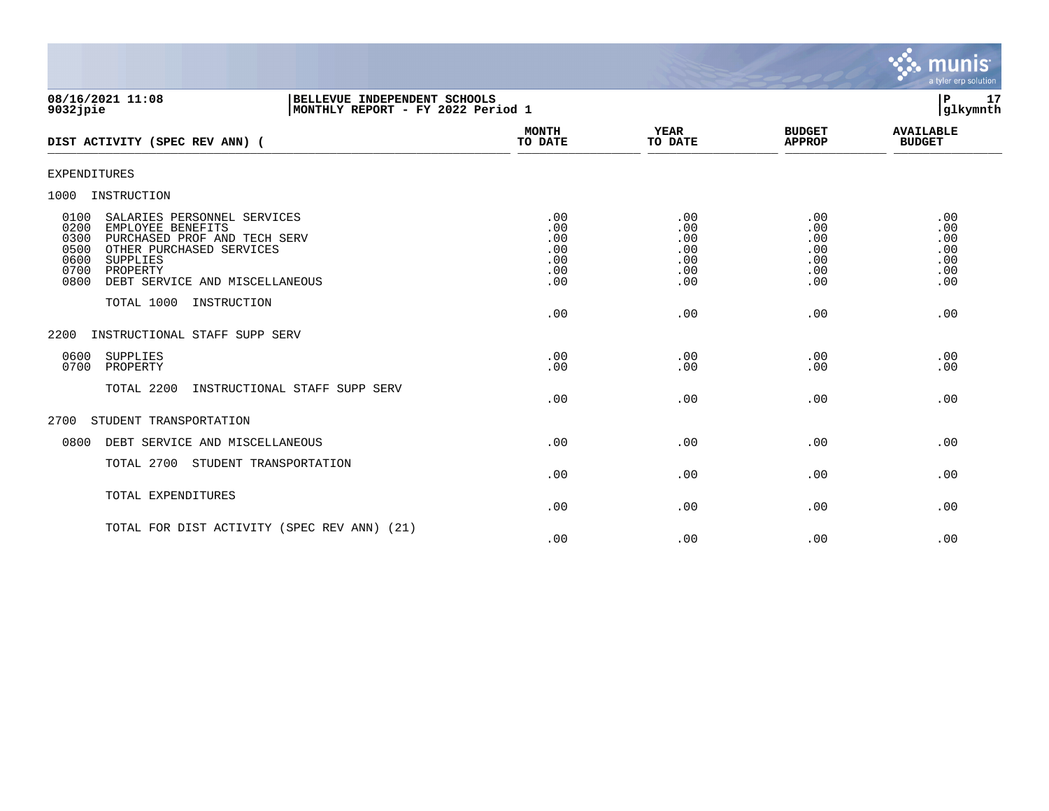

| 08/16/2021 11:08<br>BELLEVUE INDEPENDENT SCHOOLS<br>9032 jpie<br>MONTHLY REPORT - FY 2022 Period 1                                                                                                                             |                                               |                                               |                                               | 17<br>l P<br>glkymnth                         |
|--------------------------------------------------------------------------------------------------------------------------------------------------------------------------------------------------------------------------------|-----------------------------------------------|-----------------------------------------------|-----------------------------------------------|-----------------------------------------------|
| DIST ACTIVITY (SPEC REV ANN) (                                                                                                                                                                                                 | <b>MONTH</b><br>TO DATE                       | <b>YEAR</b><br>TO DATE                        | <b>BUDGET</b><br><b>APPROP</b>                | <b>AVAILABLE</b><br><b>BUDGET</b>             |
| <b>EXPENDITURES</b>                                                                                                                                                                                                            |                                               |                                               |                                               |                                               |
| INSTRUCTION<br>1000                                                                                                                                                                                                            |                                               |                                               |                                               |                                               |
| 0100<br>SALARIES PERSONNEL SERVICES<br>0200<br>EMPLOYEE BENEFITS<br>0300<br>PURCHASED PROF AND TECH SERV<br>0500<br>OTHER PURCHASED SERVICES<br>0600<br>SUPPLIES<br>0700<br>PROPERTY<br>0800<br>DEBT SERVICE AND MISCELLANEOUS | .00<br>.00<br>.00<br>.00<br>.00<br>.00<br>.00 | .00<br>.00<br>.00<br>.00<br>.00<br>.00<br>.00 | .00<br>.00<br>.00<br>.00<br>.00<br>.00<br>.00 | .00<br>.00<br>.00<br>.00<br>.00<br>.00<br>.00 |
| TOTAL 1000<br>INSTRUCTION                                                                                                                                                                                                      | .00                                           | .00                                           | .00                                           | .00                                           |
| INSTRUCTIONAL STAFF SUPP SERV<br>2200                                                                                                                                                                                          |                                               |                                               |                                               |                                               |
| 0600<br>SUPPLIES<br>0700<br>PROPERTY                                                                                                                                                                                           | .00<br>.00                                    | .00<br>.00                                    | .00<br>.00                                    | .00<br>.00                                    |
| TOTAL 2200<br>INSTRUCTIONAL STAFF SUPP SERV                                                                                                                                                                                    | .00                                           | .00                                           | .00                                           | .00                                           |
| 2700<br>STUDENT TRANSPORTATION                                                                                                                                                                                                 |                                               |                                               |                                               |                                               |
| 0800<br>DEBT SERVICE AND MISCELLANEOUS                                                                                                                                                                                         | .00                                           | .00                                           | .00                                           | .00                                           |
| TOTAL 2700<br>STUDENT TRANSPORTATION                                                                                                                                                                                           | .00                                           | .00                                           | .00                                           | .00                                           |
| TOTAL EXPENDITURES                                                                                                                                                                                                             | .00                                           | .00                                           | .00                                           | .00                                           |
| TOTAL FOR DIST ACTIVITY (SPEC REV ANN) (21)                                                                                                                                                                                    | .00                                           | .00                                           | .00                                           | .00                                           |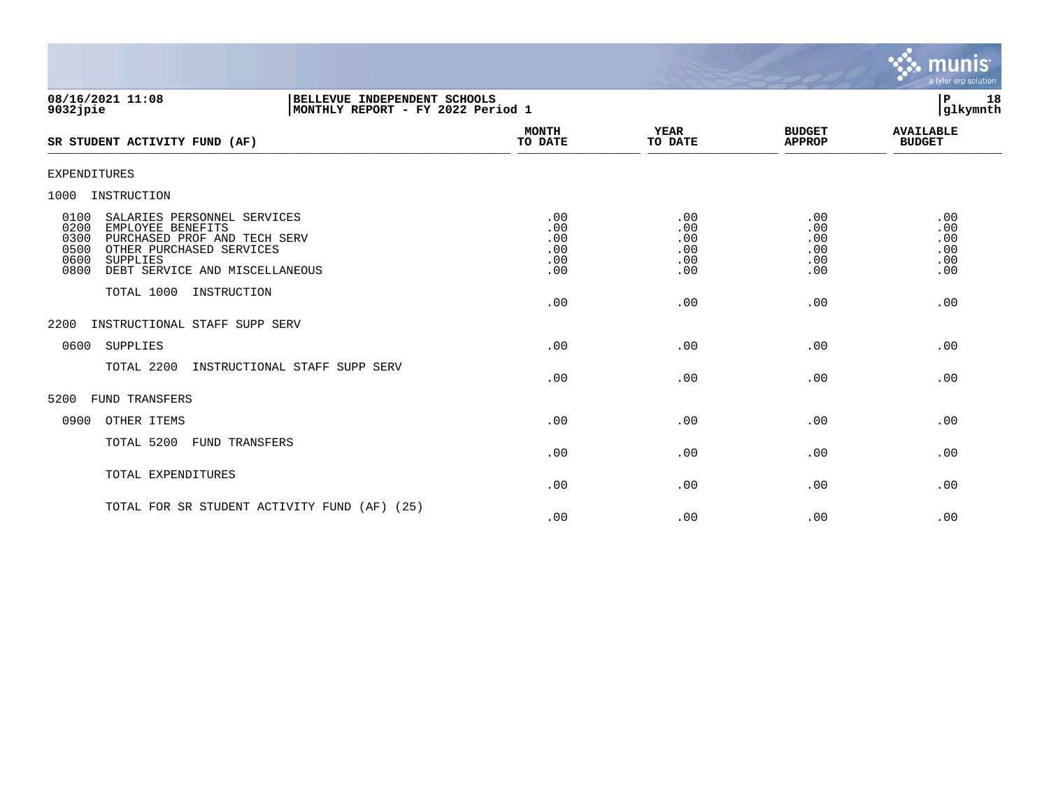

| 08/16/2021 11:08<br>BELLEVUE INDEPENDENT SCHOOLS<br>MONTHLY REPORT - FY 2022 Period 1<br>9032 jpie                                                                                                         |                                        |                                        |                                        | 18<br>l P<br>glkymnth                  |
|------------------------------------------------------------------------------------------------------------------------------------------------------------------------------------------------------------|----------------------------------------|----------------------------------------|----------------------------------------|----------------------------------------|
| SR STUDENT ACTIVITY FUND (AF)                                                                                                                                                                              | MONTH<br>TO DATE                       | YEAR<br>TO DATE                        | <b>BUDGET</b><br><b>APPROP</b>         | <b>AVAILABLE</b><br><b>BUDGET</b>      |
| EXPENDITURES                                                                                                                                                                                               |                                        |                                        |                                        |                                        |
| 1000<br>INSTRUCTION                                                                                                                                                                                        |                                        |                                        |                                        |                                        |
| 0100<br>SALARIES PERSONNEL SERVICES<br>0200<br>EMPLOYEE BENEFITS<br>0300<br>PURCHASED PROF AND TECH SERV<br>0500<br>OTHER PURCHASED SERVICES<br>0600<br>SUPPLIES<br>0800<br>DEBT SERVICE AND MISCELLANEOUS | .00<br>.00<br>.00<br>.00<br>.00<br>.00 | .00<br>.00<br>.00<br>.00<br>.00<br>.00 | .00<br>.00<br>.00<br>.00<br>.00<br>.00 | .00<br>.00<br>.00<br>.00<br>.00<br>.00 |
| TOTAL 1000 INSTRUCTION                                                                                                                                                                                     | .00                                    | .00                                    | .00                                    | .00                                    |
| INSTRUCTIONAL STAFF SUPP SERV<br>2200                                                                                                                                                                      |                                        |                                        |                                        |                                        |
| SUPPLIES<br>0600                                                                                                                                                                                           | .00                                    | .00                                    | .00                                    | .00                                    |
| TOTAL 2200<br>INSTRUCTIONAL STAFF SUPP SERV                                                                                                                                                                | .00                                    | .00                                    | .00                                    | .00                                    |
| 5200<br><b>FUND TRANSFERS</b>                                                                                                                                                                              |                                        |                                        |                                        |                                        |
| 0900<br>OTHER ITEMS                                                                                                                                                                                        | .00                                    | .00                                    | .00                                    | .00                                    |
| TOTAL 5200<br><b>FUND TRANSFERS</b>                                                                                                                                                                        | .00                                    | .00                                    | .00                                    | .00                                    |
| TOTAL EXPENDITURES                                                                                                                                                                                         | .00                                    | .00                                    | .00                                    | .00                                    |
| TOTAL FOR SR STUDENT ACTIVITY FUND (AF) (25)                                                                                                                                                               |                                        |                                        |                                        |                                        |

 $.00$  .  $.00$  .  $.00$  .  $.00$  .  $.00$  .  $.00$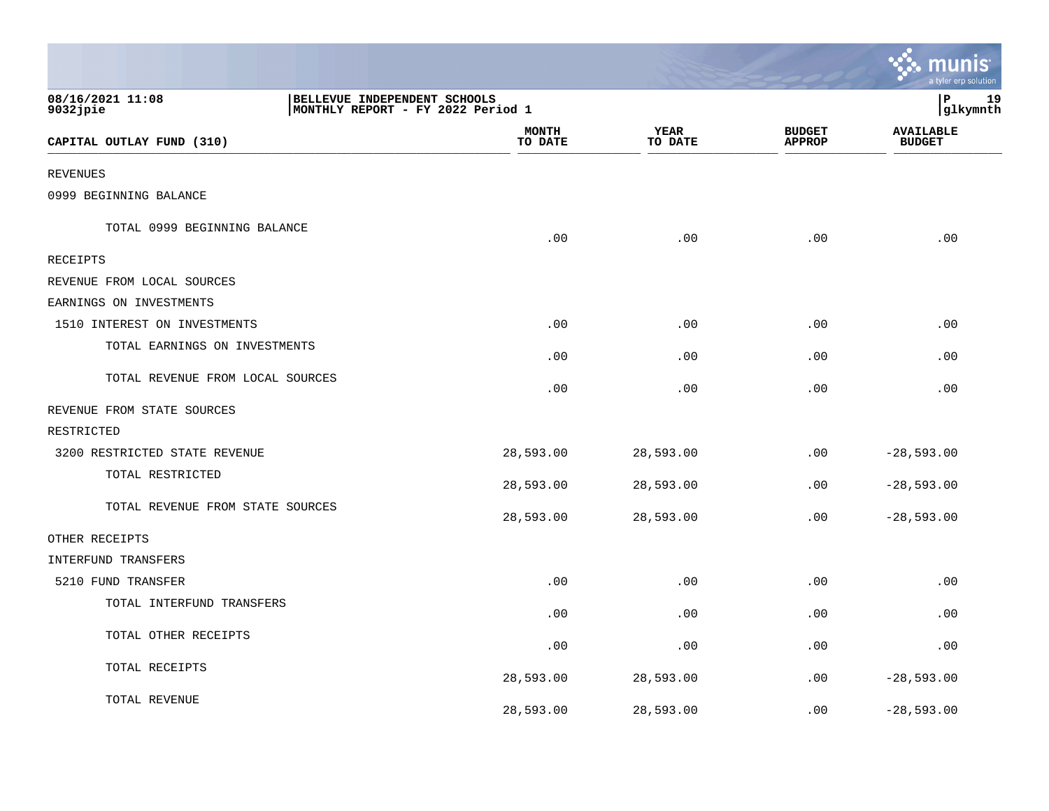|                                  |                                                                   |                         |                        |                                | a tyler erp solutior              |
|----------------------------------|-------------------------------------------------------------------|-------------------------|------------------------|--------------------------------|-----------------------------------|
| 08/16/2021 11:08<br>$9032$ jpie  | BELLEVUE INDEPENDENT SCHOOLS<br>MONTHLY REPORT - FY 2022 Period 1 |                         |                        |                                | P<br>19<br>glkymnth               |
| CAPITAL OUTLAY FUND (310)        |                                                                   | <b>MONTH</b><br>TO DATE | <b>YEAR</b><br>TO DATE | <b>BUDGET</b><br><b>APPROP</b> | <b>AVAILABLE</b><br><b>BUDGET</b> |
| <b>REVENUES</b>                  |                                                                   |                         |                        |                                |                                   |
| 0999 BEGINNING BALANCE           |                                                                   |                         |                        |                                |                                   |
| TOTAL 0999 BEGINNING BALANCE     |                                                                   | .00                     | .00                    | .00                            | .00                               |
| <b>RECEIPTS</b>                  |                                                                   |                         |                        |                                |                                   |
| REVENUE FROM LOCAL SOURCES       |                                                                   |                         |                        |                                |                                   |
| EARNINGS ON INVESTMENTS          |                                                                   |                         |                        |                                |                                   |
| 1510 INTEREST ON INVESTMENTS     |                                                                   | .00                     | .00                    | .00                            | .00                               |
| TOTAL EARNINGS ON INVESTMENTS    |                                                                   | .00                     | .00                    | .00                            | .00                               |
| TOTAL REVENUE FROM LOCAL SOURCES |                                                                   | .00                     | .00                    | .00                            | .00                               |
| REVENUE FROM STATE SOURCES       |                                                                   |                         |                        |                                |                                   |
| RESTRICTED                       |                                                                   |                         |                        |                                |                                   |
| 3200 RESTRICTED STATE REVENUE    |                                                                   | 28,593.00               | 28,593.00              | .00                            | $-28,593.00$                      |
| TOTAL RESTRICTED                 |                                                                   | 28,593.00               | 28,593.00              | .00                            | $-28,593.00$                      |
| TOTAL REVENUE FROM STATE SOURCES |                                                                   | 28,593.00               | 28,593.00              | .00                            | $-28,593.00$                      |
| OTHER RECEIPTS                   |                                                                   |                         |                        |                                |                                   |
| <b>INTERFUND TRANSFERS</b>       |                                                                   |                         |                        |                                |                                   |
| 5210 FUND TRANSFER               |                                                                   | .00                     | .00                    | .00                            | .00                               |
| TOTAL INTERFUND TRANSFERS        |                                                                   | .00                     | .00                    | .00                            | .00                               |
| TOTAL OTHER RECEIPTS             |                                                                   | .00                     | .00                    | .00                            | .00                               |
| TOTAL RECEIPTS                   |                                                                   | 28,593.00               | 28,593.00              | .00                            | $-28,593.00$                      |
| TOTAL REVENUE                    |                                                                   | 28,593.00               | 28,593.00              | .00                            | $-28,593.00$                      |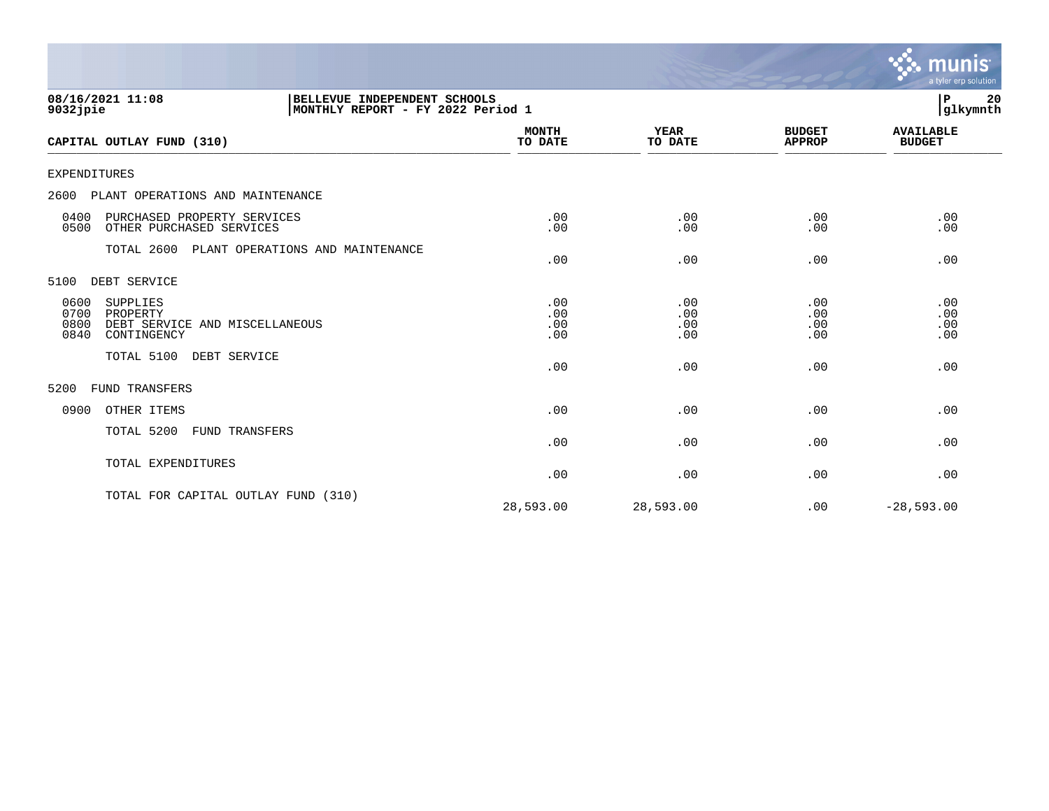|                                                                                                       |                          |                          |                                | <b>munis</b><br>a tyler erp solution |
|-------------------------------------------------------------------------------------------------------|--------------------------|--------------------------|--------------------------------|--------------------------------------|
| 08/16/2021 11:08<br>BELLEVUE INDEPENDENT SCHOOLS<br>MONTHLY REPORT - FY 2022 Period 1<br>$9032$ jpie  |                          |                          |                                | l P<br>20<br>glkymnth                |
| CAPITAL OUTLAY FUND (310)                                                                             | <b>MONTH</b><br>TO DATE  | <b>YEAR</b><br>TO DATE   | <b>BUDGET</b><br><b>APPROP</b> | <b>AVAILABLE</b><br><b>BUDGET</b>    |
| <b>EXPENDITURES</b>                                                                                   |                          |                          |                                |                                      |
| 2600<br>PLANT OPERATIONS AND MAINTENANCE                                                              |                          |                          |                                |                                      |
| PURCHASED PROPERTY SERVICES<br>0400<br>OTHER PURCHASED SERVICES<br>0500                               | .00<br>.00               | .00<br>.00               | .00<br>.00                     | .00<br>.00                           |
| TOTAL 2600 PLANT OPERATIONS AND MAINTENANCE                                                           | .00                      | .00                      | .00                            | .00                                  |
| DEBT SERVICE<br>5100                                                                                  |                          |                          |                                |                                      |
| 0600<br>SUPPLIES<br>0700<br>PROPERTY<br>0800<br>DEBT SERVICE AND MISCELLANEOUS<br>CONTINGENCY<br>0840 | .00<br>.00<br>.00<br>.00 | .00<br>.00<br>.00<br>.00 | .00<br>.00<br>.00<br>.00       | .00<br>.00<br>.00<br>.00             |
| TOTAL 5100<br>DEBT SERVICE                                                                            | .00                      | .00                      | .00                            | .00                                  |
| FUND TRANSFERS<br>5200                                                                                |                          |                          |                                |                                      |
| OTHER ITEMS<br>0900                                                                                   | .00                      | .00                      | .00                            | .00                                  |
| TOTAL 5200<br>FUND TRANSFERS                                                                          | .00                      | .00                      | .00                            | .00                                  |
| TOTAL EXPENDITURES                                                                                    | .00                      | .00                      | .00                            | .00                                  |
| TOTAL FOR CAPITAL OUTLAY FUND (310)                                                                   | 28,593.00                | 28,593.00                | .00                            | $-28,593.00$                         |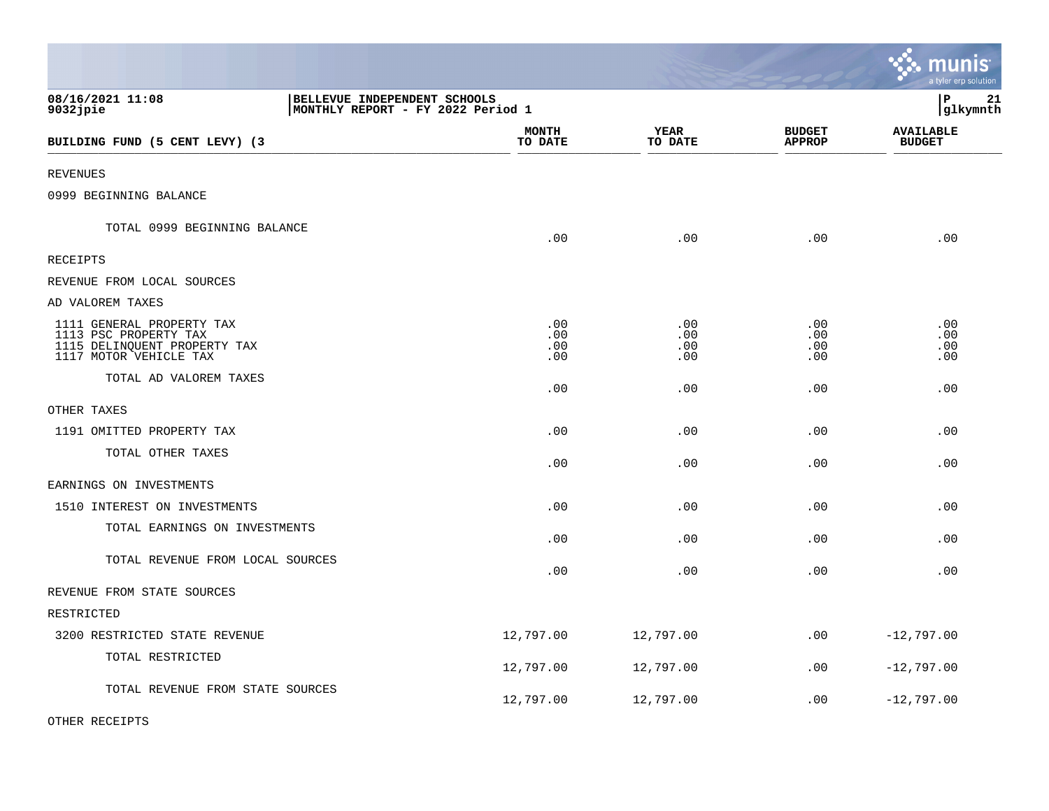|                                                                                                              |                          |                          |                                | ः munis<br>a tyler erp solution   |
|--------------------------------------------------------------------------------------------------------------|--------------------------|--------------------------|--------------------------------|-----------------------------------|
| 08/16/2021 11:08<br>BELLEVUE INDEPENDENT SCHOOLS<br>$9032$ jpie<br>MONTHLY REPORT - FY 2022 Period 1         |                          |                          |                                | l P<br>21<br> glkymnth            |
| BUILDING FUND (5 CENT LEVY) (3                                                                               | <b>MONTH</b><br>TO DATE  | YEAR<br>TO DATE          | <b>BUDGET</b><br><b>APPROP</b> | <b>AVAILABLE</b><br><b>BUDGET</b> |
| <b>REVENUES</b>                                                                                              |                          |                          |                                |                                   |
| 0999 BEGINNING BALANCE                                                                                       |                          |                          |                                |                                   |
| TOTAL 0999 BEGINNING BALANCE                                                                                 | .00                      | .00                      | .00                            | .00                               |
| RECEIPTS                                                                                                     |                          |                          |                                |                                   |
| REVENUE FROM LOCAL SOURCES                                                                                   |                          |                          |                                |                                   |
| AD VALOREM TAXES                                                                                             |                          |                          |                                |                                   |
| 1111 GENERAL PROPERTY TAX<br>1113 PSC PROPERTY TAX<br>1115 DELINQUENT PROPERTY TAX<br>1117 MOTOR VEHICLE TAX | .00<br>.00<br>.00<br>.00 | .00<br>.00<br>.00<br>.00 | .00<br>.00<br>.00<br>.00       | .00<br>.00<br>.00<br>.00          |
| TOTAL AD VALOREM TAXES                                                                                       | .00                      | .00                      | .00                            | .00                               |
| OTHER TAXES                                                                                                  |                          |                          |                                |                                   |
| 1191 OMITTED PROPERTY TAX                                                                                    | .00                      | .00                      | .00                            | .00                               |
| TOTAL OTHER TAXES                                                                                            | .00                      | .00                      | .00                            | .00                               |
| EARNINGS ON INVESTMENTS                                                                                      |                          |                          |                                |                                   |
| 1510 INTEREST ON INVESTMENTS                                                                                 | .00                      | .00                      | .00                            | .00                               |
| TOTAL EARNINGS ON INVESTMENTS                                                                                | .00                      | .00                      | .00                            | .00                               |
| TOTAL REVENUE FROM LOCAL SOURCES                                                                             | .00                      | .00                      | .00                            | .00                               |
| REVENUE FROM STATE SOURCES                                                                                   |                          |                          |                                |                                   |
| RESTRICTED                                                                                                   |                          |                          |                                |                                   |
| 3200 RESTRICTED STATE REVENUE                                                                                | 12,797.00                | 12,797.00                | .00                            | $-12,797.00$                      |
| TOTAL RESTRICTED                                                                                             | 12,797.00                | 12,797.00                | .00                            | $-12,797.00$                      |
| TOTAL REVENUE FROM STATE SOURCES                                                                             | 12,797.00                | 12,797.00                | .00                            | $-12,797.00$                      |

 $\mathcal{L}$ 

OTHER RECEIPTS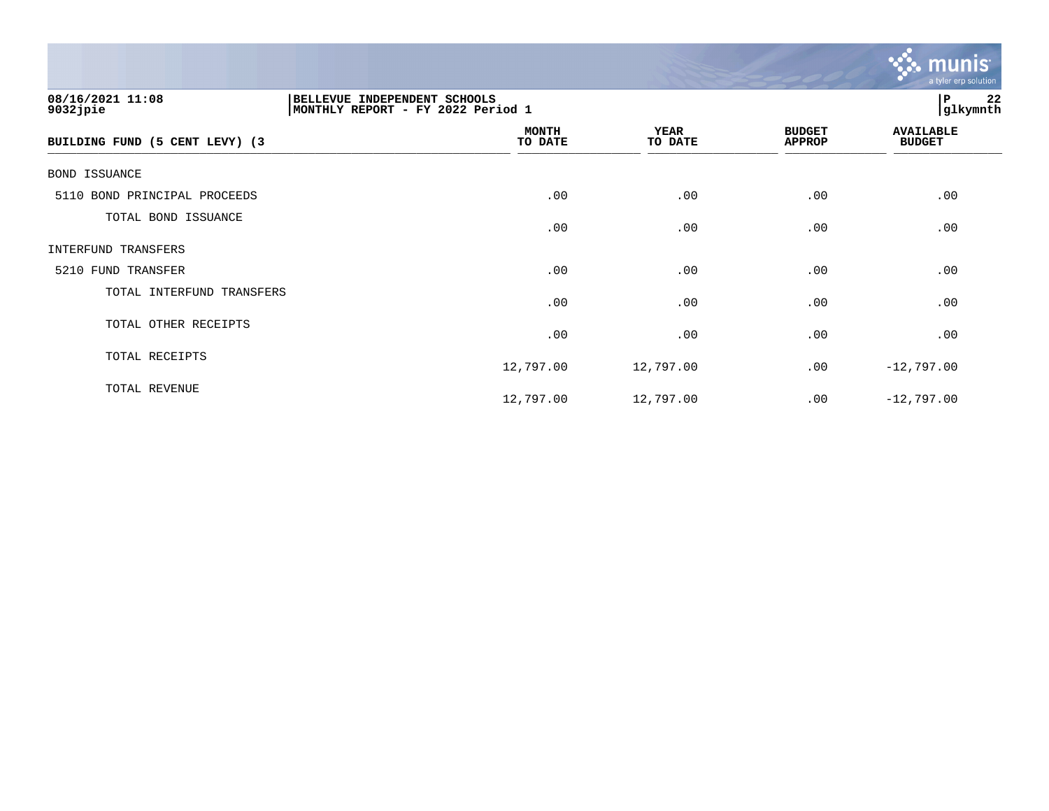

| 08/16/2021 11:08<br>$9032$ jpie | BELLEVUE INDEPENDENT SCHOOLS<br> MONTHLY REPORT - FY 2022 Period 1 | 22<br>P<br>glkymnth    |                                |                                   |
|---------------------------------|--------------------------------------------------------------------|------------------------|--------------------------------|-----------------------------------|
| BUILDING FUND (5 CENT LEVY) (3  | <b>MONTH</b><br>TO DATE                                            | <b>YEAR</b><br>TO DATE | <b>BUDGET</b><br><b>APPROP</b> | <b>AVAILABLE</b><br><b>BUDGET</b> |
| BOND ISSUANCE                   |                                                                    |                        |                                |                                   |
| 5110 BOND PRINCIPAL PROCEEDS    | .00                                                                | .00                    | .00                            | .00                               |
| TOTAL BOND ISSUANCE             | .00                                                                | .00                    | .00                            | .00                               |
| INTERFUND TRANSFERS             |                                                                    |                        |                                |                                   |
| 5210 FUND TRANSFER              | .00                                                                | .00                    | .00                            | .00                               |
| TOTAL INTERFUND TRANSFERS       | .00                                                                | .00                    | .00                            | .00                               |
| TOTAL OTHER RECEIPTS            | .00                                                                | .00                    | .00                            | .00                               |
| TOTAL RECEIPTS                  | 12,797.00                                                          | 12,797.00              | .00                            | $-12,797.00$                      |
| TOTAL REVENUE                   | 12,797.00                                                          | 12,797.00              | .00                            | $-12,797.00$                      |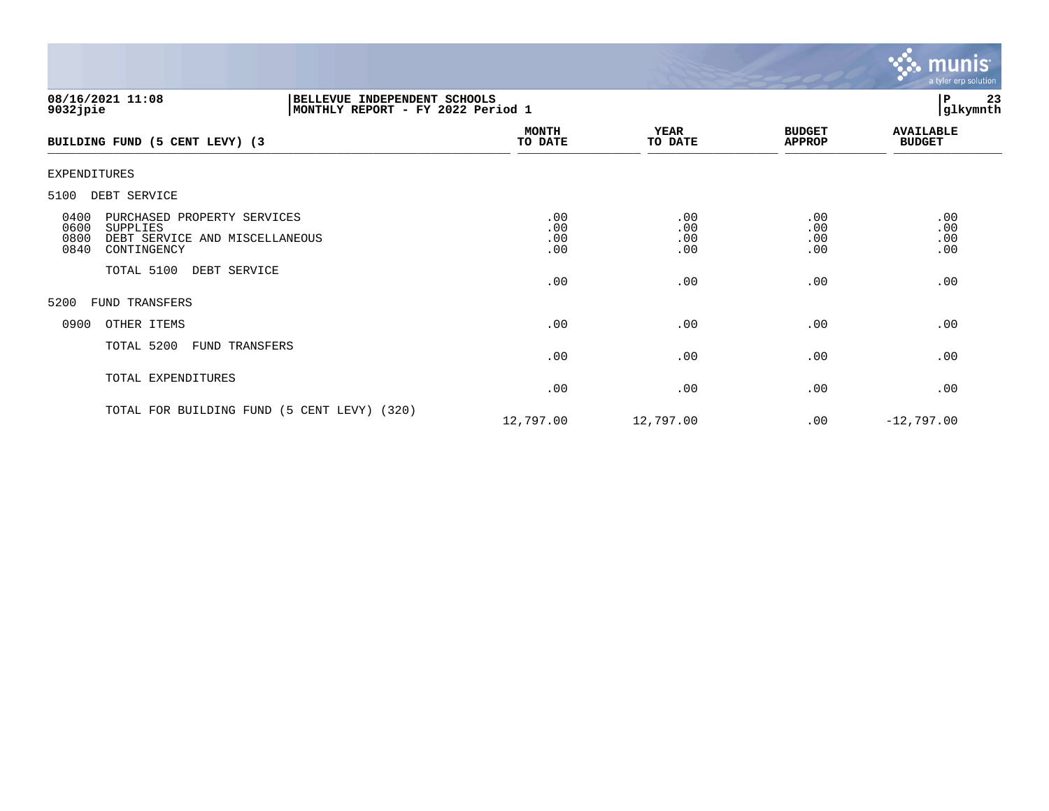

| $9032$ jpie                  | 08/16/2021 11:08                                                                         | BELLEVUE INDEPENDENT SCHOOLS<br> MONTHLY REPORT - FY 2022 Period 1 |                          |                          |                                | 23<br>P<br>glkymnth               |
|------------------------------|------------------------------------------------------------------------------------------|--------------------------------------------------------------------|--------------------------|--------------------------|--------------------------------|-----------------------------------|
|                              | BUILDING FUND (5 CENT LEVY) (3                                                           |                                                                    | <b>MONTH</b><br>TO DATE  | <b>YEAR</b><br>TO DATE   | <b>BUDGET</b><br><b>APPROP</b> | <b>AVAILABLE</b><br><b>BUDGET</b> |
| <b>EXPENDITURES</b>          |                                                                                          |                                                                    |                          |                          |                                |                                   |
| 5100                         | DEBT SERVICE                                                                             |                                                                    |                          |                          |                                |                                   |
| 0400<br>0600<br>0800<br>0840 | PURCHASED PROPERTY SERVICES<br>SUPPLIES<br>DEBT SERVICE AND MISCELLANEOUS<br>CONTINGENCY |                                                                    | .00<br>.00<br>.00<br>.00 | .00<br>.00<br>.00<br>.00 | .00<br>.00<br>.00<br>.00       | .00<br>.00<br>.00<br>.00          |
|                              | TOTAL 5100<br>DEBT SERVICE                                                               |                                                                    | .00                      | .00                      | .00                            | .00                               |
| 5200                         | FUND TRANSFERS                                                                           |                                                                    |                          |                          |                                |                                   |
| 0900                         | OTHER ITEMS                                                                              |                                                                    | .00                      | .00                      | .00                            | .00                               |
|                              | TOTAL 5200<br>FUND TRANSFERS                                                             |                                                                    | .00                      | .00                      | .00                            | .00                               |
|                              | TOTAL EXPENDITURES                                                                       |                                                                    | .00                      | .00                      | .00                            | .00                               |
|                              |                                                                                          | TOTAL FOR BUILDING FUND (5 CENT LEVY) (320)                        | 12,797.00                | 12,797.00                | .00                            | $-12,797.00$                      |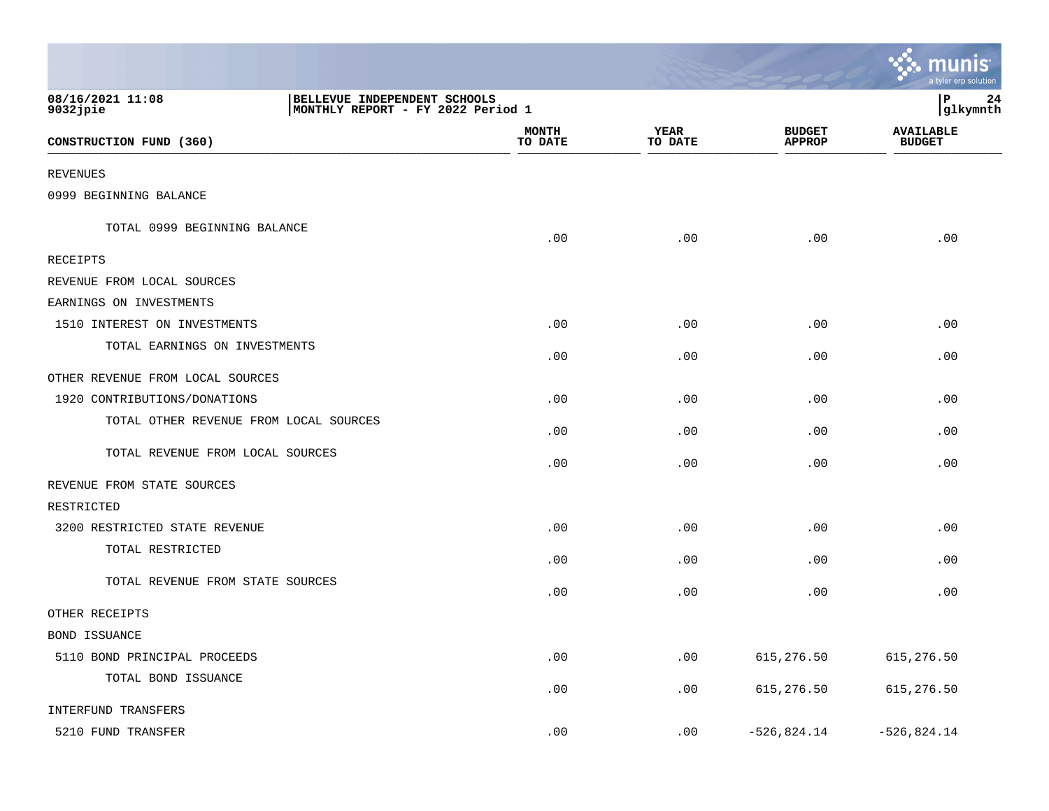|                                        |                                                                    |                         |                        |                                | a tyler erp solution              |
|----------------------------------------|--------------------------------------------------------------------|-------------------------|------------------------|--------------------------------|-----------------------------------|
| 08/16/2021 11:08<br>$9032$ jpie        | BELLEVUE INDEPENDENT SCHOOLS<br> MONTHLY REPORT - FY 2022 Period 1 |                         |                        |                                | ΙP<br>24<br> glkymnth             |
| CONSTRUCTION FUND (360)                |                                                                    | <b>MONTH</b><br>TO DATE | <b>YEAR</b><br>TO DATE | <b>BUDGET</b><br><b>APPROP</b> | <b>AVAILABLE</b><br><b>BUDGET</b> |
| <b>REVENUES</b>                        |                                                                    |                         |                        |                                |                                   |
| 0999 BEGINNING BALANCE                 |                                                                    |                         |                        |                                |                                   |
| TOTAL 0999 BEGINNING BALANCE           |                                                                    | .00                     | .00                    | .00                            | .00                               |
| RECEIPTS                               |                                                                    |                         |                        |                                |                                   |
| REVENUE FROM LOCAL SOURCES             |                                                                    |                         |                        |                                |                                   |
| EARNINGS ON INVESTMENTS                |                                                                    |                         |                        |                                |                                   |
| 1510 INTEREST ON INVESTMENTS           |                                                                    | .00                     | .00                    | .00                            | .00                               |
| TOTAL EARNINGS ON INVESTMENTS          |                                                                    | .00                     | .00                    | .00                            | .00                               |
| OTHER REVENUE FROM LOCAL SOURCES       |                                                                    |                         |                        |                                |                                   |
| 1920 CONTRIBUTIONS/DONATIONS           |                                                                    | .00                     | .00                    | .00                            | .00                               |
| TOTAL OTHER REVENUE FROM LOCAL SOURCES |                                                                    | .00                     | .00                    | .00                            | .00                               |
| TOTAL REVENUE FROM LOCAL SOURCES       |                                                                    | .00                     | .00                    | .00                            | .00                               |
| REVENUE FROM STATE SOURCES             |                                                                    |                         |                        |                                |                                   |
| RESTRICTED                             |                                                                    |                         |                        |                                |                                   |
| 3200 RESTRICTED STATE REVENUE          |                                                                    | .00                     | .00                    | .00                            | .00                               |
| TOTAL RESTRICTED                       |                                                                    | .00                     | .00                    | .00                            | .00                               |
| TOTAL REVENUE FROM STATE SOURCES       |                                                                    | $.00 \,$                | .00                    | .00                            | .00                               |
| OTHER RECEIPTS                         |                                                                    |                         |                        |                                |                                   |
| BOND ISSUANCE                          |                                                                    |                         |                        |                                |                                   |
| 5110 BOND PRINCIPAL PROCEEDS           |                                                                    | .00                     | .00                    | 615, 276.50                    | 615, 276.50                       |
| TOTAL BOND ISSUANCE                    |                                                                    | .00                     | .00                    | 615, 276.50                    | 615, 276.50                       |
| INTERFUND TRANSFERS                    |                                                                    |                         |                        |                                |                                   |
| 5210 FUND TRANSFER                     |                                                                    | .00                     | .00                    | $-526,824.14$                  | $-526,824.14$                     |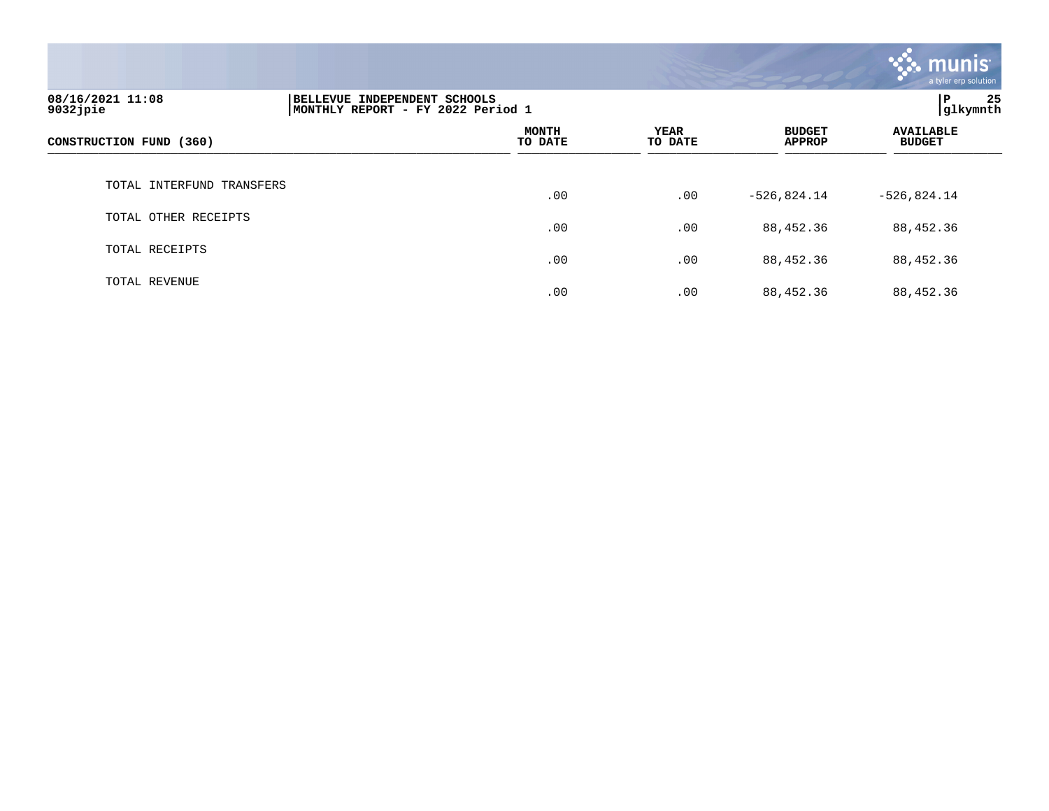

| 08/16/2021 11:08<br>9032jpie | 25<br>l P<br>BELLEVUE INDEPENDENT SCHOOLS<br>glkymnth<br>MONTHLY REPORT - FY 2022 Period 1 |                         |                 |                                |                                   |
|------------------------------|--------------------------------------------------------------------------------------------|-------------------------|-----------------|--------------------------------|-----------------------------------|
| CONSTRUCTION FUND (360)      |                                                                                            | <b>MONTH</b><br>TO DATE | YEAR<br>TO DATE | <b>BUDGET</b><br><b>APPROP</b> | <b>AVAILABLE</b><br><b>BUDGET</b> |
| TOTAL INTERFUND TRANSFERS    |                                                                                            | .00                     | .00             | $-526,824.14$                  | $-526,824.14$                     |
| TOTAL OTHER RECEIPTS         |                                                                                            | .00                     | .00             | 88,452.36                      | 88,452.36                         |
| TOTAL RECEIPTS               |                                                                                            | .00                     | .00             | 88,452.36                      | 88,452.36                         |
| TOTAL REVENUE                |                                                                                            | .00                     | .00             | 88,452.36                      | 88,452.36                         |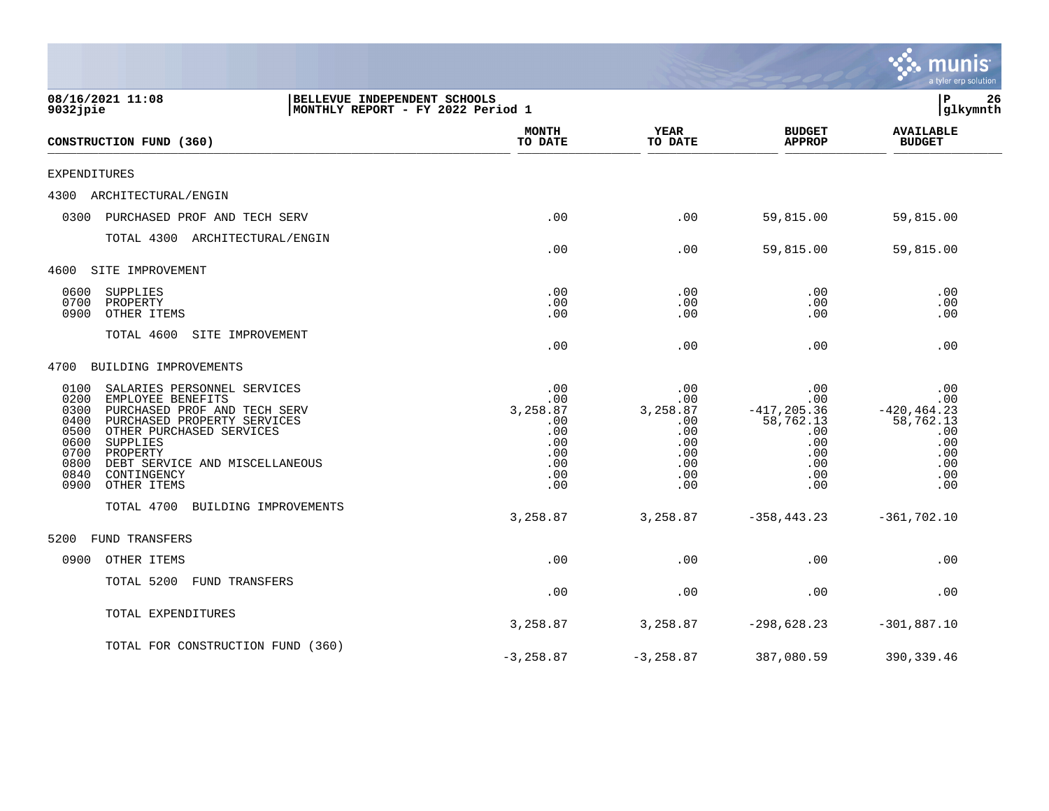|                                                                                                                                                                                                                                                                                                                     |                                                                   |                                                                         |                                                                         |                                                                                     | a tyler erp solution                                                                |
|---------------------------------------------------------------------------------------------------------------------------------------------------------------------------------------------------------------------------------------------------------------------------------------------------------------------|-------------------------------------------------------------------|-------------------------------------------------------------------------|-------------------------------------------------------------------------|-------------------------------------------------------------------------------------|-------------------------------------------------------------------------------------|
| 08/16/2021 11:08<br>9032jpie                                                                                                                                                                                                                                                                                        | BELLEVUE INDEPENDENT SCHOOLS<br>MONTHLY REPORT - FY 2022 Period 1 |                                                                         |                                                                         |                                                                                     | 26<br>ΙP<br>glkymnth                                                                |
| CONSTRUCTION FUND (360)                                                                                                                                                                                                                                                                                             |                                                                   | <b>MONTH</b><br>TO DATE                                                 | <b>YEAR</b><br>TO DATE                                                  | <b>BUDGET</b><br><b>APPROP</b>                                                      | <b>AVAILABLE</b><br><b>BUDGET</b>                                                   |
| EXPENDITURES                                                                                                                                                                                                                                                                                                        |                                                                   |                                                                         |                                                                         |                                                                                     |                                                                                     |
| 4300<br>ARCHITECTURAL/ENGIN                                                                                                                                                                                                                                                                                         |                                                                   |                                                                         |                                                                         |                                                                                     |                                                                                     |
| 0300<br>PURCHASED PROF AND TECH SERV                                                                                                                                                                                                                                                                                |                                                                   | .00                                                                     | .00                                                                     | 59,815.00                                                                           | 59,815.00                                                                           |
| TOTAL 4300<br>ARCHITECTURAL/ENGIN                                                                                                                                                                                                                                                                                   |                                                                   | .00                                                                     | .00                                                                     | 59,815.00                                                                           | 59,815.00                                                                           |
| SITE IMPROVEMENT<br>4600                                                                                                                                                                                                                                                                                            |                                                                   |                                                                         |                                                                         |                                                                                     |                                                                                     |
| 0600<br>SUPPLIES<br>0700<br>PROPERTY<br>0900<br>OTHER ITEMS                                                                                                                                                                                                                                                         |                                                                   | .00<br>.00<br>.00                                                       | .00<br>.00<br>.00                                                       | .00<br>.00<br>.00                                                                   | .00<br>.00<br>.00                                                                   |
| TOTAL 4600<br>SITE IMPROVEMENT                                                                                                                                                                                                                                                                                      |                                                                   | .00                                                                     | .00                                                                     | .00                                                                                 | .00                                                                                 |
| 4700<br>BUILDING IMPROVEMENTS                                                                                                                                                                                                                                                                                       |                                                                   |                                                                         |                                                                         |                                                                                     |                                                                                     |
| 0100<br>SALARIES PERSONNEL SERVICES<br>0200<br>EMPLOYEE BENEFITS<br>0300<br>PURCHASED PROF AND TECH SERV<br>0400<br>PURCHASED PROPERTY SERVICES<br>0500<br>OTHER PURCHASED SERVICES<br>0600<br>SUPPLIES<br>0700<br>PROPERTY<br>0800<br>DEBT SERVICE AND MISCELLANEOUS<br>0840<br>CONTINGENCY<br>0900<br>OTHER ITEMS |                                                                   | .00<br>.00<br>3,258.87<br>.00<br>.00<br>.00<br>.00<br>.00<br>.00<br>.00 | .00<br>.00<br>3,258.87<br>.00<br>.00<br>.00<br>.00<br>.00<br>.00<br>.00 | .00<br>.00<br>$-417, 205.36$<br>58,762.13<br>.00<br>.00<br>.00<br>.00<br>.00<br>.00 | .00<br>.00<br>$-420, 464.23$<br>58,762.13<br>.00<br>.00<br>.00<br>.00<br>.00<br>.00 |
| TOTAL 4700<br>BUILDING IMPROVEMENTS                                                                                                                                                                                                                                                                                 |                                                                   | 3,258.87                                                                | 3,258.87                                                                | $-358, 443.23$                                                                      | $-361,702.10$                                                                       |
| 5200<br><b>FUND TRANSFERS</b>                                                                                                                                                                                                                                                                                       |                                                                   |                                                                         |                                                                         |                                                                                     |                                                                                     |
| 0900<br>OTHER ITEMS                                                                                                                                                                                                                                                                                                 |                                                                   | .00                                                                     | .00                                                                     | .00                                                                                 | .00                                                                                 |
| TOTAL 5200<br><b>FUND TRANSFERS</b>                                                                                                                                                                                                                                                                                 |                                                                   | .00                                                                     | .00                                                                     | .00                                                                                 | .00                                                                                 |
| TOTAL EXPENDITURES                                                                                                                                                                                                                                                                                                  |                                                                   | 3,258.87                                                                | 3,258.87                                                                | $-298,628.23$                                                                       | $-301,887.10$                                                                       |
| TOTAL FOR CONSTRUCTION FUND (360)                                                                                                                                                                                                                                                                                   |                                                                   | $-3, 258.87$                                                            | $-3, 258.87$                                                            | 387,080.59                                                                          | 390, 339.46                                                                         |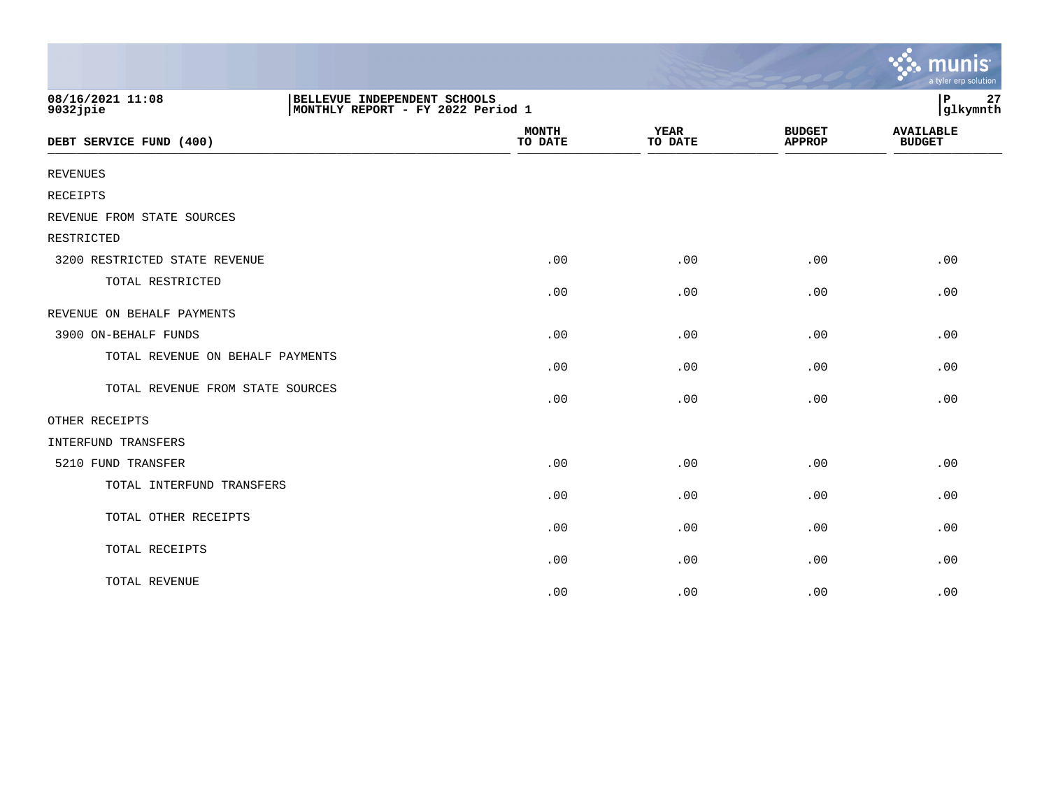|                                  |                                                                   |                        |                                | mu<br>a tyler erp solution        |
|----------------------------------|-------------------------------------------------------------------|------------------------|--------------------------------|-----------------------------------|
| 08/16/2021 11:08<br>9032jpie     | BELLEVUE INDEPENDENT SCHOOLS<br>MONTHLY REPORT - FY 2022 Period 1 |                        |                                |                                   |
| DEBT SERVICE FUND (400)          | <b>MONTH</b><br>TO DATE                                           | <b>YEAR</b><br>TO DATE | <b>BUDGET</b><br><b>APPROP</b> | <b>AVAILABLE</b><br><b>BUDGET</b> |
| <b>REVENUES</b>                  |                                                                   |                        |                                |                                   |
| <b>RECEIPTS</b>                  |                                                                   |                        |                                |                                   |
| REVENUE FROM STATE SOURCES       |                                                                   |                        |                                |                                   |
| RESTRICTED                       |                                                                   |                        |                                |                                   |
| 3200 RESTRICTED STATE REVENUE    | .00                                                               | .00                    | .00                            | .00                               |
| TOTAL RESTRICTED                 | .00                                                               | .00                    | .00                            | .00                               |
| REVENUE ON BEHALF PAYMENTS       |                                                                   |                        |                                |                                   |
| 3900 ON-BEHALF FUNDS             | .00                                                               | .00                    | .00                            | .00                               |
| TOTAL REVENUE ON BEHALF PAYMENTS | .00                                                               | .00                    | .00                            | .00                               |
| TOTAL REVENUE FROM STATE SOURCES | .00                                                               | .00                    | .00                            | .00                               |
| OTHER RECEIPTS                   |                                                                   |                        |                                |                                   |
| INTERFUND TRANSFERS              |                                                                   |                        |                                |                                   |
| 5210 FUND TRANSFER               | .00                                                               | .00                    | .00                            | .00                               |
| TOTAL INTERFUND TRANSFERS        | .00                                                               | .00                    | .00                            | .00                               |
| TOTAL OTHER RECEIPTS             | .00                                                               | .00                    | .00                            | .00                               |
| TOTAL RECEIPTS                   | .00                                                               | .00                    | .00                            | .00                               |
| TOTAL REVENUE                    | .00                                                               | .00                    | .00                            | .00                               |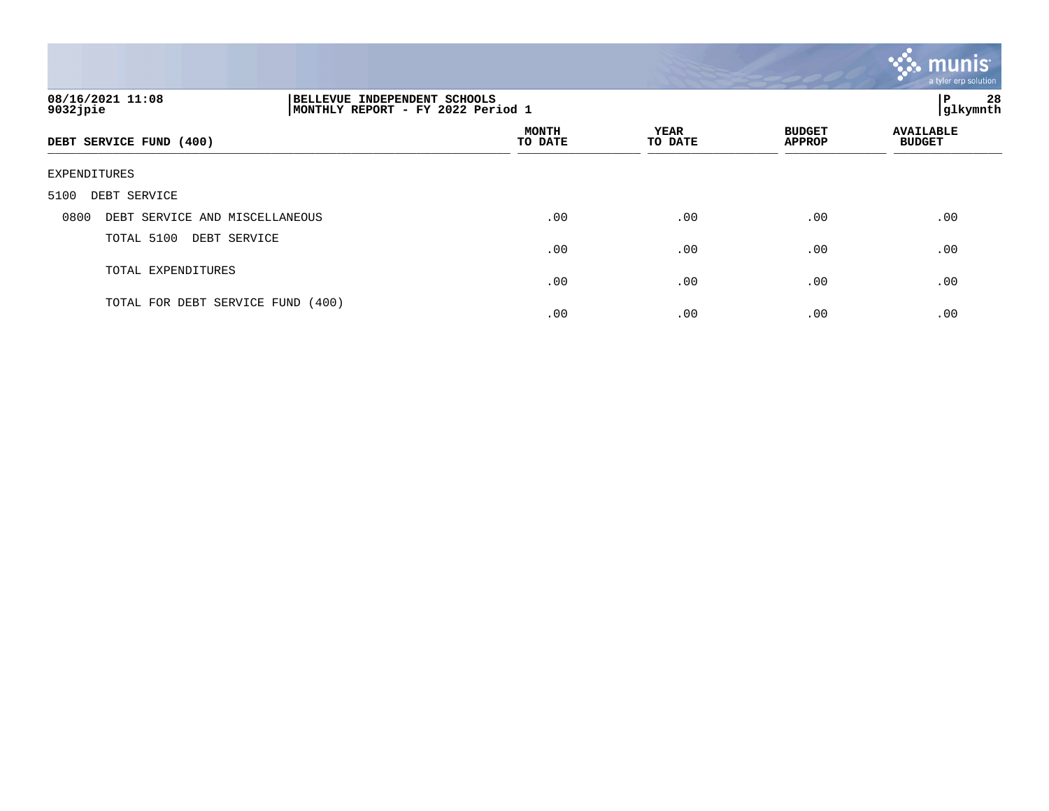

| 08/16/2021 11:08<br>$9032$ jpie        | INDEPENDENT SCHOOLS<br><b>BELLEVUE</b><br>MONTHLY REPORT - FY 2022 Period 1 |                         |                 |                                | 28<br>l P<br>glkymnth             |
|----------------------------------------|-----------------------------------------------------------------------------|-------------------------|-----------------|--------------------------------|-----------------------------------|
| DEBT SERVICE FUND (400)                |                                                                             | <b>MONTH</b><br>TO DATE | YEAR<br>TO DATE | <b>BUDGET</b><br><b>APPROP</b> | <b>AVAILABLE</b><br><b>BUDGET</b> |
| EXPENDITURES                           |                                                                             |                         |                 |                                |                                   |
| DEBT SERVICE<br>5100                   |                                                                             |                         |                 |                                |                                   |
| 0800<br>DEBT SERVICE AND MISCELLANEOUS |                                                                             | .00                     | .00             | .00                            | .00                               |
| TOTAL 5100<br>DEBT SERVICE             |                                                                             | .00                     | .00             | .00                            | .00                               |
| TOTAL EXPENDITURES                     |                                                                             | .00                     | .00             | .00                            | .00                               |
| TOTAL FOR DEBT SERVICE FUND            | (400)                                                                       | .00                     | .00             | .00                            | .00                               |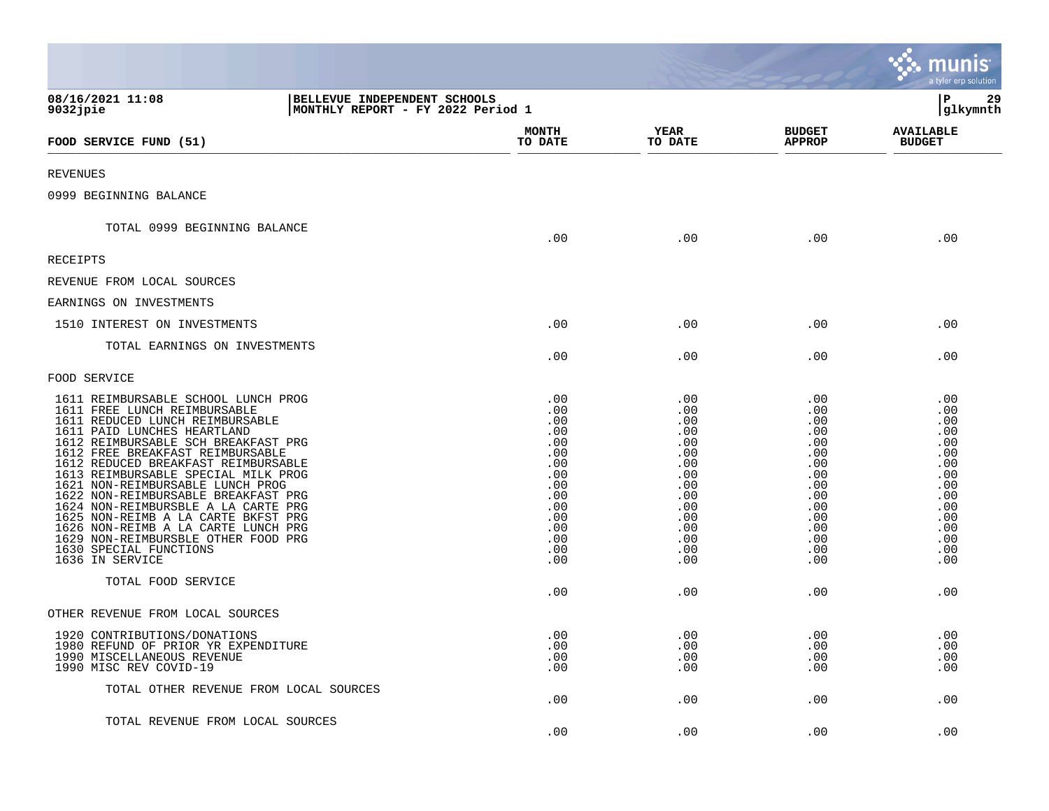|                                                                                                                                                                                                                                                                                                                                                                                                                                                                                                                                                                                                          |                                                                                                              |                                                                                                              |                                                                                                              | munis<br>a tyler erp solution                                                                                  |
|----------------------------------------------------------------------------------------------------------------------------------------------------------------------------------------------------------------------------------------------------------------------------------------------------------------------------------------------------------------------------------------------------------------------------------------------------------------------------------------------------------------------------------------------------------------------------------------------------------|--------------------------------------------------------------------------------------------------------------|--------------------------------------------------------------------------------------------------------------|--------------------------------------------------------------------------------------------------------------|----------------------------------------------------------------------------------------------------------------|
| 08/16/2021 11:08<br>BELLEVUE INDEPENDENT SCHOOLS<br>9032jpie                                                                                                                                                                                                                                                                                                                                                                                                                                                                                                                                             | MONTHLY REPORT - FY 2022 Period 1                                                                            |                                                                                                              |                                                                                                              | ${\bf P}$<br>29<br> glkymnth                                                                                   |
| FOOD SERVICE FUND (51)                                                                                                                                                                                                                                                                                                                                                                                                                                                                                                                                                                                   | <b>MONTH</b><br>TO DATE                                                                                      | YEAR<br>TO DATE                                                                                              | <b>BUDGET</b><br><b>APPROP</b>                                                                               | <b>AVAILABLE</b><br><b>BUDGET</b>                                                                              |
| <b>REVENUES</b>                                                                                                                                                                                                                                                                                                                                                                                                                                                                                                                                                                                          |                                                                                                              |                                                                                                              |                                                                                                              |                                                                                                                |
| 0999 BEGINNING BALANCE                                                                                                                                                                                                                                                                                                                                                                                                                                                                                                                                                                                   |                                                                                                              |                                                                                                              |                                                                                                              |                                                                                                                |
| TOTAL 0999 BEGINNING BALANCE                                                                                                                                                                                                                                                                                                                                                                                                                                                                                                                                                                             | .00                                                                                                          | .00                                                                                                          | .00                                                                                                          | .00                                                                                                            |
| RECEIPTS                                                                                                                                                                                                                                                                                                                                                                                                                                                                                                                                                                                                 |                                                                                                              |                                                                                                              |                                                                                                              |                                                                                                                |
| REVENUE FROM LOCAL SOURCES                                                                                                                                                                                                                                                                                                                                                                                                                                                                                                                                                                               |                                                                                                              |                                                                                                              |                                                                                                              |                                                                                                                |
| EARNINGS ON INVESTMENTS                                                                                                                                                                                                                                                                                                                                                                                                                                                                                                                                                                                  |                                                                                                              |                                                                                                              |                                                                                                              |                                                                                                                |
| 1510 INTEREST ON INVESTMENTS                                                                                                                                                                                                                                                                                                                                                                                                                                                                                                                                                                             | .00                                                                                                          | .00                                                                                                          | .00                                                                                                          | .00                                                                                                            |
| TOTAL EARNINGS ON INVESTMENTS                                                                                                                                                                                                                                                                                                                                                                                                                                                                                                                                                                            | .00                                                                                                          | .00                                                                                                          | .00                                                                                                          | .00                                                                                                            |
| FOOD SERVICE                                                                                                                                                                                                                                                                                                                                                                                                                                                                                                                                                                                             |                                                                                                              |                                                                                                              |                                                                                                              |                                                                                                                |
| 1611 REIMBURSABLE SCHOOL LUNCH PROG<br>1611 FREE LUNCH REIMBURSABLE<br>1611 REDUCED LUNCH REIMBURSABLE<br>1611 PAID LUNCHES HEARTLAND<br>1612 REIMBURSABLE SCH BREAKFAST PRG<br>1612 FREE BREAKFAST REIMBURSABLE<br>1612 REDUCED BREAKFAST REIMBURSABLE<br>1613 REIMBURSABLE SPECIAL MILK PROG<br>1621 NON-REIMBURSABLE LUNCH PROG<br>1622 NON-REIMBURSABLE BREAKFAST PRG<br>1624 NON-REIMBURSBLE A LA CARTE PRG<br>1625 NON-REIMB A LA CARTE BKFST PRG<br>1626 NON-REIMB A LA CARTE LUNCH PRG<br>1629 NON-REIMBURSBLE OTHER FOOD PRG<br>1630 SPECIAL FUNCTIONS<br>1636 IN SERVICE<br>TOTAL FOOD SERVICE | .00<br>.00<br>.00<br>.00<br>.00<br>.00<br>.00<br>.00<br>.00<br>.00<br>.00<br>.00<br>.00<br>.00<br>.00<br>.00 | .00<br>.00<br>.00<br>.00<br>.00<br>.00<br>.00<br>.00<br>.00<br>.00<br>.00<br>.00<br>.00<br>.00<br>.00<br>.00 | .00<br>.00<br>.00<br>.00<br>.00<br>.00<br>.00<br>.00<br>.00<br>.00<br>.00<br>.00<br>.00<br>.00<br>.00<br>.00 | .00<br>.00<br>.00.<br>.00<br>.00<br>.00<br>.00<br>.00<br>.00<br>.00<br>.00<br>.00<br>.00.<br>.00<br>.00<br>.00 |
|                                                                                                                                                                                                                                                                                                                                                                                                                                                                                                                                                                                                          | .00                                                                                                          | .00                                                                                                          | .00                                                                                                          | .00                                                                                                            |
| OTHER REVENUE FROM LOCAL SOURCES                                                                                                                                                                                                                                                                                                                                                                                                                                                                                                                                                                         |                                                                                                              |                                                                                                              |                                                                                                              |                                                                                                                |
| 1920 CONTRIBUTIONS/DONATIONS<br>1980 REFUND OF PRIOR YR EXPENDITURE<br>1990 MISCELLANEOUS REVENUE<br>1990 MISC REV COVID-19                                                                                                                                                                                                                                                                                                                                                                                                                                                                              | .00<br>.00<br>.00<br>.00                                                                                     | .00<br>.00<br>.00<br>.00                                                                                     | .00<br>.00<br>.00<br>.00                                                                                     | .00<br>.00<br>.00<br>.00                                                                                       |
| TOTAL OTHER REVENUE FROM LOCAL SOURCES                                                                                                                                                                                                                                                                                                                                                                                                                                                                                                                                                                   | .00                                                                                                          | .00                                                                                                          | .00                                                                                                          | .00                                                                                                            |
| TOTAL REVENUE FROM LOCAL SOURCES                                                                                                                                                                                                                                                                                                                                                                                                                                                                                                                                                                         | .00                                                                                                          | .00                                                                                                          | .00                                                                                                          | .00                                                                                                            |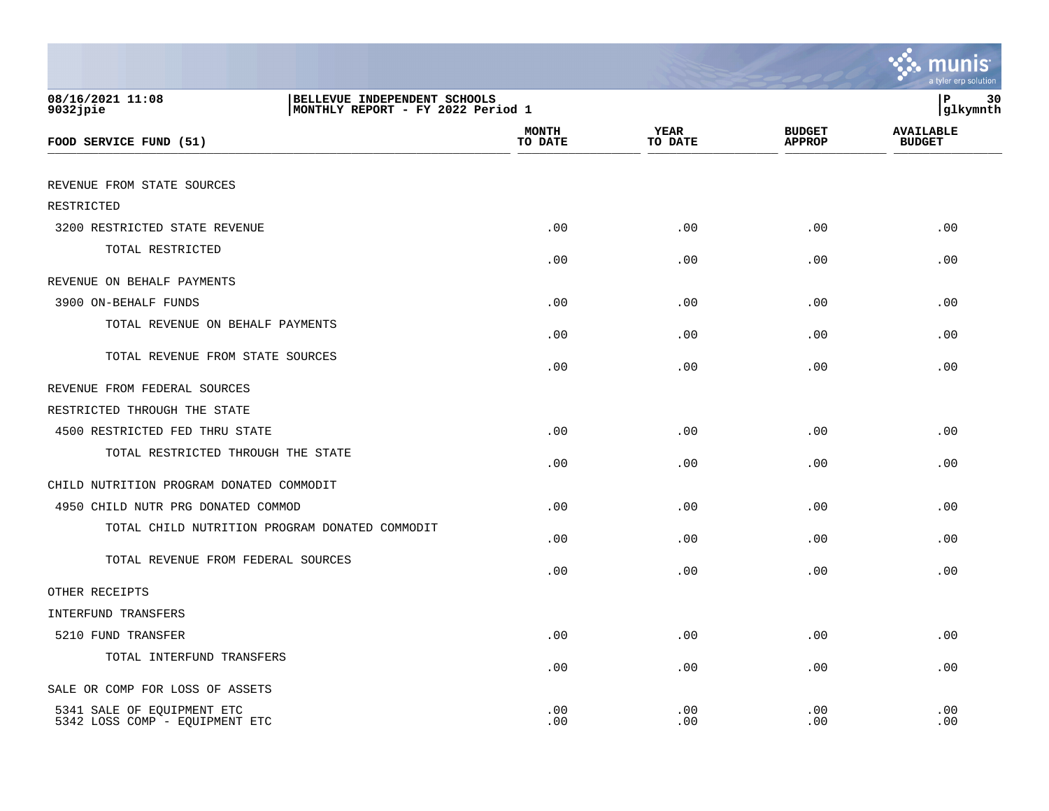|                                                              |                                                                   |                         |                        |                                | a tyler erp solution              |
|--------------------------------------------------------------|-------------------------------------------------------------------|-------------------------|------------------------|--------------------------------|-----------------------------------|
| 08/16/2021 11:08<br>$9032$ jpie                              | BELLEVUE INDEPENDENT SCHOOLS<br>MONTHLY REPORT - FY 2022 Period 1 |                         |                        |                                | 30<br>ΙP<br>glkymnth              |
| FOOD SERVICE FUND (51)                                       |                                                                   | <b>MONTH</b><br>TO DATE | <b>YEAR</b><br>TO DATE | <b>BUDGET</b><br><b>APPROP</b> | <b>AVAILABLE</b><br><b>BUDGET</b> |
| REVENUE FROM STATE SOURCES                                   |                                                                   |                         |                        |                                |                                   |
| RESTRICTED                                                   |                                                                   |                         |                        |                                |                                   |
| 3200 RESTRICTED STATE REVENUE                                |                                                                   | .00                     | .00                    | .00                            | .00                               |
| TOTAL RESTRICTED                                             |                                                                   | .00                     | .00                    | .00                            | .00                               |
| REVENUE ON BEHALF PAYMENTS                                   |                                                                   |                         |                        |                                |                                   |
| 3900 ON-BEHALF FUNDS                                         |                                                                   | .00                     | .00                    | .00                            | .00                               |
| TOTAL REVENUE ON BEHALF PAYMENTS                             |                                                                   | .00                     | .00                    | .00                            | .00                               |
| TOTAL REVENUE FROM STATE SOURCES                             |                                                                   | .00                     | .00                    | .00                            | .00                               |
| REVENUE FROM FEDERAL SOURCES                                 |                                                                   |                         |                        |                                |                                   |
| RESTRICTED THROUGH THE STATE                                 |                                                                   |                         |                        |                                |                                   |
| 4500 RESTRICTED FED THRU STATE                               |                                                                   | .00                     | .00                    | .00                            | .00                               |
| TOTAL RESTRICTED THROUGH THE STATE                           |                                                                   | .00                     | .00                    | .00                            | .00                               |
| CHILD NUTRITION PROGRAM DONATED COMMODIT                     |                                                                   |                         |                        |                                |                                   |
| 4950 CHILD NUTR PRG DONATED COMMOD                           |                                                                   | .00                     | .00                    | .00                            | .00                               |
| TOTAL CHILD NUTRITION PROGRAM DONATED COMMODIT               |                                                                   | .00                     | .00                    | .00                            | .00                               |
| TOTAL REVENUE FROM FEDERAL SOURCES                           |                                                                   | .00                     | .00                    | .00                            | .00                               |
| OTHER RECEIPTS                                               |                                                                   |                         |                        |                                |                                   |
| <b>INTERFUND TRANSFERS</b>                                   |                                                                   |                         |                        |                                |                                   |
| 5210 FUND TRANSFER                                           |                                                                   | .00                     | .00                    | .00                            | .00                               |
| TOTAL INTERFUND TRANSFERS                                    |                                                                   | .00                     | .00                    | .00                            | .00                               |
| SALE OR COMP FOR LOSS OF ASSETS                              |                                                                   |                         |                        |                                |                                   |
| 5341 SALE OF EQUIPMENT ETC<br>5342 LOSS COMP - EQUIPMENT ETC |                                                                   | .00<br>.00              | .00<br>.00             | .00<br>.00                     | .00<br>.00                        |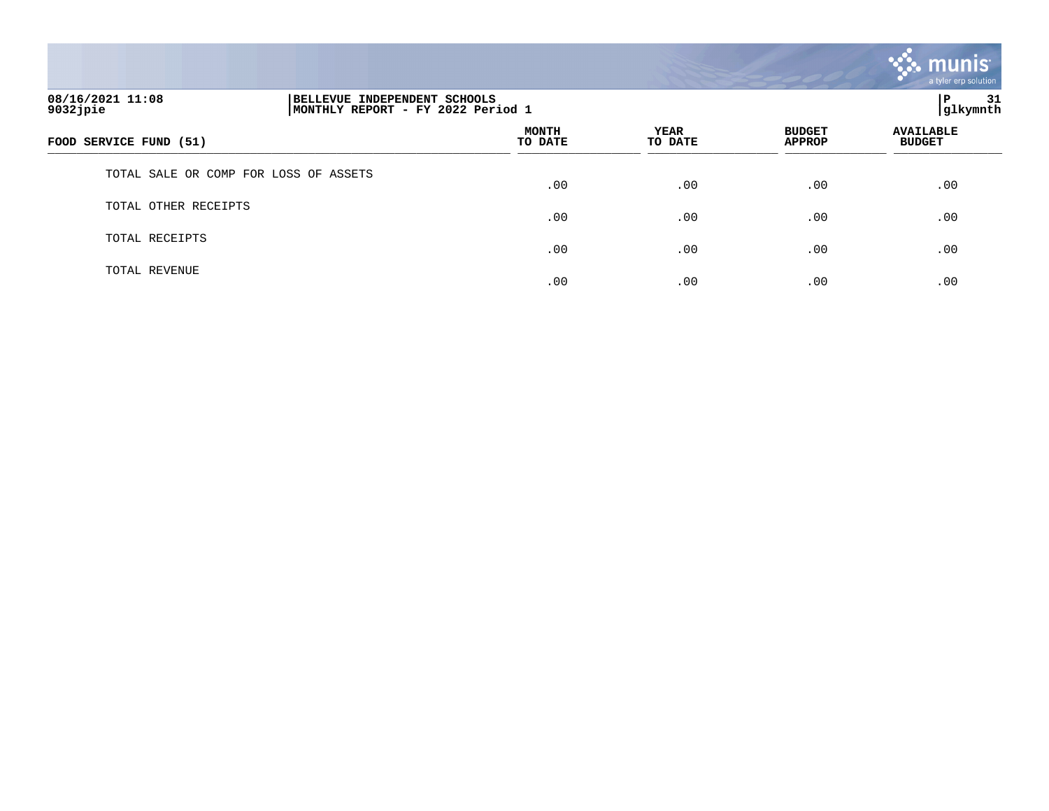

| 08/16/2021 11:08<br>$9032$ jpie       | BELLEVUE INDEPENDENT SCHOOLS<br>MONTHLY REPORT - FY 2022 Period 1 |                  |                 |                                | 31<br>l P<br> glkymnth            |  |
|---------------------------------------|-------------------------------------------------------------------|------------------|-----------------|--------------------------------|-----------------------------------|--|
| FOOD SERVICE FUND (51)                |                                                                   | MONTH<br>TO DATE | YEAR<br>TO DATE | <b>BUDGET</b><br><b>APPROP</b> | <b>AVAILABLE</b><br><b>BUDGET</b> |  |
| TOTAL SALE OR COMP FOR LOSS OF ASSETS |                                                                   | .00              | .00             | .00                            | .00                               |  |
| OTHER RECEIPTS<br>TOTAL               |                                                                   | .00              | .00             | .00                            | .00                               |  |
| TOTAL RECEIPTS                        |                                                                   | .00              | .00             | .00                            | .00                               |  |
| TOTAL REVENUE                         |                                                                   | .00              | .00             | .00                            | .00                               |  |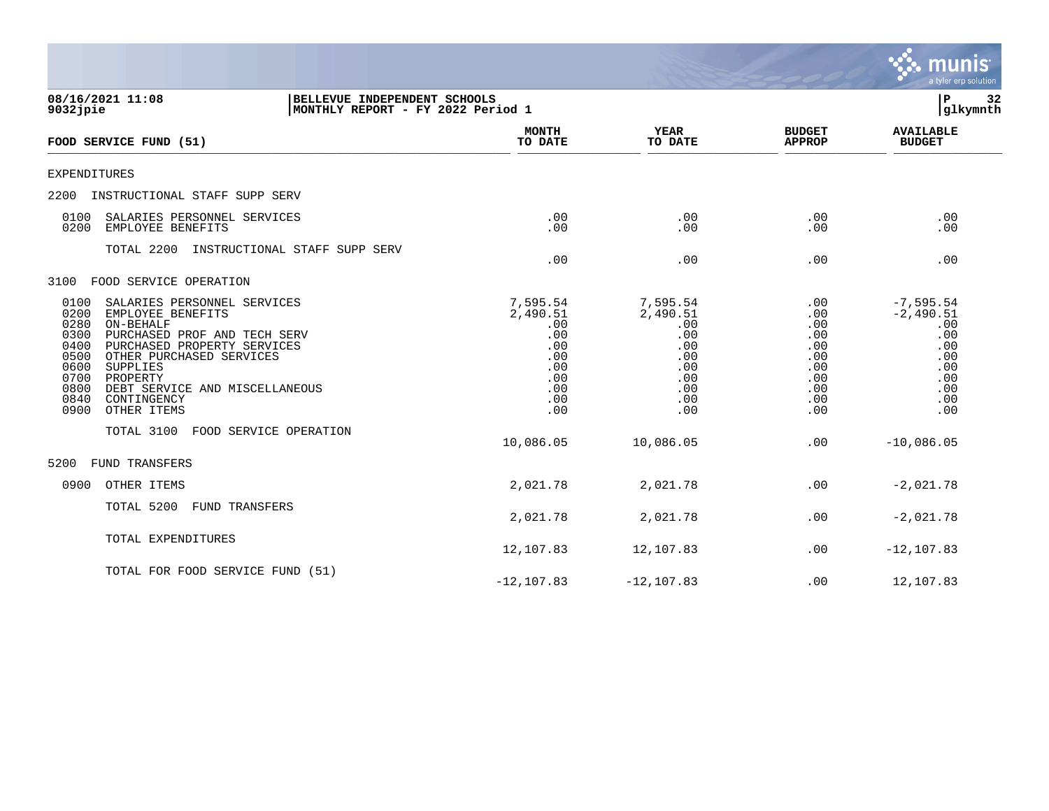|                                                                                                                                                                                                                                                                                                                                          |                                                                                     |                                                                                     |                                                                           | munis<br>a tyler erp solution                                                              |
|------------------------------------------------------------------------------------------------------------------------------------------------------------------------------------------------------------------------------------------------------------------------------------------------------------------------------------------|-------------------------------------------------------------------------------------|-------------------------------------------------------------------------------------|---------------------------------------------------------------------------|--------------------------------------------------------------------------------------------|
| 08/16/2021 11:08<br>BELLEVUE INDEPENDENT SCHOOLS<br>MONTHLY REPORT - FY 2022 Period 1<br>9032jpie                                                                                                                                                                                                                                        |                                                                                     |                                                                                     |                                                                           | ΙP<br>32<br>glkymnth                                                                       |
| FOOD SERVICE FUND (51)                                                                                                                                                                                                                                                                                                                   | <b>MONTH</b><br>TO DATE                                                             | <b>YEAR</b><br>TO DATE                                                              | <b>BUDGET</b><br><b>APPROP</b>                                            | <b>AVAILABLE</b><br><b>BUDGET</b>                                                          |
| <b>EXPENDITURES</b>                                                                                                                                                                                                                                                                                                                      |                                                                                     |                                                                                     |                                                                           |                                                                                            |
| 2200<br>INSTRUCTIONAL STAFF SUPP SERV                                                                                                                                                                                                                                                                                                    |                                                                                     |                                                                                     |                                                                           |                                                                                            |
| 0100<br>SALARIES PERSONNEL SERVICES<br>0200<br>EMPLOYEE BENEFITS                                                                                                                                                                                                                                                                         | .00<br>.00                                                                          | .00<br>.00                                                                          | .00<br>.00                                                                | .00<br>.00                                                                                 |
| TOTAL 2200<br>INSTRUCTIONAL STAFF SUPP SERV                                                                                                                                                                                                                                                                                              | .00                                                                                 | .00                                                                                 | .00                                                                       | .00                                                                                        |
| 3100<br>FOOD SERVICE OPERATION                                                                                                                                                                                                                                                                                                           |                                                                                     |                                                                                     |                                                                           |                                                                                            |
| 0100<br>SALARIES PERSONNEL SERVICES<br>0200<br>EMPLOYEE BENEFITS<br>0280<br>ON-BEHALF<br>0300<br>PURCHASED PROF AND TECH SERV<br>0400<br>PURCHASED PROPERTY SERVICES<br>0500<br>OTHER PURCHASED SERVICES<br>0600<br>SUPPLIES<br>0700<br>PROPERTY<br>0800<br>DEBT SERVICE AND MISCELLANEOUS<br>0840<br>CONTINGENCY<br>OTHER ITEMS<br>0900 | 7,595.54<br>2,490.51<br>.00<br>.00<br>.00<br>.00<br>.00<br>.00<br>.00<br>.00<br>.00 | 7,595.54<br>2,490.51<br>.00<br>.00<br>.00<br>.00<br>.00<br>.00<br>.00<br>.00<br>.00 | .00<br>.00<br>.00<br>.00<br>.00<br>.00<br>.00<br>.00<br>.00<br>.00<br>.00 | $-7, 595.54$<br>$-2,490.51$<br>.00<br>.00<br>.00<br>.00<br>.00<br>.00<br>.00<br>.00<br>.00 |
| TOTAL 3100<br>FOOD SERVICE OPERATION                                                                                                                                                                                                                                                                                                     | 10,086.05                                                                           | 10,086.05                                                                           | .00                                                                       | $-10,086.05$                                                                               |
| 5200<br><b>FUND TRANSFERS</b>                                                                                                                                                                                                                                                                                                            |                                                                                     |                                                                                     |                                                                           |                                                                                            |
| 0900<br>OTHER ITEMS                                                                                                                                                                                                                                                                                                                      | 2,021.78                                                                            | 2,021.78                                                                            | .00                                                                       | $-2,021.78$                                                                                |
| TOTAL 5200<br>FUND TRANSFERS                                                                                                                                                                                                                                                                                                             | 2,021.78                                                                            | 2,021.78                                                                            | .00                                                                       | $-2,021.78$                                                                                |
| TOTAL EXPENDITURES                                                                                                                                                                                                                                                                                                                       | 12,107.83                                                                           | 12,107.83                                                                           | .00                                                                       | $-12, 107.83$                                                                              |
| TOTAL FOR FOOD SERVICE FUND (51)                                                                                                                                                                                                                                                                                                         | $-12, 107.83$                                                                       | $-12, 107.83$                                                                       | .00                                                                       | 12,107.83                                                                                  |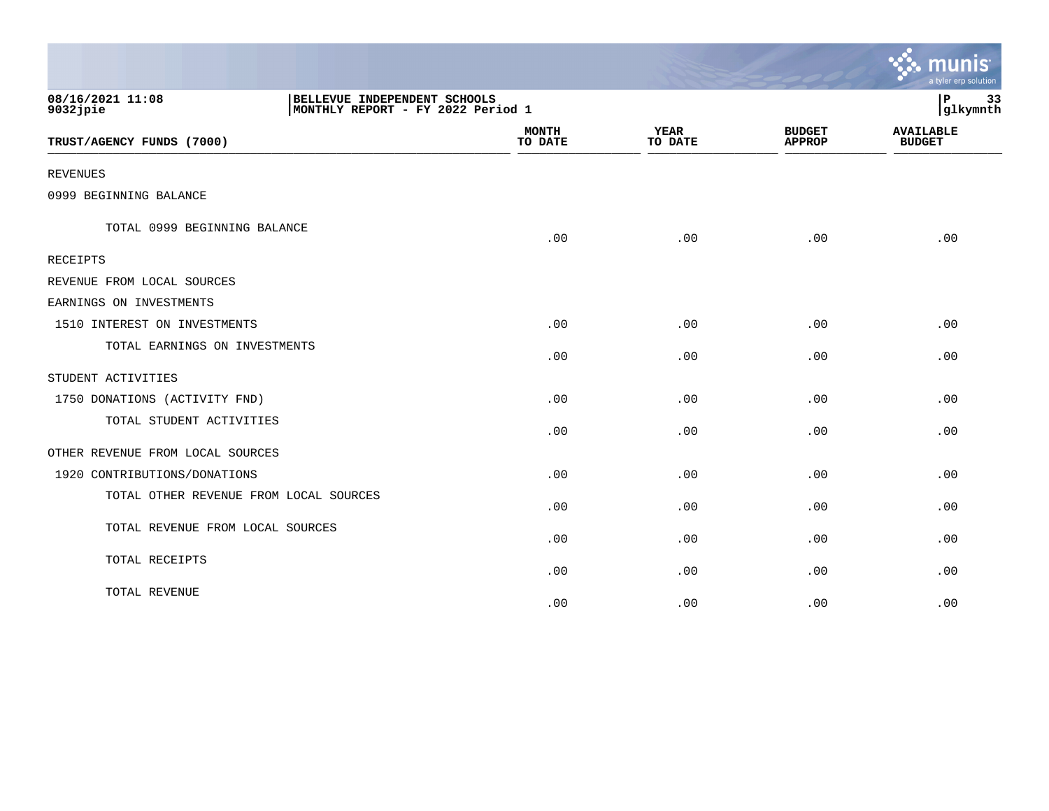|                                  |                                                                   |                         |                        |                                | a tyler erp solution              |
|----------------------------------|-------------------------------------------------------------------|-------------------------|------------------------|--------------------------------|-----------------------------------|
| 08/16/2021 11:08<br>$9032$ jpie  | BELLEVUE INDEPENDENT SCHOOLS<br>MONTHLY REPORT - FY 2022 Period 1 |                         |                        |                                | 33<br>$\mathbf P$<br>glkymnth     |
| TRUST/AGENCY FUNDS (7000)        |                                                                   | <b>MONTH</b><br>TO DATE | <b>YEAR</b><br>TO DATE | <b>BUDGET</b><br><b>APPROP</b> | <b>AVAILABLE</b><br><b>BUDGET</b> |
| <b>REVENUES</b>                  |                                                                   |                         |                        |                                |                                   |
| 0999 BEGINNING BALANCE           |                                                                   |                         |                        |                                |                                   |
| TOTAL 0999 BEGINNING BALANCE     |                                                                   | .00                     | .00                    | .00                            | .00                               |
| <b>RECEIPTS</b>                  |                                                                   |                         |                        |                                |                                   |
| REVENUE FROM LOCAL SOURCES       |                                                                   |                         |                        |                                |                                   |
| EARNINGS ON INVESTMENTS          |                                                                   |                         |                        |                                |                                   |
| 1510 INTEREST ON INVESTMENTS     |                                                                   | .00                     | .00                    | .00                            | .00                               |
| TOTAL EARNINGS ON INVESTMENTS    |                                                                   | .00                     | .00                    | .00                            | .00                               |
| STUDENT ACTIVITIES               |                                                                   |                         |                        |                                |                                   |
| 1750 DONATIONS (ACTIVITY FND)    |                                                                   | .00                     | .00                    | .00                            | .00                               |
| TOTAL STUDENT ACTIVITIES         |                                                                   | .00                     | .00                    | .00                            | .00                               |
| OTHER REVENUE FROM LOCAL SOURCES |                                                                   |                         |                        |                                |                                   |
| 1920 CONTRIBUTIONS/DONATIONS     |                                                                   | .00                     | .00                    | .00                            | .00                               |
|                                  | TOTAL OTHER REVENUE FROM LOCAL SOURCES                            | .00                     | .00                    | .00                            | .00                               |
| TOTAL REVENUE FROM LOCAL SOURCES |                                                                   | .00                     | .00                    | .00                            | .00                               |
| TOTAL RECEIPTS                   |                                                                   | .00                     | .00                    | .00                            | .00                               |
| TOTAL REVENUE                    |                                                                   | .00                     | .00                    | .00                            | .00                               |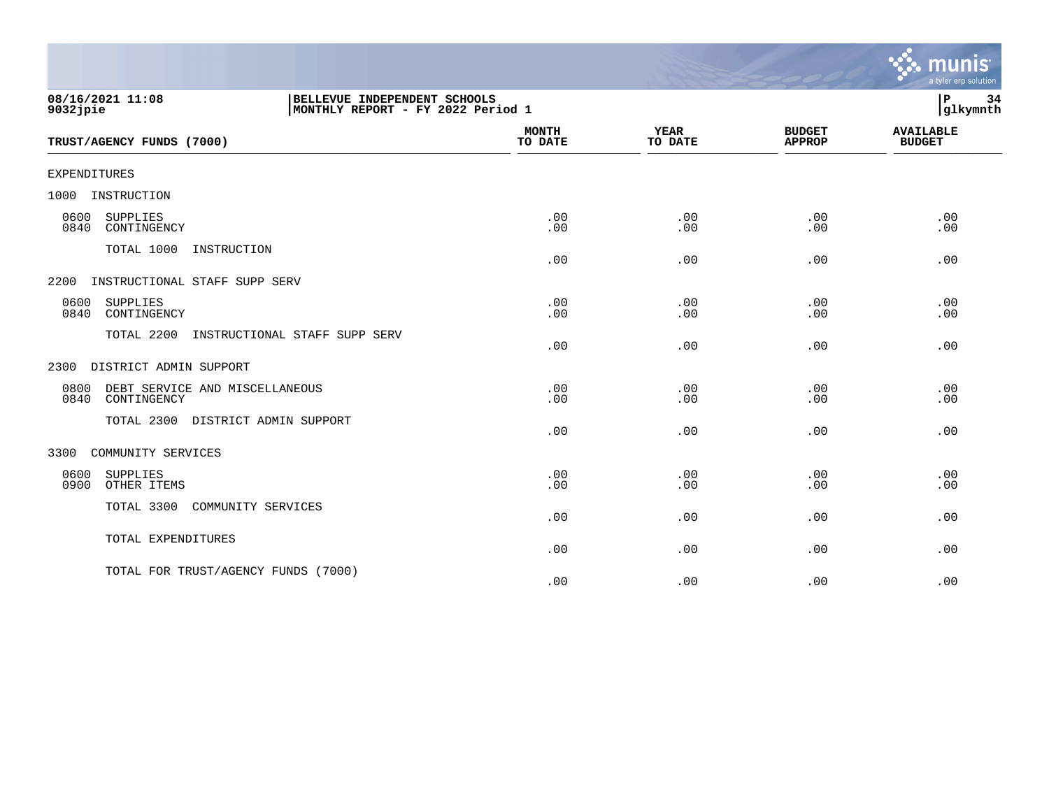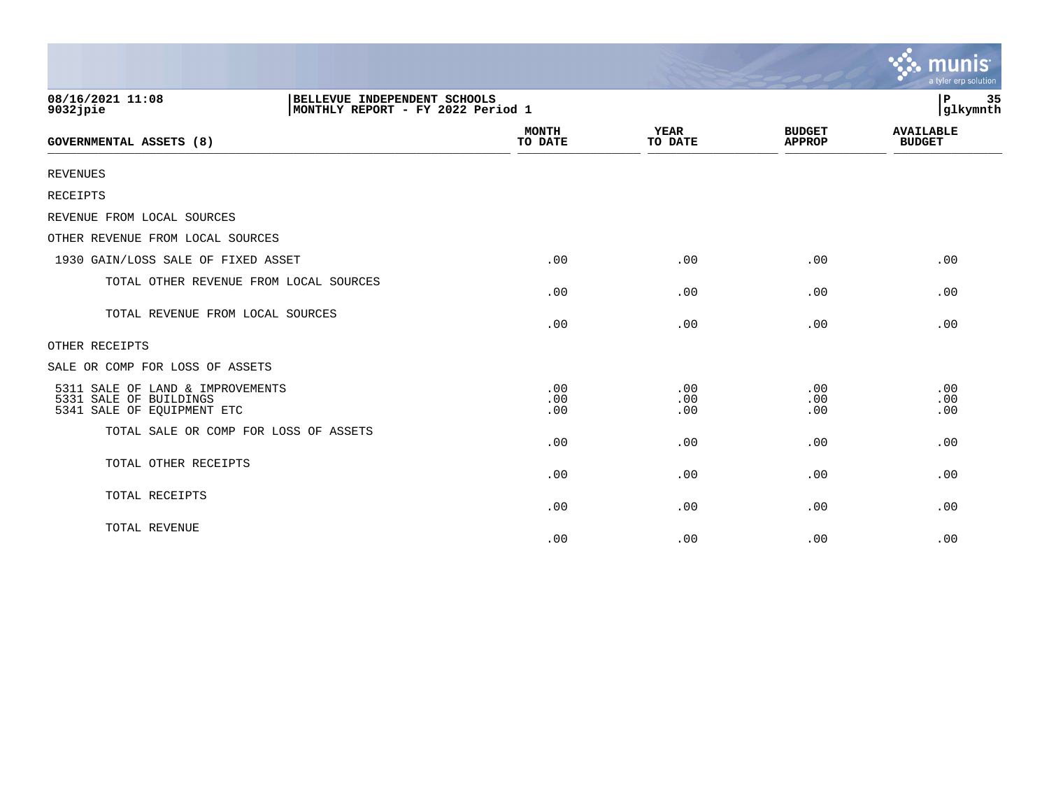|                                                                                                      |                         |                        |                                | munis<br>a tyler erp solution     |
|------------------------------------------------------------------------------------------------------|-------------------------|------------------------|--------------------------------|-----------------------------------|
| 08/16/2021 11:08<br>BELLEVUE INDEPENDENT SCHOOLS<br>MONTHLY REPORT - FY 2022 Period 1<br>$9032$ jpie |                         |                        |                                | P.<br>35<br>glkymnth              |
| <b>GOVERNMENTAL ASSETS (8)</b>                                                                       | <b>MONTH</b><br>TO DATE | <b>YEAR</b><br>TO DATE | <b>BUDGET</b><br><b>APPROP</b> | <b>AVAILABLE</b><br><b>BUDGET</b> |
| <b>REVENUES</b>                                                                                      |                         |                        |                                |                                   |
| RECEIPTS                                                                                             |                         |                        |                                |                                   |
| REVENUE FROM LOCAL SOURCES                                                                           |                         |                        |                                |                                   |
| OTHER REVENUE FROM LOCAL SOURCES                                                                     |                         |                        |                                |                                   |
| 1930 GAIN/LOSS SALE OF FIXED ASSET                                                                   | .00                     | .00                    | .00                            | .00                               |
| TOTAL OTHER REVENUE FROM LOCAL SOURCES                                                               | .00                     | .00                    | .00                            | .00                               |
| TOTAL REVENUE FROM LOCAL SOURCES                                                                     | .00                     | .00                    | .00                            | .00                               |
| OTHER RECEIPTS                                                                                       |                         |                        |                                |                                   |
| SALE OR COMP FOR LOSS OF ASSETS                                                                      |                         |                        |                                |                                   |
| 5311 SALE OF LAND & IMPROVEMENTS<br>5331 SALE OF BUILDINGS<br>5341 SALE OF EQUIPMENT ETC             | .00<br>.00<br>.00       | .00<br>.00<br>.00      | .00<br>.00<br>.00              | .00<br>.00<br>.00                 |
| TOTAL SALE OR COMP FOR LOSS OF ASSETS                                                                | .00                     | .00                    | .00                            | .00                               |
| TOTAL OTHER RECEIPTS                                                                                 | .00                     | .00                    | .00                            | .00                               |
| TOTAL RECEIPTS                                                                                       | .00                     | .00                    | .00                            | .00                               |
| TOTAL REVENUE                                                                                        | .00                     | .00                    | .00                            | .00                               |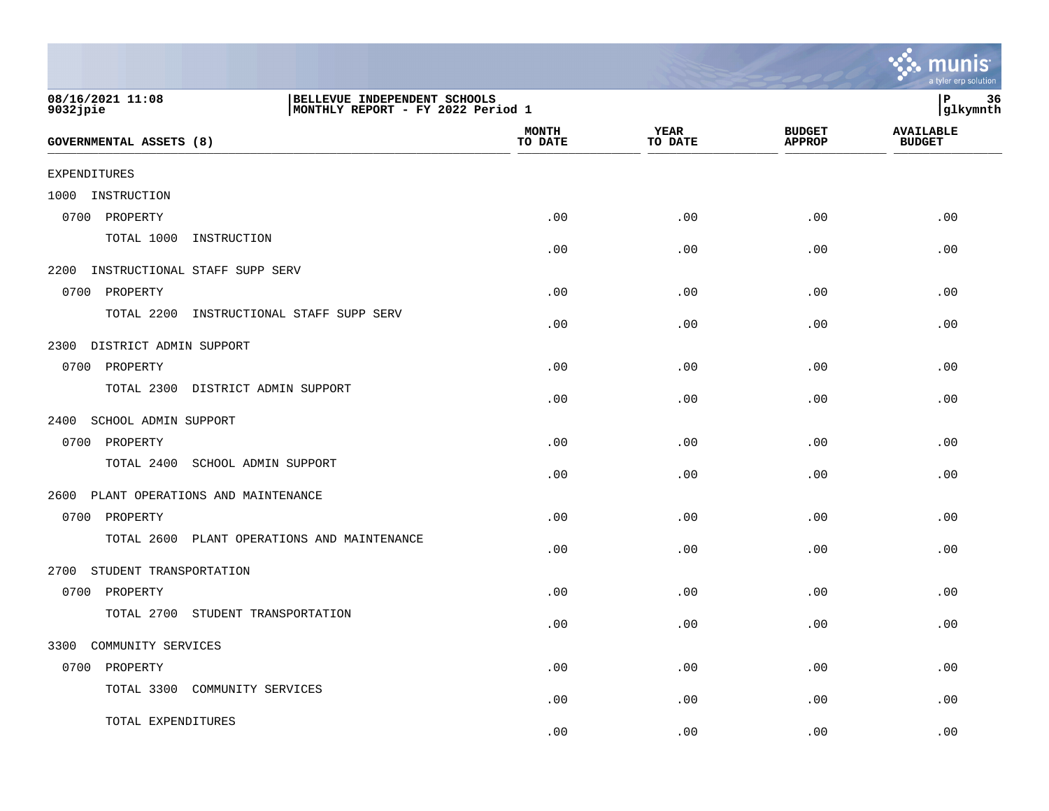|                                                                                                      |                         |                        |                                | mu<br>a tyler erp solution        |
|------------------------------------------------------------------------------------------------------|-------------------------|------------------------|--------------------------------|-----------------------------------|
| 08/16/2021 11:08<br>BELLEVUE INDEPENDENT SCHOOLS<br>$9032$ jpie<br>MONTHLY REPORT - FY 2022 Period 1 |                         |                        |                                | 36<br>Р<br>glkymnth               |
| <b>GOVERNMENTAL ASSETS (8)</b>                                                                       | <b>MONTH</b><br>TO DATE | <b>YEAR</b><br>TO DATE | <b>BUDGET</b><br><b>APPROP</b> | <b>AVAILABLE</b><br><b>BUDGET</b> |
| <b>EXPENDITURES</b>                                                                                  |                         |                        |                                |                                   |
| 1000<br>INSTRUCTION                                                                                  |                         |                        |                                |                                   |
| PROPERTY<br>0700                                                                                     | .00                     | .00                    | .00                            | .00                               |
| TOTAL 1000<br>INSTRUCTION                                                                            | .00                     | .00                    | .00                            | .00                               |
| 2200<br>INSTRUCTIONAL STAFF SUPP SERV                                                                |                         |                        |                                |                                   |
| 0700<br>PROPERTY                                                                                     | .00                     | .00                    | .00                            | .00                               |
| TOTAL 2200<br>INSTRUCTIONAL STAFF SUPP SERV                                                          | .00                     | .00                    | .00.                           | .00                               |
| 2300<br>DISTRICT ADMIN SUPPORT                                                                       |                         |                        |                                |                                   |
| 0700<br>PROPERTY                                                                                     | .00                     | .00                    | .00                            | .00                               |
| TOTAL 2300<br>DISTRICT ADMIN SUPPORT                                                                 | .00                     | .00                    | .00                            | .00                               |
| SCHOOL ADMIN SUPPORT<br>2400                                                                         |                         |                        |                                |                                   |
| 0700<br>PROPERTY                                                                                     | .00                     | .00                    | .00                            | .00                               |
| TOTAL 2400<br>SCHOOL ADMIN SUPPORT                                                                   | .00                     | .00                    | .00                            | .00                               |
| PLANT OPERATIONS AND MAINTENANCE<br>2600                                                             |                         |                        |                                |                                   |
| PROPERTY<br>0700                                                                                     | .00                     | .00                    | .00                            | .00                               |
| TOTAL 2600<br>PLANT OPERATIONS AND MAINTENANCE                                                       | .00                     | .00                    | .00                            | .00                               |
| STUDENT TRANSPORTATION<br>2700                                                                       |                         |                        |                                |                                   |
| PROPERTY<br>0700                                                                                     | .00                     | .00                    | .00                            | .00                               |
| TOTAL 2700<br>STUDENT TRANSPORTATION                                                                 | .00                     | .00                    | .00                            | .00                               |
| 3300 COMMUNITY SERVICES                                                                              |                         |                        |                                |                                   |
| 0700 PROPERTY                                                                                        | .00                     | .00                    | .00                            | .00                               |
| TOTAL 3300 COMMUNITY SERVICES                                                                        | .00                     | .00                    | .00                            | .00                               |
| TOTAL EXPENDITURES                                                                                   | .00                     | .00                    | .00                            | .00                               |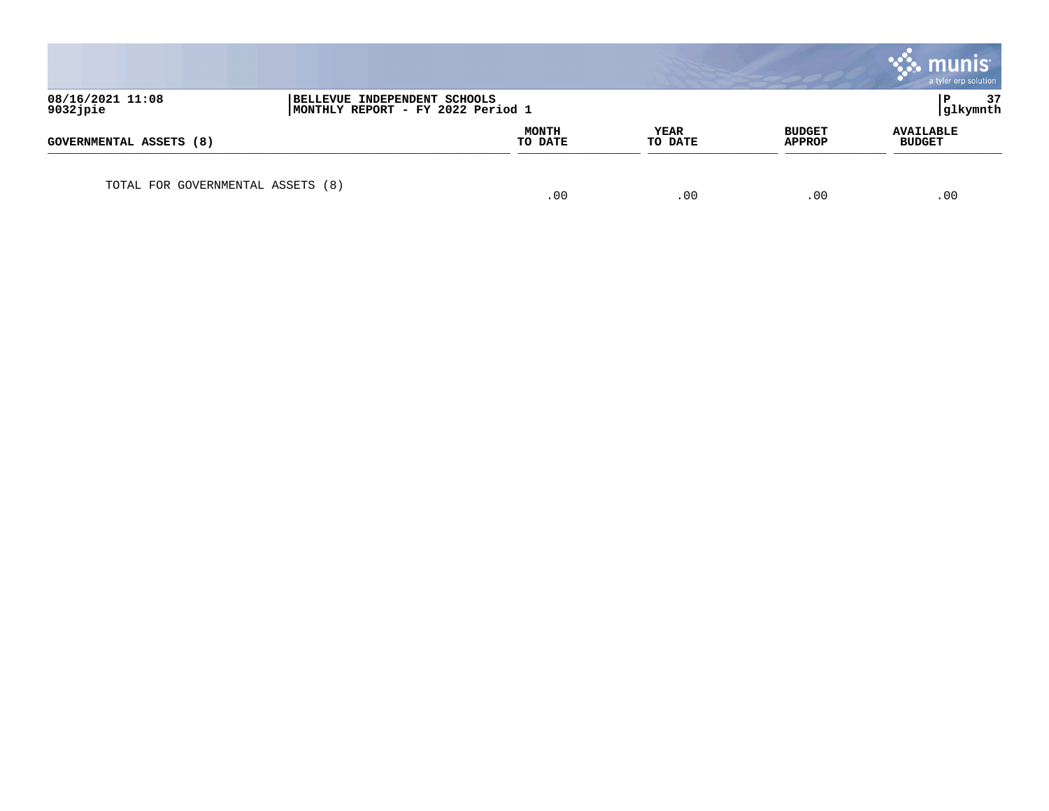|                                   |                                                                   |                         |                 |                                | munis <sup>®</sup><br>a tyler erp solution |
|-----------------------------------|-------------------------------------------------------------------|-------------------------|-----------------|--------------------------------|--------------------------------------------|
| 08/16/2021 11:08<br>9032jpie      | BELLEVUE INDEPENDENT SCHOOLS<br>MONTHLY REPORT - FY 2022 Period 1 |                         |                 |                                | 37<br>glkymnth                             |
| GOVERNMENTAL ASSETS (8)           |                                                                   | <b>MONTH</b><br>TO DATE | YEAR<br>TO DATE | <b>BUDGET</b><br><b>APPROP</b> | <b>AVAILABLE</b><br><b>BUDGET</b>          |
| TOTAL FOR GOVERNMENTAL ASSETS (8) |                                                                   | .00                     | .00             | .00                            | .00                                        |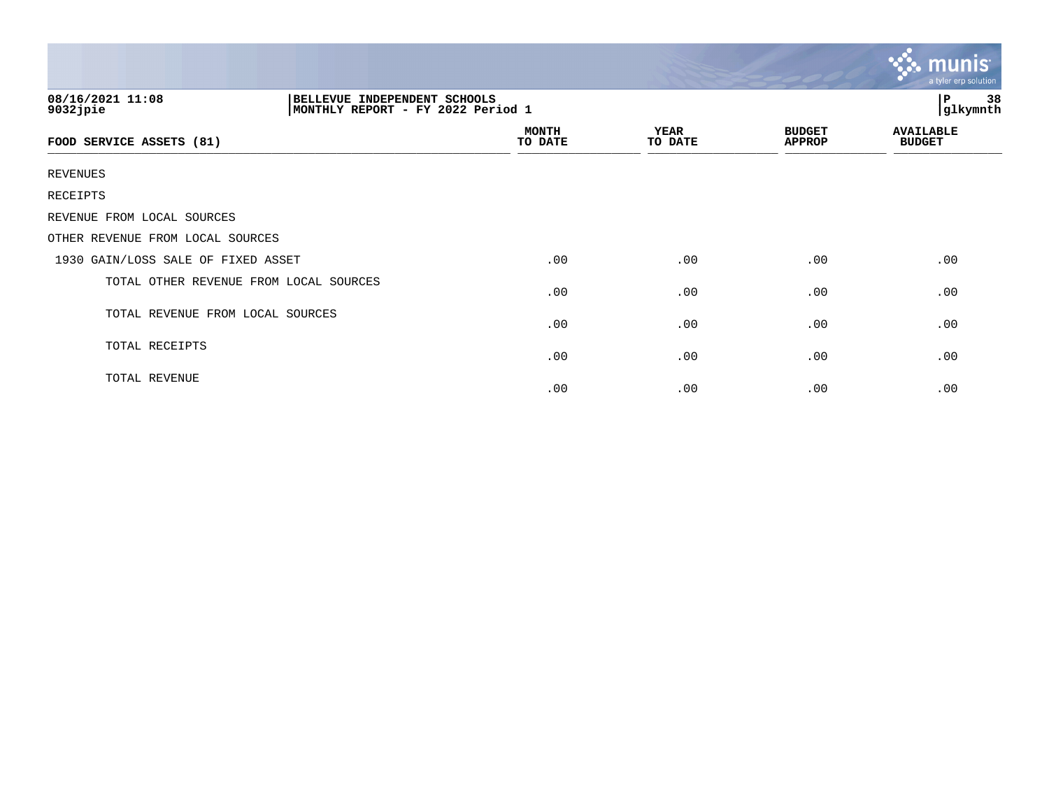|                                                                                                   |                         |                        |                                | $m$ unis<br>a tyler erp solution  |
|---------------------------------------------------------------------------------------------------|-------------------------|------------------------|--------------------------------|-----------------------------------|
| 08/16/2021 11:08<br>BELLEVUE INDEPENDENT SCHOOLS<br>9032jpie<br>MONTHLY REPORT - FY 2022 Period 1 |                         |                        |                                | 38<br>$\, {\bf P}$<br>glkymnth    |
| FOOD SERVICE ASSETS (81)                                                                          | <b>MONTH</b><br>TO DATE | <b>YEAR</b><br>TO DATE | <b>BUDGET</b><br><b>APPROP</b> | <b>AVAILABLE</b><br><b>BUDGET</b> |
| <b>REVENUES</b>                                                                                   |                         |                        |                                |                                   |
| <b>RECEIPTS</b>                                                                                   |                         |                        |                                |                                   |
| REVENUE FROM LOCAL SOURCES                                                                        |                         |                        |                                |                                   |
| OTHER REVENUE FROM LOCAL SOURCES                                                                  |                         |                        |                                |                                   |
| 1930 GAIN/LOSS SALE OF FIXED ASSET                                                                | .00                     | .00                    | .00                            | .00                               |
| TOTAL OTHER REVENUE FROM LOCAL SOURCES                                                            | .00                     | .00                    | .00                            | .00                               |
| TOTAL REVENUE FROM LOCAL SOURCES                                                                  | .00                     | .00                    | .00                            | .00                               |
| TOTAL RECEIPTS                                                                                    | .00                     | .00                    | .00                            | .00                               |
| TOTAL REVENUE                                                                                     | .00                     | .00                    | .00                            | .00                               |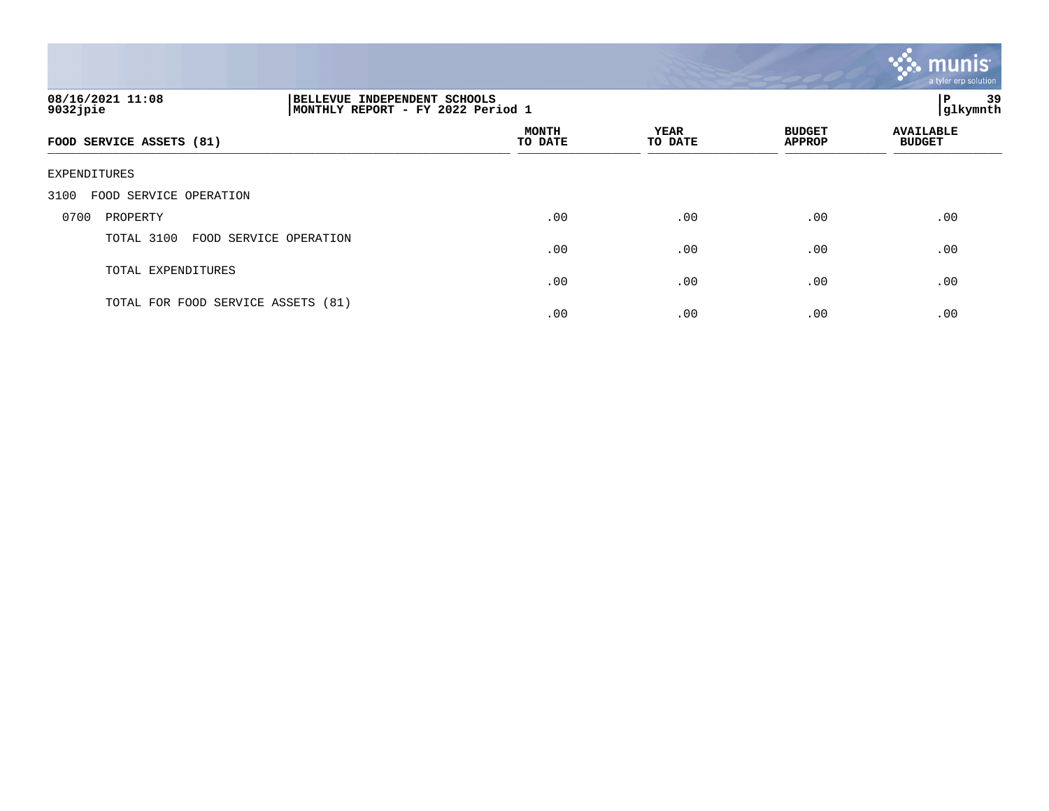

| 08/16/2021 11:08<br>$9032$ jpie      | BELLEVUE INDEPENDENT SCHOOLS<br>MONTHLY REPORT - FY 2022 Period 1 |                         |                 |                                | 39<br>l P<br> glkymnth            |  |
|--------------------------------------|-------------------------------------------------------------------|-------------------------|-----------------|--------------------------------|-----------------------------------|--|
| FOOD SERVICE ASSETS (81)             |                                                                   | <b>MONTH</b><br>TO DATE | YEAR<br>TO DATE | <b>BUDGET</b><br><b>APPROP</b> | <b>AVAILABLE</b><br><b>BUDGET</b> |  |
| EXPENDITURES                         |                                                                   |                         |                 |                                |                                   |  |
| FOOD SERVICE OPERATION<br>3100       |                                                                   |                         |                 |                                |                                   |  |
| PROPERTY<br>0700                     |                                                                   | .00                     | .00             | .00                            | .00                               |  |
| TOTAL 3100<br>FOOD SERVICE OPERATION |                                                                   | .00                     | .00             | .00                            | .00                               |  |
| TOTAL EXPENDITURES                   |                                                                   | .00                     | .00             | .00                            | .00                               |  |
| TOTAL FOR FOOD SERVICE ASSETS (81)   |                                                                   | .00                     | .00             | .00                            | .00                               |  |